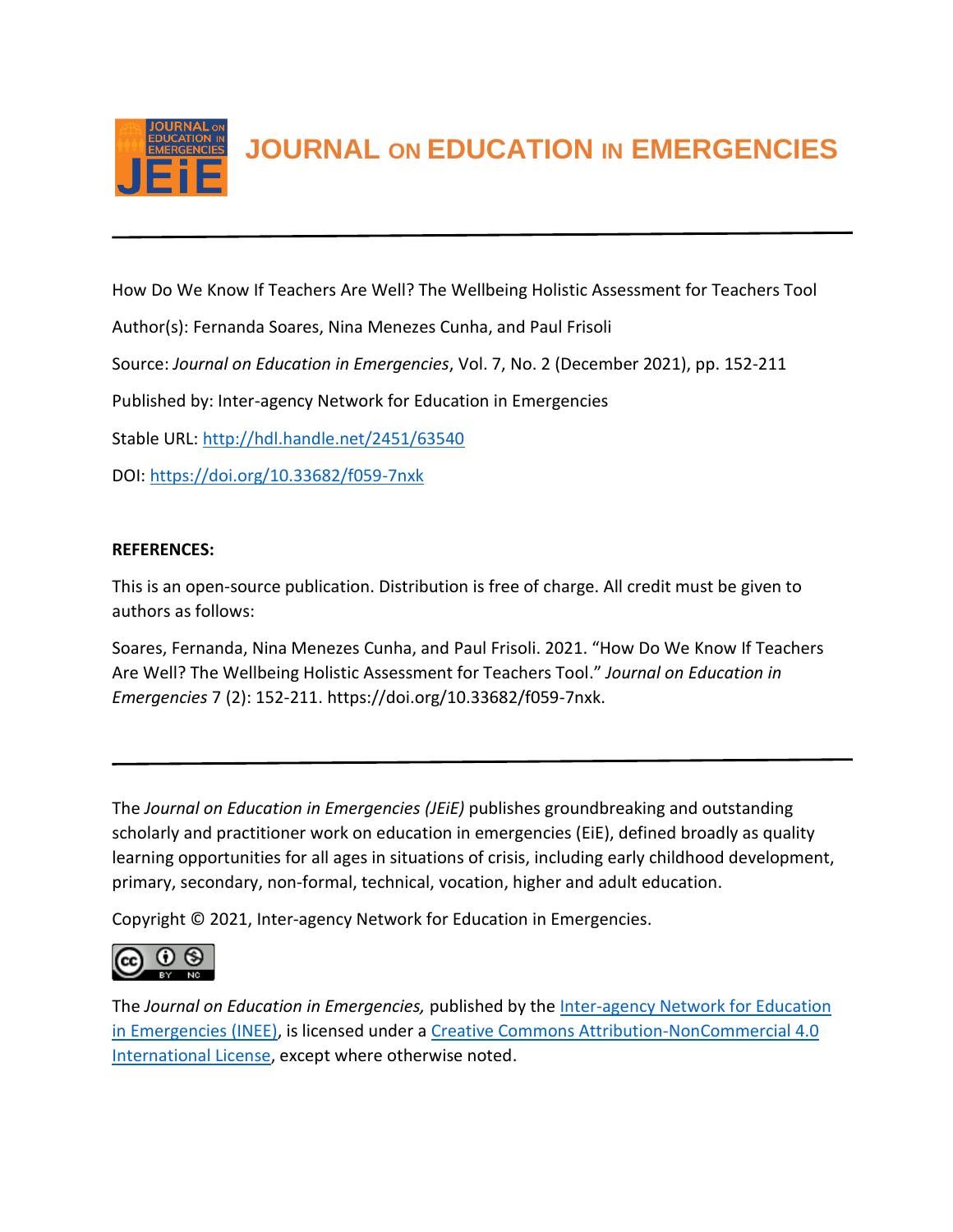

**JOURNAL ON EDUCATION IN EMERGENCIES**

How Do We Know If Teachers Are Well? The Wellbeing Holistic Assessment for Teachers Tool

Author(s): Fernanda Soares, Nina Menezes Cunha, and Paul Frisoli

Source: *Journal on Education in Emergencies*, Vol. 7, No. 2 (December 2021), pp. 152-211

Published by: Inter-agency Network for Education in Emergencies

Stable URL:<http://hdl.handle.net/2451/63540>

DOI:<https://doi.org/10.33682/f059-7nxk>

## **REFERENCES:**

This is an open-source publication. Distribution is free of charge. All credit must be given to authors as follows:

Soares, Fernanda, Nina Menezes Cunha, and Paul Frisoli. 2021. "How Do We Know If Teachers Are Well? The Wellbeing Holistic Assessment for Teachers Tool." *Journal on Education in Emergencies* 7 (2): 152-211. https://doi.org/10.33682/f059-7nxk.

The *Journal on Education in Emergencies (JEiE)* publishes groundbreaking and outstanding scholarly and practitioner work on education in emergencies (EiE), defined broadly as quality learning opportunities for all ages in situations of crisis, including early childhood development, primary, secondary, non-formal, technical, vocation, higher and adult education.

Copyright © 2021, Inter-agency Network for Education in Emergencies.



The *Journal on Education in Emergencies,* published by the [Inter-agency Network for Education](https://inee.org/evidence/journal)  [in Emergencies \(INEE\),](https://inee.org/evidence/journal) is licensed under a [Creative Commons Attribution-NonCommercial 4.0](https://creativecommons.org/licenses/by-nc/4.0/)  [International License,](https://creativecommons.org/licenses/by-nc/4.0/) except where otherwise noted.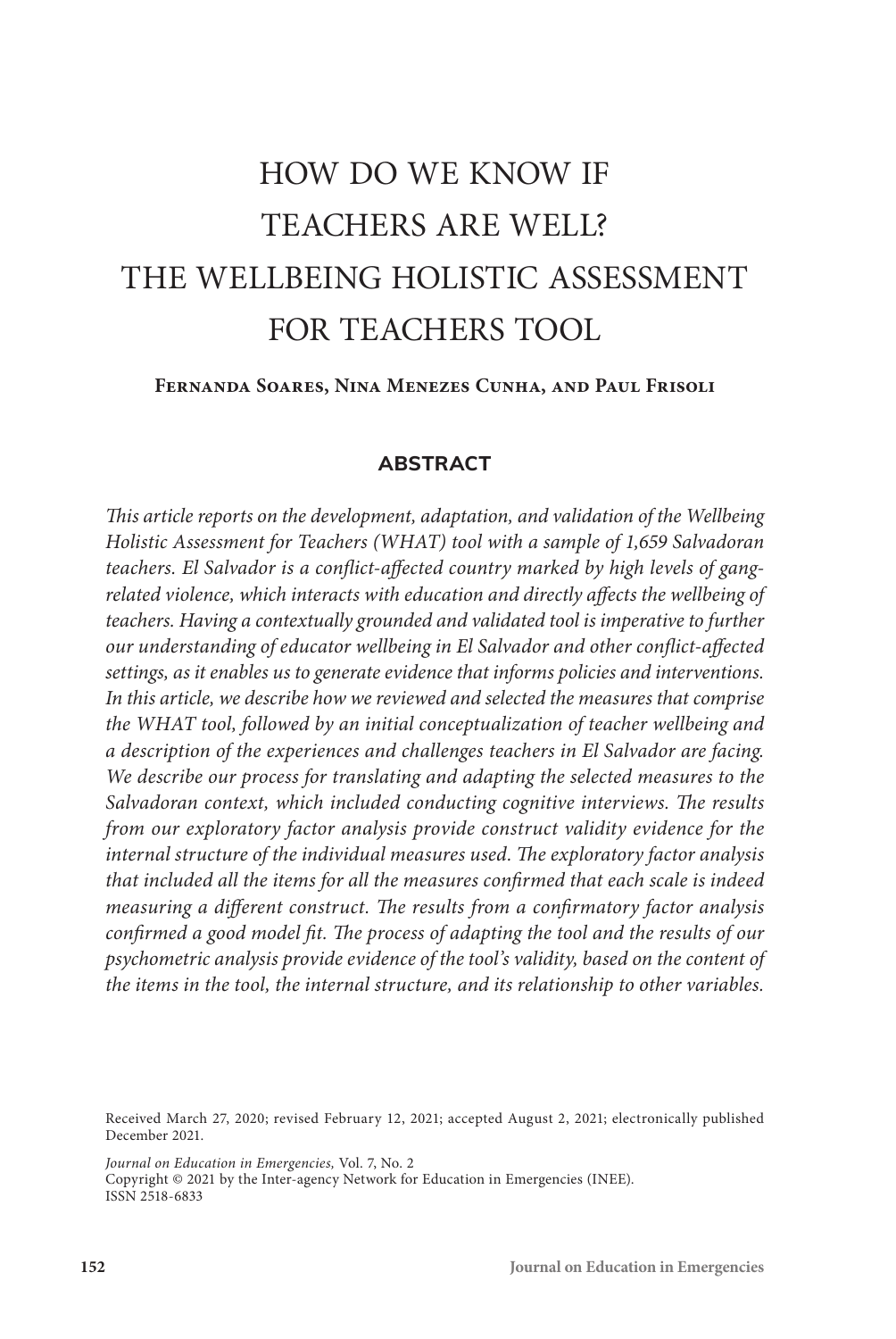# HOW DO WE KNOW IF TEACHERS ARE WELL? THE WELLBEING HOLISTIC ASSESSMENT FOR TEACHERS TOOL

#### **Fernanda Soares, Nina Menezes Cunha, and Paul Frisoli**

## **ABSTRACT**

*This article reports on the development, adaptation, and validation of the Wellbeing Holistic Assessment for Teachers (WHAT) tool with a sample of 1,659 Salvadoran teachers. El Salvador is a conflict-affected country marked by high levels of gangrelated violence, which interacts with education and directly affects the wellbeing of*  teachers. Having a contextually grounded and validated tool is imperative to further *our understanding of educator wellbeing in El Salvador and other conflict-affected settings, as it enables us to generate evidence that informs policies and interventions. In this article, we describe how we reviewed and selected the measures that comprise the WHAT tool, followed by an initial conceptualization of teacher wellbeing and a description of the experiences and challenges teachers in El Salvador are facing. We describe our process for translating and adapting the selected measures to the Salvadoran context, which included conducting cognitive interviews. The results from our exploratory factor analysis provide construct validity evidence for the internal structure of the individual measures used. The exploratory factor analysis that included all the items for all the measures confirmed that each scale is indeed measuring a different construct. The results from a confirmatory factor analysis confirmed a good model fit. The process of adapting the tool and the results of our psychometric analysis provide evidence of the tool's validity, based on the content of the items in the tool, the internal structure, and its relationship to other variables.* 

*Journal on Education in Emergencies,* Vol. 7, No. 2 Copyright © 2021 by the Inter-agency Network for Education in Emergencies (INEE). ISSN 2518-6833

Received March 27, 2020; revised February 12, 2021; accepted August 2, 2021; electronically published December 2021.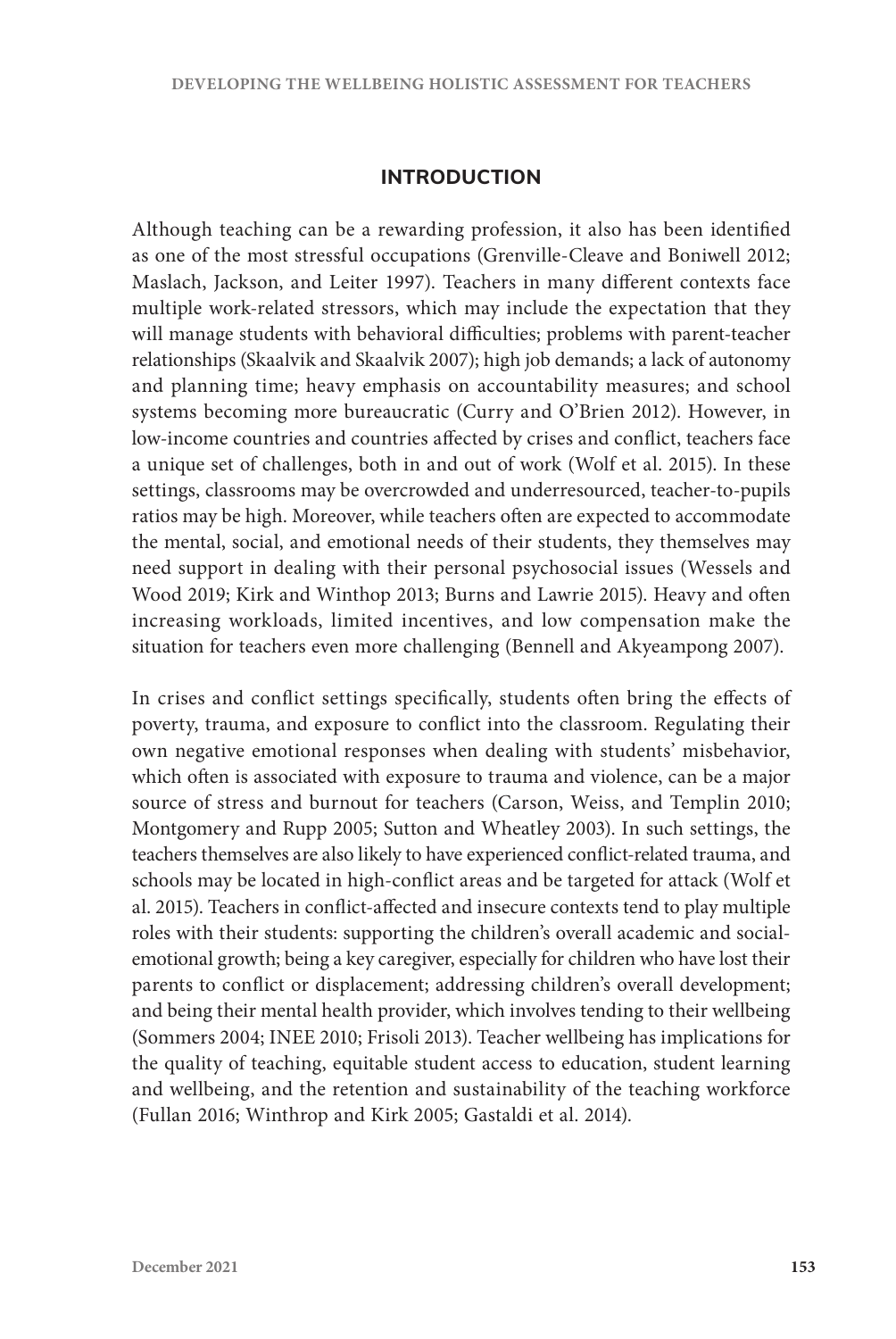## **INTRODUCTION**

Although teaching can be a rewarding profession, it also has been identified as one of the most stressful occupations (Grenville-Cleave and Boniwell 2012; Maslach, Jackson, and Leiter 1997). Teachers in many different contexts face multiple work-related stressors, which may include the expectation that they will manage students with behavioral difficulties; problems with parent-teacher relationships (Skaalvik and Skaalvik 2007); high job demands; a lack of autonomy and planning time; heavy emphasis on accountability measures; and school systems becoming more bureaucratic (Curry and O'Brien 2012). However, in low-income countries and countries affected by crises and conflict, teachers face a unique set of challenges, both in and out of work (Wolf et al. 2015). In these settings, classrooms may be overcrowded and underresourced, teacher-to-pupils ratios may be high. Moreover, while teachers often are expected to accommodate the mental, social, and emotional needs of their students, they themselves may need support in dealing with their personal psychosocial issues (Wessels and Wood 2019; Kirk and Winthop 2013; Burns and Lawrie 2015). Heavy and often increasing workloads, limited incentives, and low compensation make the situation for teachers even more challenging (Bennell and Akyeampong 2007).

In crises and conflict settings specifically, students often bring the effects of poverty, trauma, and exposure to conflict into the classroom. Regulating their own negative emotional responses when dealing with students' misbehavior, which often is associated with exposure to trauma and violence, can be a major source of stress and burnout for teachers (Carson, Weiss, and Templin 2010; Montgomery and Rupp 2005; Sutton and Wheatley 2003). In such settings, the teachers themselves are also likely to have experienced conflict-related trauma, and schools may be located in high-conflict areas and be targeted for attack (Wolf et al. 2015). Teachers in conflict-affected and insecure contexts tend to play multiple roles with their students: supporting the children's overall academic and socialemotional growth; being a key caregiver, especially for children who have lost their parents to conflict or displacement; addressing children's overall development; and being their mental health provider, which involves tending to their wellbeing (Sommers 2004; INEE 2010; Frisoli 2013). Teacher wellbeing has implications for the quality of teaching, equitable student access to education, student learning and wellbeing, and the retention and sustainability of the teaching workforce (Fullan 2016; Winthrop and Kirk 2005; Gastaldi et al. 2014).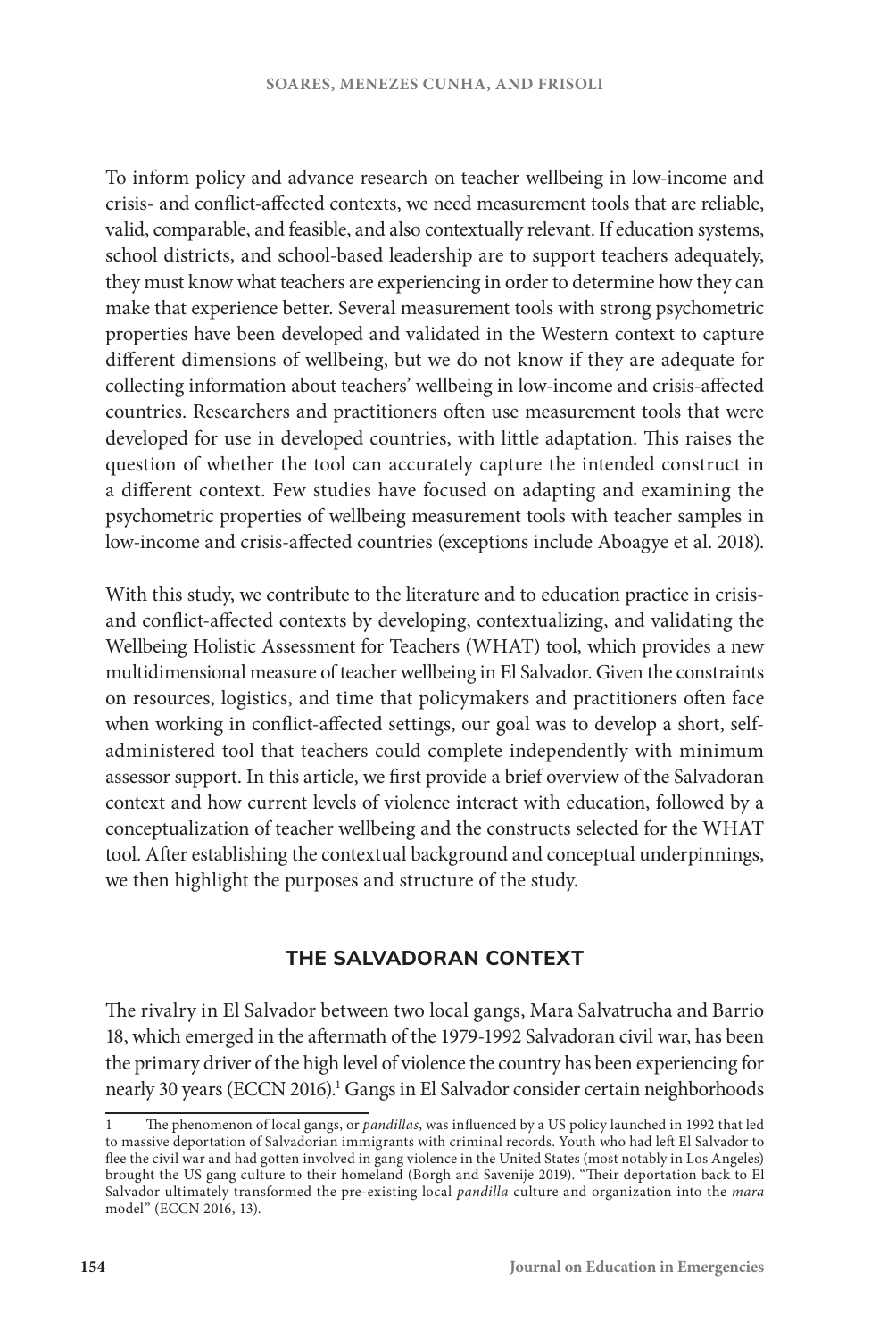To inform policy and advance research on teacher wellbeing in low-income and crisis- and conflict-affected contexts, we need measurement tools that are reliable, valid, comparable, and feasible, and also contextually relevant. If education systems, school districts, and school-based leadership are to support teachers adequately, they must know what teachers are experiencing in order to determine how they can make that experience better. Several measurement tools with strong psychometric properties have been developed and validated in the Western context to capture different dimensions of wellbeing, but we do not know if they are adequate for collecting information about teachers' wellbeing in low-income and crisis-affected countries. Researchers and practitioners often use measurement tools that were developed for use in developed countries, with little adaptation. This raises the question of whether the tool can accurately capture the intended construct in a different context. Few studies have focused on adapting and examining the psychometric properties of wellbeing measurement tools with teacher samples in low-income and crisis-affected countries (exceptions include Aboagye et al. 2018).

With this study, we contribute to the literature and to education practice in crisisand conflict-affected contexts by developing, contextualizing, and validating the Wellbeing Holistic Assessment for Teachers (WHAT) tool, which provides a new multidimensional measure of teacher wellbeing in El Salvador. Given the constraints on resources, logistics, and time that policymakers and practitioners often face when working in conflict-affected settings, our goal was to develop a short, selfadministered tool that teachers could complete independently with minimum assessor support. In this article, we first provide a brief overview of the Salvadoran context and how current levels of violence interact with education, followed by a conceptualization of teacher wellbeing and the constructs selected for the WHAT tool. After establishing the contextual background and conceptual underpinnings, we then highlight the purposes and structure of the study.

# **THE SALVADORAN CONTEXT**

The rivalry in El Salvador between two local gangs, Mara Salvatrucha and Barrio 18, which emerged in the aftermath of the 1979-1992 Salvadoran civil war, has been the primary driver of the high level of violence the country has been experiencing for nearly 30 years (ECCN 2016).<sup>1</sup> Gangs in El Salvador consider certain neighborhoods

<sup>1</sup> The phenomenon of local gangs, or *pandillas*, was influenced by a US policy launched in 1992 that led to massive deportation of Salvadorian immigrants with criminal records. Youth who had left El Salvador to flee the civil war and had gotten involved in gang violence in the United States (most notably in Los Angeles) brought the US gang culture to their homeland (Borgh and Savenije 2019). "Their deportation back to El Salvador ultimately transformed the pre-existing local *pandilla* culture and organization into the *mara*  model" (ECCN 2016, 13).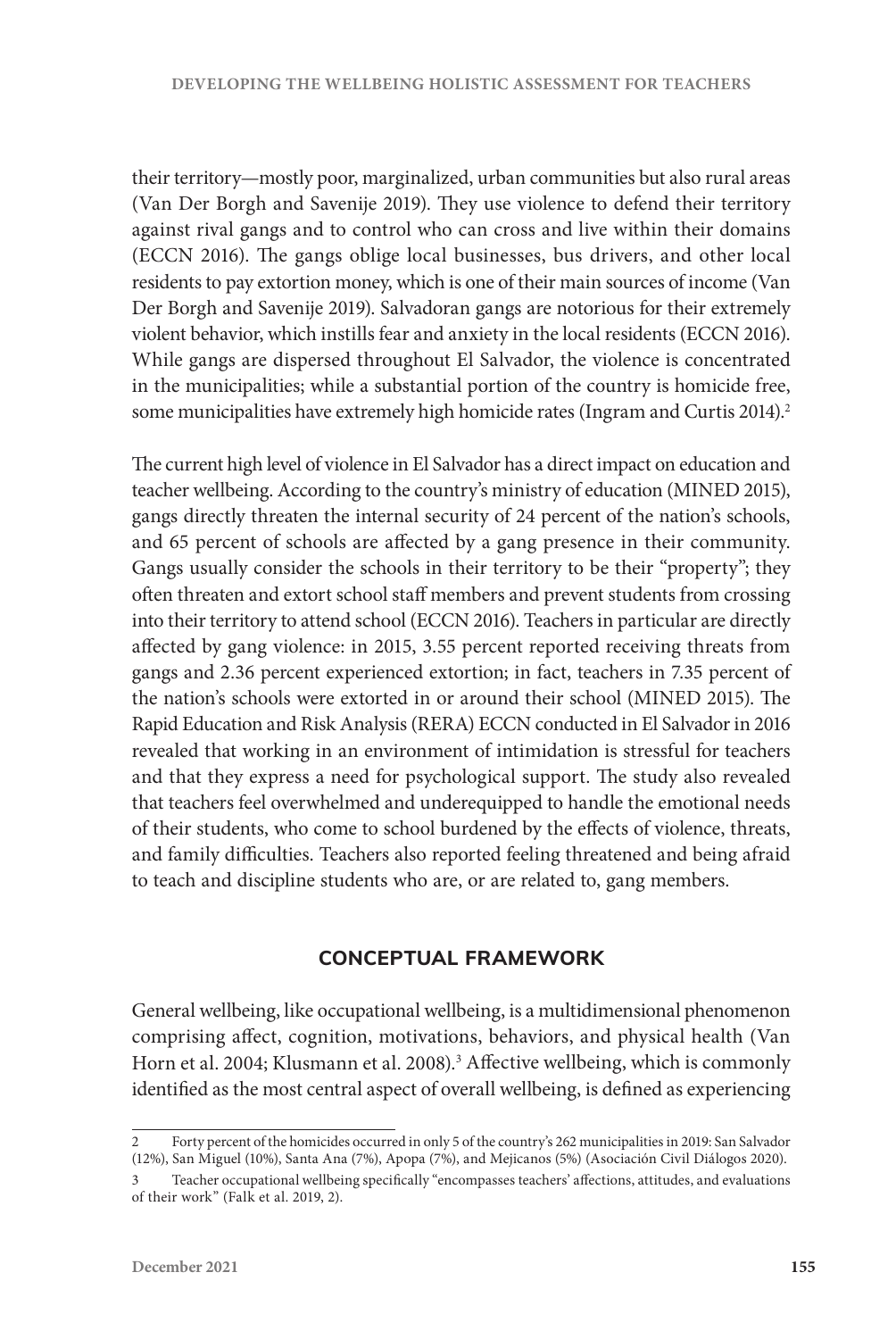their territory—mostly poor, marginalized, urban communities but also rural areas (Van Der Borgh and Savenije 2019). They use violence to defend their territory against rival gangs and to control who can cross and live within their domains (ECCN 2016). The gangs oblige local businesses, bus drivers, and other local residents to pay extortion money, which is one of their main sources of income (Van Der Borgh and Savenije 2019). Salvadoran gangs are notorious for their extremely violent behavior, which instills fear and anxiety in the local residents (ECCN 2016). While gangs are dispersed throughout El Salvador, the violence is concentrated in the municipalities; while a substantial portion of the country is homicide free, some municipalities have extremely high homicide rates (Ingram and Curtis 2014).<sup>2</sup>

The current high level of violence in El Salvador has a direct impact on education and teacher wellbeing. According to the country's ministry of education (MINED 2015), gangs directly threaten the internal security of 24 percent of the nation's schools, and 65 percent of schools are affected by a gang presence in their community. Gangs usually consider the schools in their territory to be their "property"; they often threaten and extort school staff members and prevent students from crossing into their territory to attend school (ECCN 2016). Teachers in particular are directly affected by gang violence: in 2015, 3.55 percent reported receiving threats from gangs and 2.36 percent experienced extortion; in fact, teachers in 7.35 percent of the nation's schools were extorted in or around their school (MINED 2015). The Rapid Education and Risk Analysis (RERA) ECCN conducted in El Salvador in 2016 revealed that working in an environment of intimidation is stressful for teachers and that they express a need for psychological support. The study also revealed that teachers feel overwhelmed and underequipped to handle the emotional needs of their students, who come to school burdened by the effects of violence, threats, and family difficulties. Teachers also reported feeling threatened and being afraid to teach and discipline students who are, or are related to, gang members.

# **CONCEPTUAL FRAMEWORK**

General wellbeing, like occupational wellbeing, is a multidimensional phenomenon comprising affect, cognition, motivations, behaviors, and physical health (Van Horn et al. 2004; Klusmann et al. 2008).<sup>3</sup> Affective wellbeing, which is commonly identified as the most central aspect of overall wellbeing, is defined as experiencing

<sup>2</sup> Forty percent of the homicides occurred in only 5 of the country's 262 municipalities in 2019: San Salvador (12%), San Miguel (10%), Santa Ana (7%), Apopa (7%), and Mejicanos (5%) (Asociación Civil Diálogos 2020).

<sup>3</sup> Teacher occupational wellbeing specifically "encompasses teachers' affections, attitudes, and evaluations of their work" (Falk et al. 2019, 2).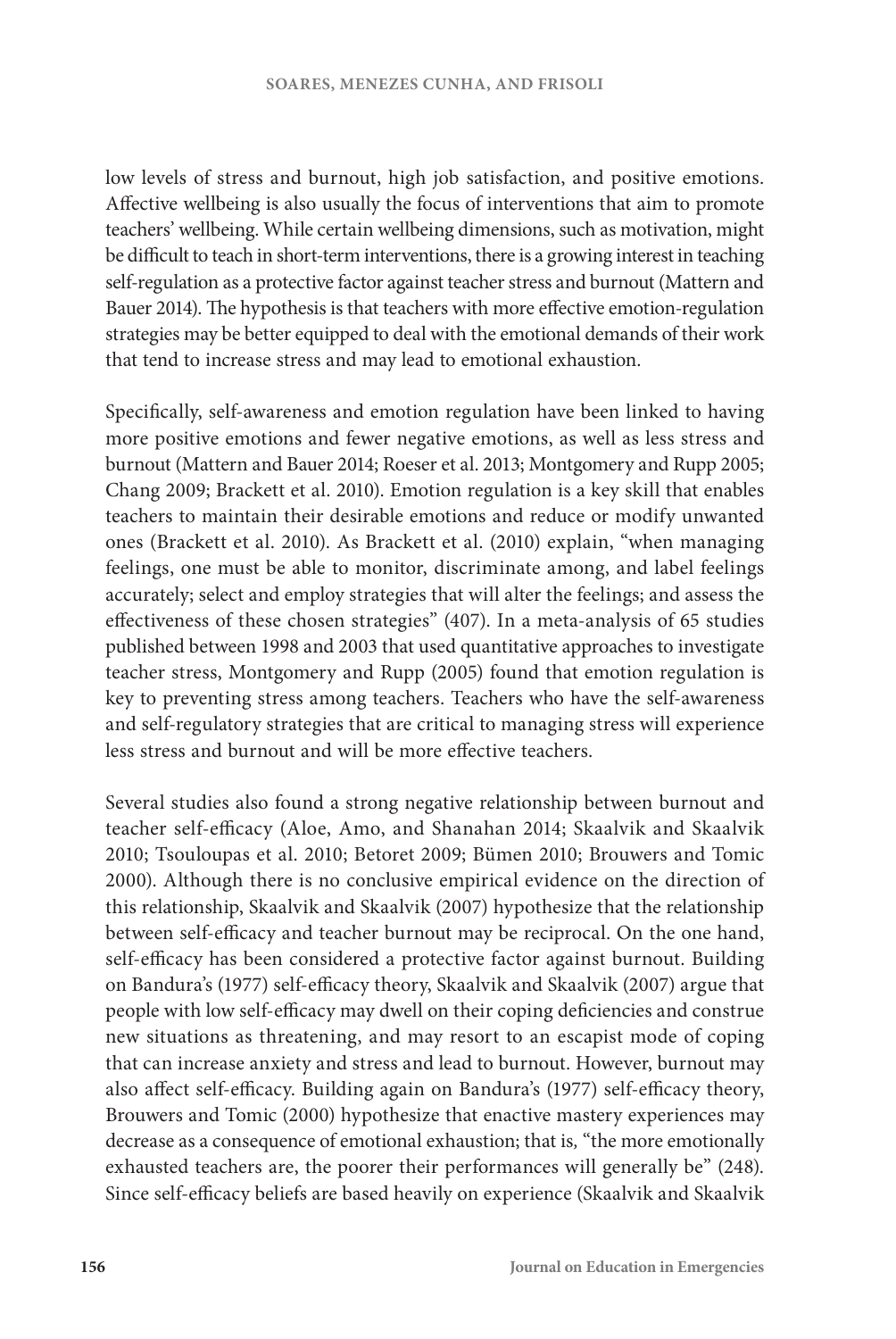low levels of stress and burnout, high job satisfaction, and positive emotions. Affective wellbeing is also usually the focus of interventions that aim to promote teachers' wellbeing. While certain wellbeing dimensions, such as motivation, might be difficult to teach in short-term interventions, there is a growing interest in teaching self-regulation as a protective factor against teacher stress and burnout (Mattern and Bauer 2014). The hypothesis is that teachers with more effective emotion-regulation strategies may be better equipped to deal with the emotional demands of their work that tend to increase stress and may lead to emotional exhaustion.

Specifically, self-awareness and emotion regulation have been linked to having more positive emotions and fewer negative emotions, as well as less stress and burnout (Mattern and Bauer 2014; Roeser et al. 2013; Montgomery and Rupp 2005; Chang 2009; Brackett et al. 2010). Emotion regulation is a key skill that enables teachers to maintain their desirable emotions and reduce or modify unwanted ones (Brackett et al. 2010). As Brackett et al. (2010) explain, "when managing feelings, one must be able to monitor, discriminate among, and label feelings accurately; select and employ strategies that will alter the feelings; and assess the effectiveness of these chosen strategies" (407). In a meta-analysis of 65 studies published between 1998 and 2003 that used quantitative approaches to investigate teacher stress, Montgomery and Rupp (2005) found that emotion regulation is key to preventing stress among teachers. Teachers who have the self-awareness and self-regulatory strategies that are critical to managing stress will experience less stress and burnout and will be more effective teachers.

Several studies also found a strong negative relationship between burnout and teacher self-efficacy (Aloe, Amo, and Shanahan 2014; Skaalvik and Skaalvik 2010; Tsouloupas et al. 2010; Betoret 2009; Bümen 2010; Brouwers and Tomic 2000). Although there is no conclusive empirical evidence on the direction of this relationship, Skaalvik and Skaalvik (2007) hypothesize that the relationship between self-efficacy and teacher burnout may be reciprocal. On the one hand, self-efficacy has been considered a protective factor against burnout. Building on Bandura's (1977) self-efficacy theory, Skaalvik and Skaalvik (2007) argue that people with low self-efficacy may dwell on their coping deficiencies and construe new situations as threatening, and may resort to an escapist mode of coping that can increase anxiety and stress and lead to burnout. However, burnout may also affect self-efficacy. Building again on Bandura's (1977) self-efficacy theory, Brouwers and Tomic (2000) hypothesize that enactive mastery experiences may decrease as a consequence of emotional exhaustion; that is*,* "the more emotionally exhausted teachers are, the poorer their performances will generally be" (248). Since self-efficacy beliefs are based heavily on experience (Skaalvik and Skaalvik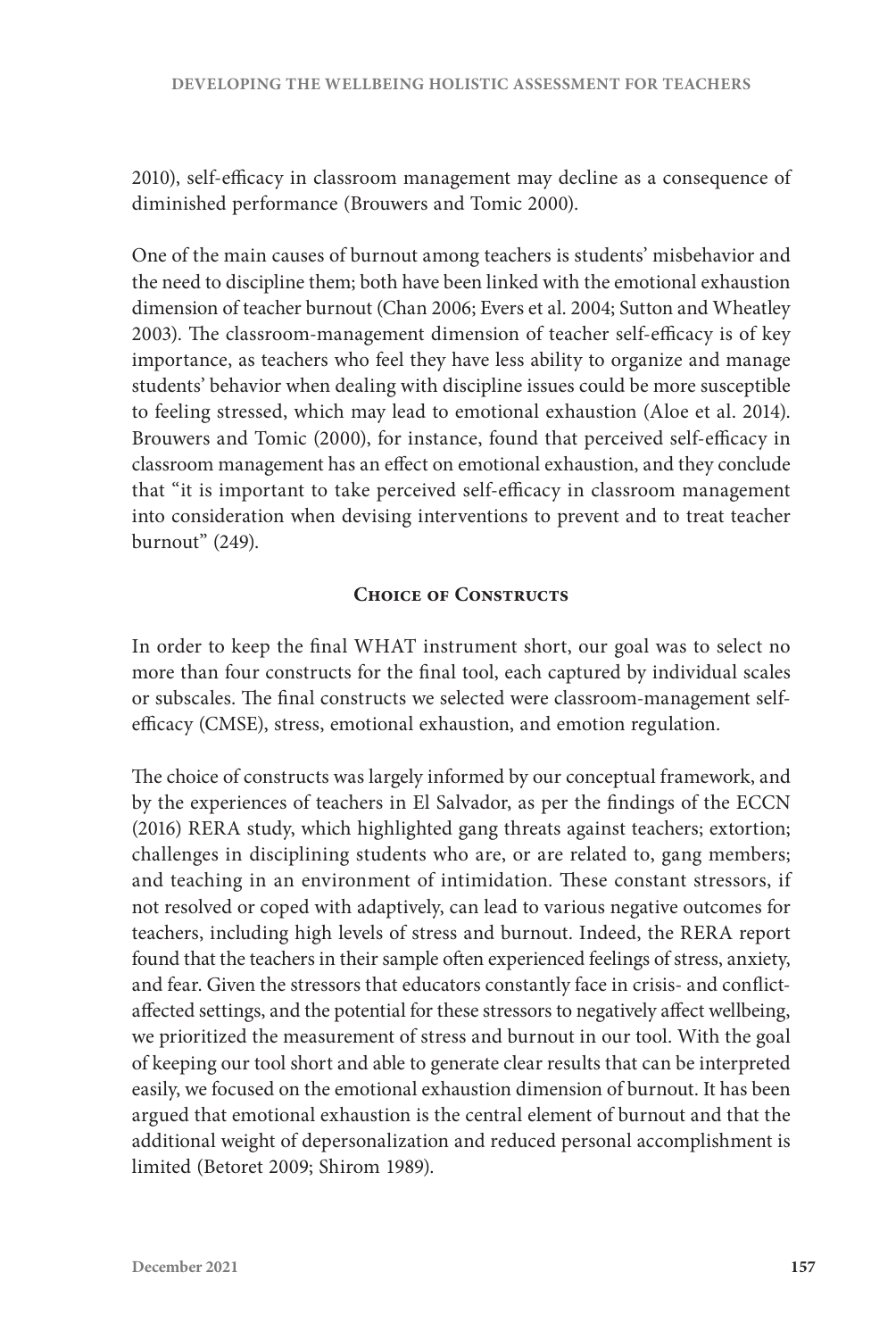2010), self-efficacy in classroom management may decline as a consequence of diminished performance (Brouwers and Tomic 2000).

One of the main causes of burnout among teachers is students' misbehavior and the need to discipline them; both have been linked with the emotional exhaustion dimension of teacher burnout (Chan 2006; Evers et al. 2004; Sutton and Wheatley 2003). The classroom-management dimension of teacher self-efficacy is of key importance, as teachers who feel they have less ability to organize and manage students' behavior when dealing with discipline issues could be more susceptible to feeling stressed, which may lead to emotional exhaustion (Aloe et al. 2014). Brouwers and Tomic (2000), for instance, found that perceived self-efficacy in classroom management has an effect on emotional exhaustion, and they conclude that "it is important to take perceived self-efficacy in classroom management into consideration when devising interventions to prevent and to treat teacher burnout" (249).

## **Choice of Constructs**

In order to keep the final WHAT instrument short, our goal was to select no more than four constructs for the final tool, each captured by individual scales or subscales. The final constructs we selected were classroom-management selfefficacy (CMSE), stress, emotional exhaustion, and emotion regulation.

The choice of constructs was largely informed by our conceptual framework, and by the experiences of teachers in El Salvador, as per the findings of the ECCN (2016) RERA study, which highlighted gang threats against teachers; extortion; challenges in disciplining students who are, or are related to, gang members; and teaching in an environment of intimidation. These constant stressors, if not resolved or coped with adaptively, can lead to various negative outcomes for teachers, including high levels of stress and burnout. Indeed, the RERA report found that the teachers in their sample often experienced feelings of stress, anxiety, and fear. Given the stressors that educators constantly face in crisis- and conflictaffected settings, and the potential for these stressors to negatively affect wellbeing, we prioritized the measurement of stress and burnout in our tool. With the goal of keeping our tool short and able to generate clear results that can be interpreted easily, we focused on the emotional exhaustion dimension of burnout. It has been argued that emotional exhaustion is the central element of burnout and that the additional weight of depersonalization and reduced personal accomplishment is limited (Betoret 2009; Shirom 1989).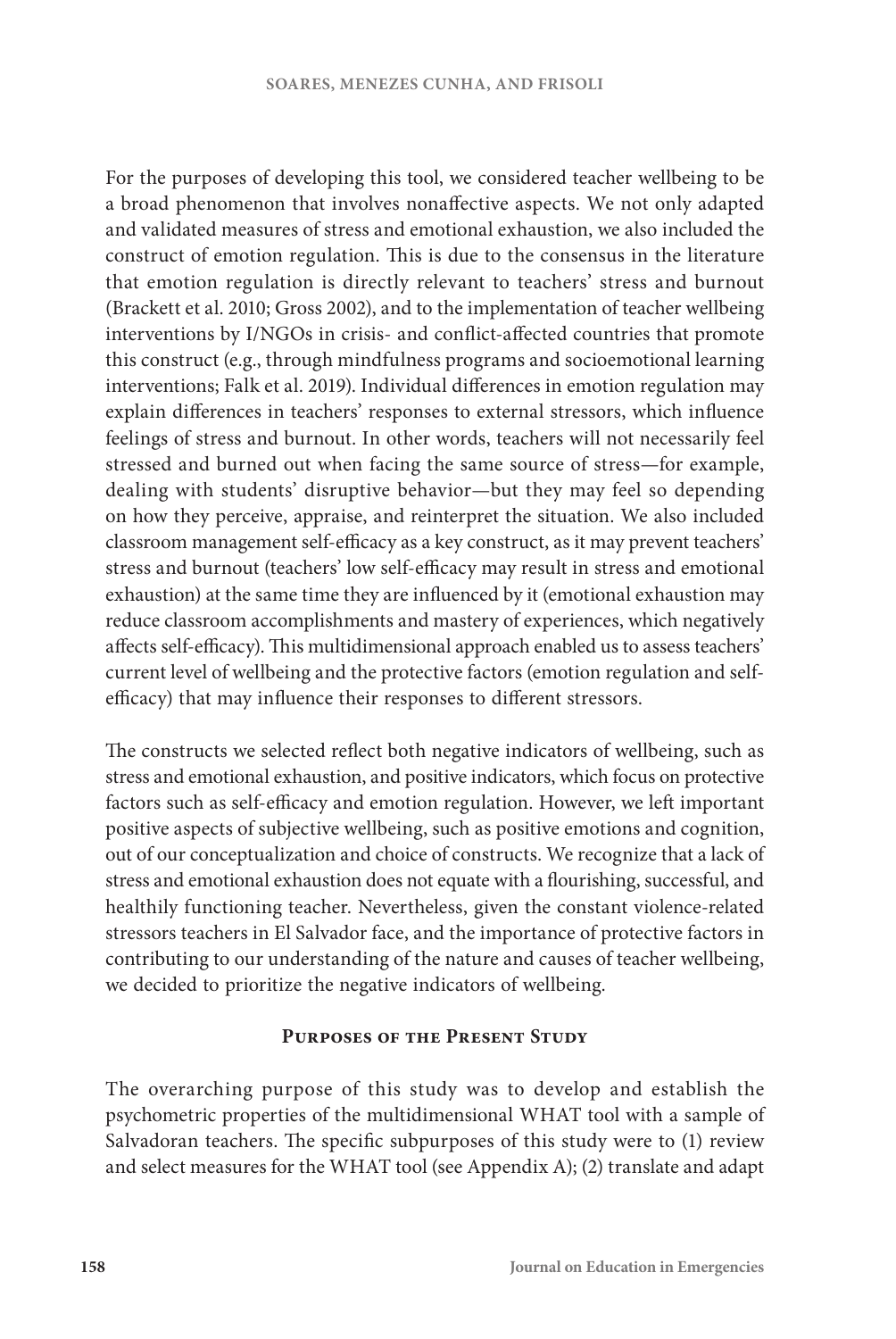For the purposes of developing this tool, we considered teacher wellbeing to be a broad phenomenon that involves nonaffective aspects. We not only adapted and validated measures of stress and emotional exhaustion, we also included the construct of emotion regulation. This is due to the consensus in the literature that emotion regulation is directly relevant to teachers' stress and burnout (Brackett et al. 2010; Gross 2002), and to the implementation of teacher wellbeing interventions by I/NGOs in crisis- and conflict-affected countries that promote this construct (e.g., through mindfulness programs and socioemotional learning interventions; Falk et al. 2019). Individual differences in emotion regulation may explain differences in teachers' responses to external stressors, which influence feelings of stress and burnout. In other words, teachers will not necessarily feel stressed and burned out when facing the same source of stress—for example, dealing with students' disruptive behavior—but they may feel so depending on how they perceive, appraise, and reinterpret the situation. We also included classroom management self-efficacy as a key construct, as it may prevent teachers' stress and burnout (teachers' low self-efficacy may result in stress and emotional exhaustion) at the same time they are influenced by it (emotional exhaustion may reduce classroom accomplishments and mastery of experiences, which negatively affects self-efficacy). This multidimensional approach enabled us to assess teachers' current level of wellbeing and the protective factors (emotion regulation and selfefficacy) that may influence their responses to different stressors.

The constructs we selected reflect both negative indicators of wellbeing, such as stress and emotional exhaustion, and positive indicators, which focus on protective factors such as self-efficacy and emotion regulation. However, we left important positive aspects of subjective wellbeing, such as positive emotions and cognition, out of our conceptualization and choice of constructs. We recognize that a lack of stress and emotional exhaustion does not equate with a flourishing, successful, and healthily functioning teacher. Nevertheless, given the constant violence-related stressors teachers in El Salvador face, and the importance of protective factors in contributing to our understanding of the nature and causes of teacher wellbeing, we decided to prioritize the negative indicators of wellbeing.

#### **Purposes of the Present Study**

The overarching purpose of this study was to develop and establish the psychometric properties of the multidimensional WHAT tool with a sample of Salvadoran teachers. The specific subpurposes of this study were to (1) review and select measures for the WHAT tool (see Appendix A); (2) translate and adapt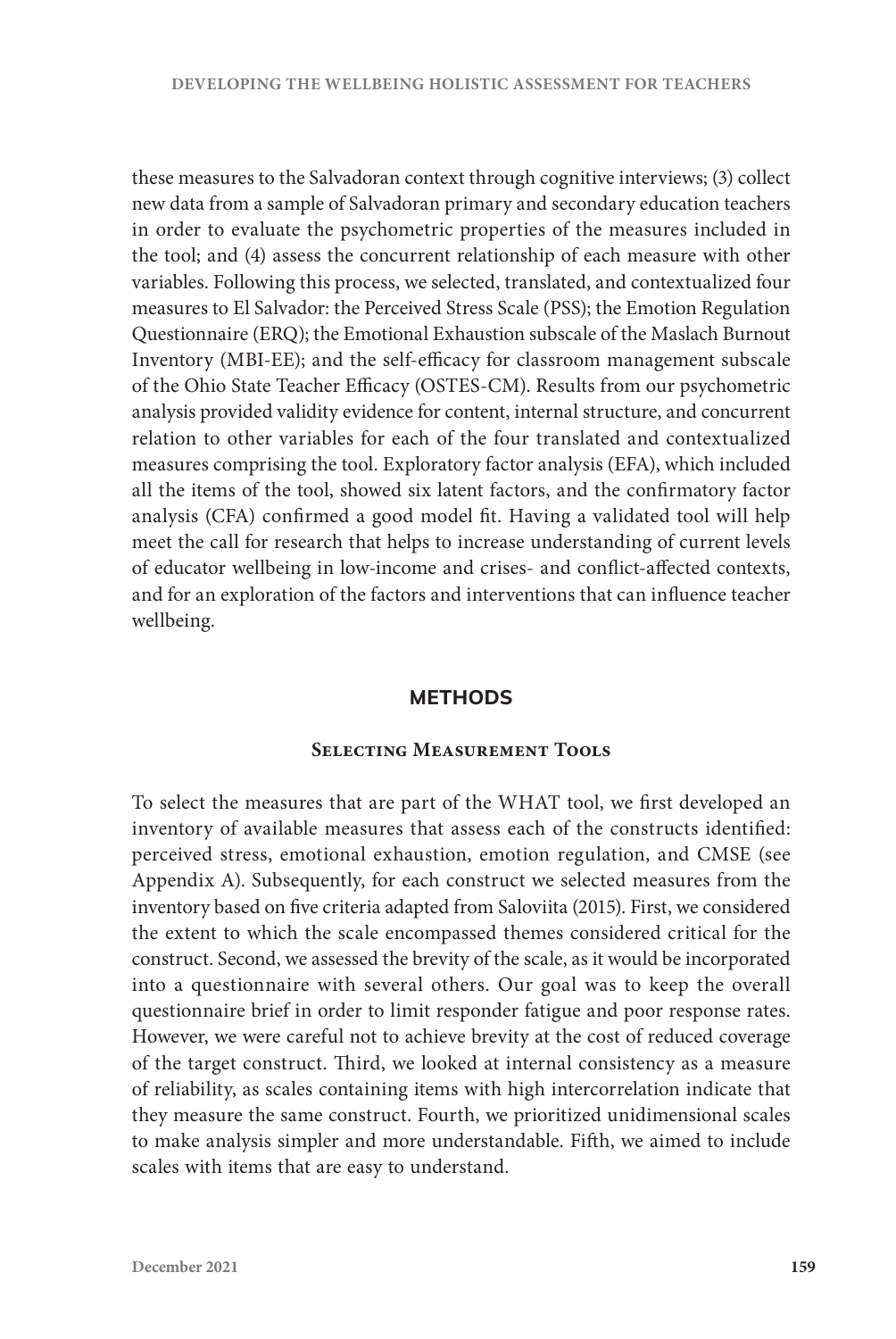these measures to the Salvadoran context through cognitive interviews; (3) collect new data from a sample of Salvadoran primary and secondary education teachers in order to evaluate the psychometric properties of the measures included in the tool; and (4) assess the concurrent relationship of each measure with other variables. Following this process, we selected, translated, and contextualized four measures to El Salvador: the Perceived Stress Scale (PSS); the Emotion Regulation Questionnaire (ERQ); the Emotional Exhaustion subscale of the Maslach Burnout Inventory (MBI-EE); and the self-efficacy for classroom management subscale of the Ohio State Teacher Efficacy (OSTES-CM). Results from our psychometric analysis provided validity evidence for content, internal structure, and concurrent relation to other variables for each of the four translated and contextualized measures comprising the tool. Exploratory factor analysis (EFA), which included all the items of the tool, showed six latent factors, and the confirmatory factor analysis (CFA) confirmed a good model fit. Having a validated tool will help meet the call for research that helps to increase understanding of current levels of educator wellbeing in low-income and crises- and conflict-affected contexts, and for an exploration of the factors and interventions that can influence teacher wellbeing.

#### **METHODS**

#### **Selecting Measurement Tools**

To select the measures that are part of the WHAT tool, we first developed an inventory of available measures that assess each of the constructs identified: perceived stress, emotional exhaustion, emotion regulation, and CMSE (see Appendix A). Subsequently, for each construct we selected measures from the inventory based on five criteria adapted from Saloviita (2015). First, we considered the extent to which the scale encompassed themes considered critical for the construct. Second, we assessed the brevity of the scale, as it would be incorporated into a questionnaire with several others. Our goal was to keep the overall questionnaire brief in order to limit responder fatigue and poor response rates. However, we were careful not to achieve brevity at the cost of reduced coverage of the target construct. Third, we looked at internal consistency as a measure of reliability, as scales containing items with high intercorrelation indicate that they measure the same construct. Fourth, we prioritized unidimensional scales to make analysis simpler and more understandable. Fifth, we aimed to include scales with items that are easy to understand.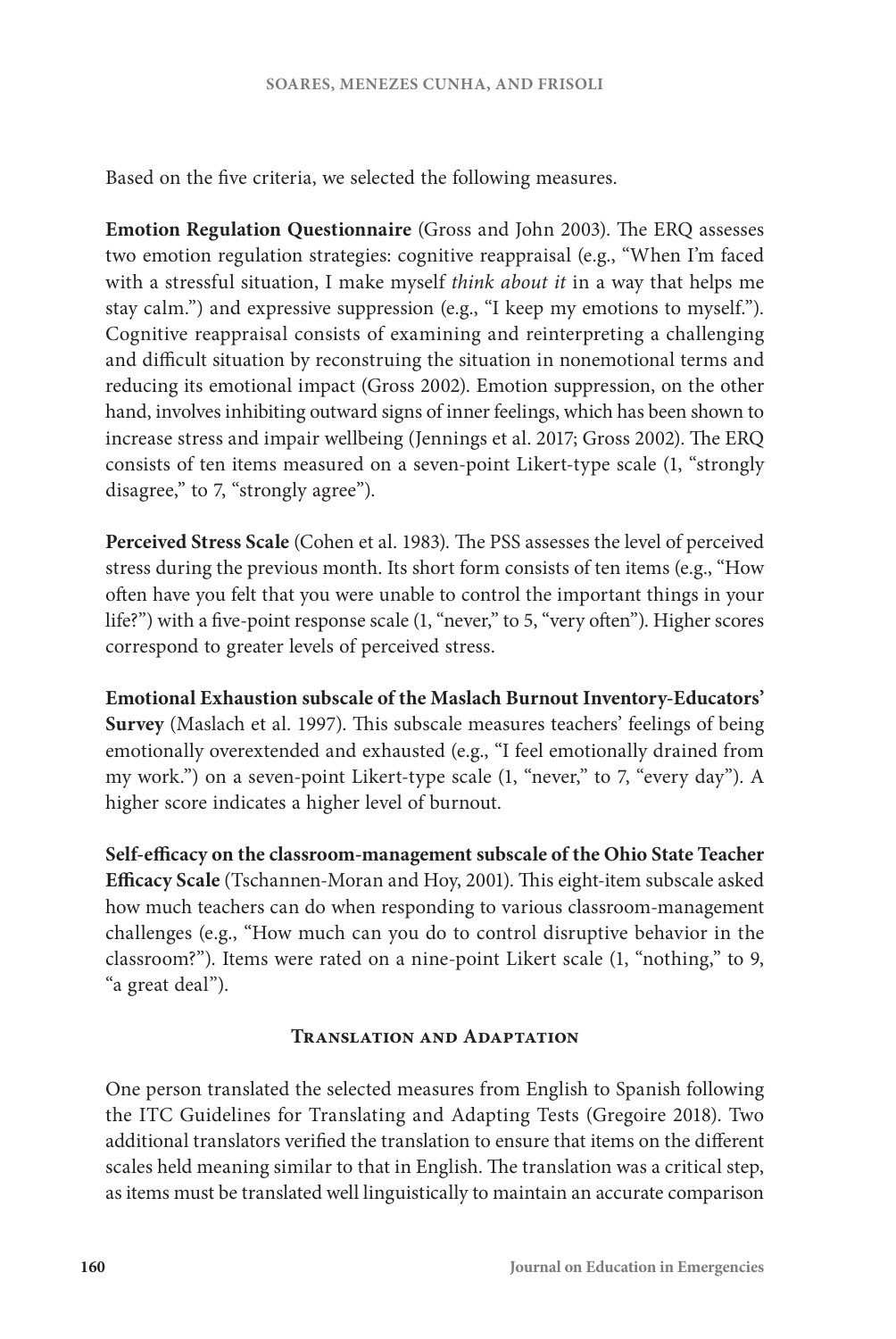Based on the five criteria, we selected the following measures.

**Emotion Regulation Questionnaire** (Gross and John 2003). The ERQ assesses two emotion regulation strategies: cognitive reappraisal (e.g., "When I'm faced with a stressful situation, I make myself *think about it* in a way that helps me stay calm.") and expressive suppression (e.g., "I keep my emotions to myself."). Cognitive reappraisal consists of examining and reinterpreting a challenging and difficult situation by reconstruing the situation in nonemotional terms and reducing its emotional impact (Gross 2002). Emotion suppression, on the other hand, involves inhibiting outward signs of inner feelings, which has been shown to increase stress and impair wellbeing (Jennings et al. 2017; Gross 2002). The ERQ consists of ten items measured on a seven-point Likert-type scale (1, "strongly disagree," to 7, "strongly agree").

**Perceived Stress Scale** (Cohen et al. 1983)*.* The PSS assesses the level of perceived stress during the previous month. Its short form consists of ten items (e.g., "How often have you felt that you were unable to control the important things in your life?") with a five-point response scale (1, "never," to 5, "very often"). Higher scores correspond to greater levels of perceived stress.

**Emotional Exhaustion subscale of the Maslach Burnout Inventory-Educators' Survey** (Maslach et al. 1997). This subscale measures teachers' feelings of being emotionally overextended and exhausted (e.g., "I feel emotionally drained from my work.") on a seven-point Likert-type scale (1, "never," to 7, "every day"). A higher score indicates a higher level of burnout.

**Self-efficacy on the classroom-management subscale of the Ohio State Teacher Efficacy Scale** (Tschannen-Moran and Hoy, 2001). This eight-item subscale asked how much teachers can do when responding to various classroom-management challenges (e.g., "How much can you do to control disruptive behavior in the classroom?"). Items were rated on a nine-point Likert scale (1, "nothing," to 9, "a great deal").

## **Translation and Adaptation**

One person translated the selected measures from English to Spanish following the ITC Guidelines for Translating and Adapting Tests (Gregoire 2018). Two additional translators verified the translation to ensure that items on the different scales held meaning similar to that in English. The translation was a critical step, as items must be translated well linguistically to maintain an accurate comparison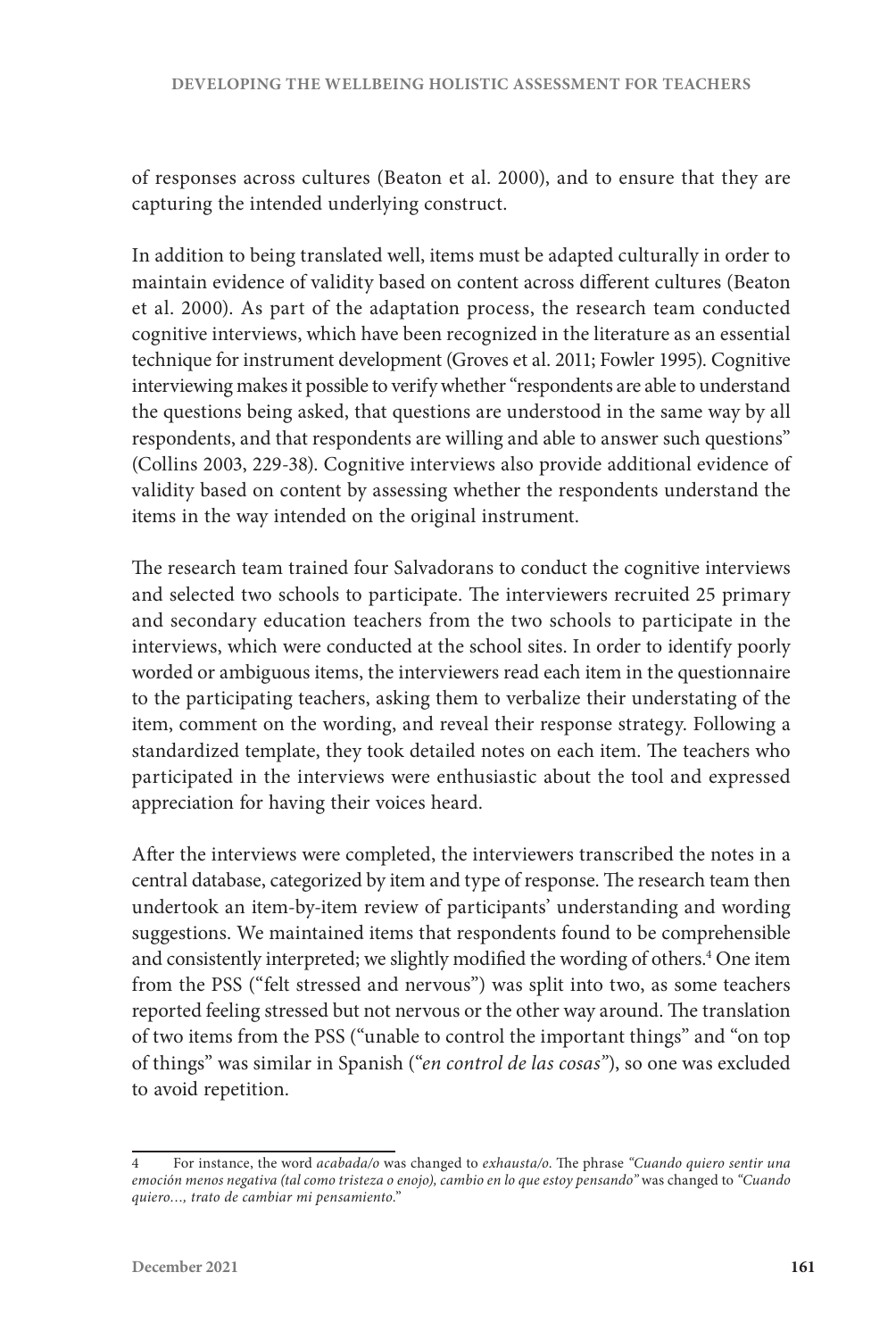of responses across cultures (Beaton et al. 2000), and to ensure that they are capturing the intended underlying construct.

In addition to being translated well, items must be adapted culturally in order to maintain evidence of validity based on content across different cultures (Beaton et al. 2000). As part of the adaptation process, the research team conducted cognitive interviews, which have been recognized in the literature as an essential technique for instrument development (Groves et al. 2011; Fowler 1995). Cognitive interviewing makes it possible to verify whether "respondents are able to understand the questions being asked, that questions are understood in the same way by all respondents, and that respondents are willing and able to answer such questions" (Collins 2003, 229-38). Cognitive interviews also provide additional evidence of validity based on content by assessing whether the respondents understand the items in the way intended on the original instrument.

The research team trained four Salvadorans to conduct the cognitive interviews and selected two schools to participate. The interviewers recruited 25 primary and secondary education teachers from the two schools to participate in the interviews, which were conducted at the school sites. In order to identify poorly worded or ambiguous items, the interviewers read each item in the questionnaire to the participating teachers, asking them to verbalize their understating of the item, comment on the wording, and reveal their response strategy. Following a standardized template, they took detailed notes on each item. The teachers who participated in the interviews were enthusiastic about the tool and expressed appreciation for having their voices heard.

After the interviews were completed, the interviewers transcribed the notes in a central database, categorized by item and type of response. The research team then undertook an item-by-item review of participants' understanding and wording suggestions. We maintained items that respondents found to be comprehensible and consistently interpreted; we slightly modified the wording of others.<sup>4</sup> One item from the PSS ("felt stressed and nervous") was split into two, as some teachers reported feeling stressed but not nervous or the other way around. The translation of two items from the PSS ("unable to control the important things" and "on top of things" was similar in Spanish ("*en control de las cosas"*), so one was excluded to avoid repetition.

<sup>4</sup> For instance, the word *acabada/o* was changed to *exhausta/o*. The phrase *"Cuando quiero sentir una emoción menos negativa (tal como tristeza o enojo), cambio en lo que estoy pensando"* was changed to *"Cuando quiero…, trato de cambiar mi pensamiento*."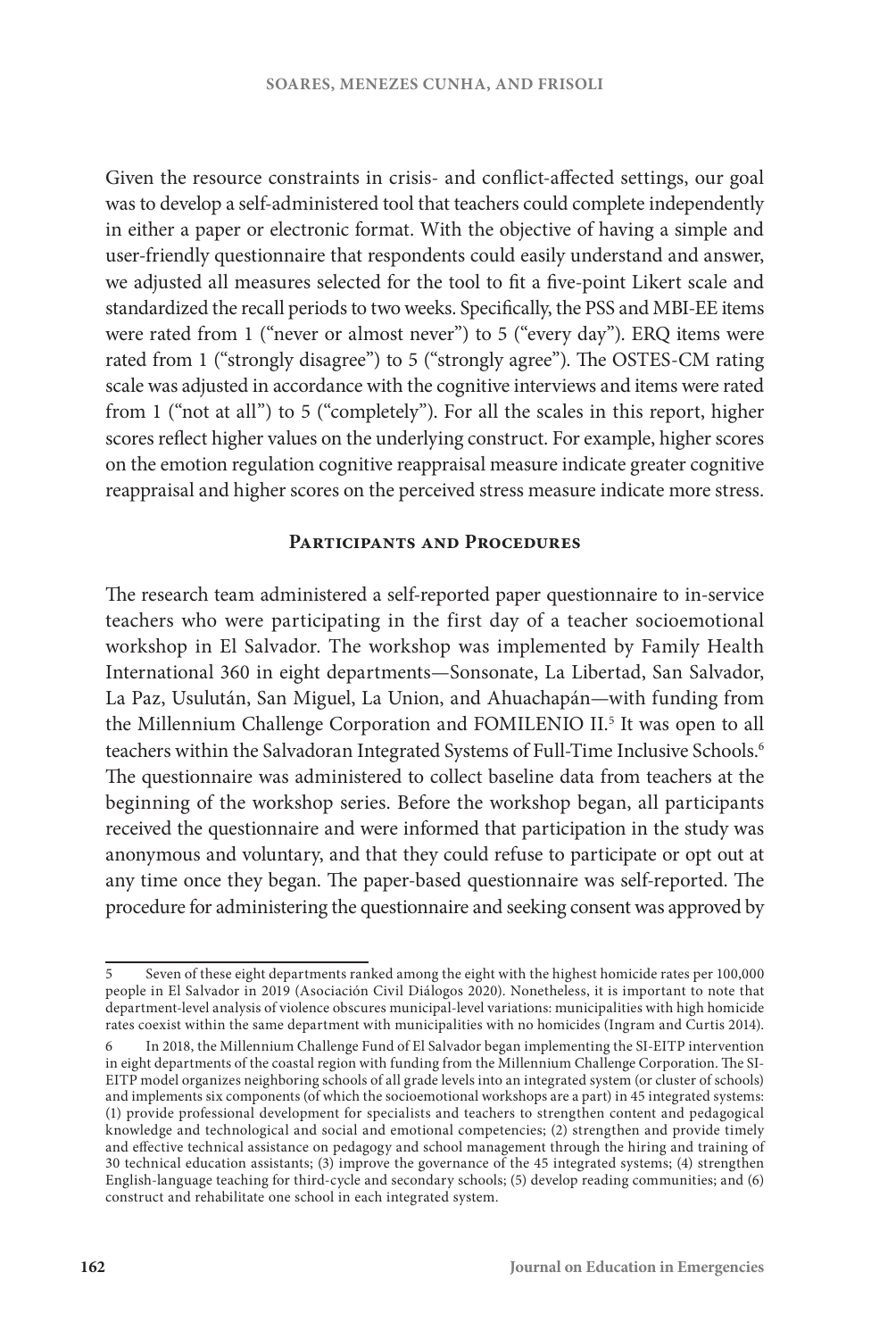Given the resource constraints in crisis- and conflict-affected settings, our goal was to develop a self-administered tool that teachers could complete independently in either a paper or electronic format. With the objective of having a simple and user-friendly questionnaire that respondents could easily understand and answer, we adjusted all measures selected for the tool to fit a five-point Likert scale and standardized the recall periods to two weeks. Specifically, the PSS and MBI-EE items were rated from 1 ("never or almost never") to 5 ("every day"). ERQ items were rated from 1 ("strongly disagree") to 5 ("strongly agree"). The OSTES-CM rating scale was adjusted in accordance with the cognitive interviews and items were rated from 1 ("not at all") to 5 ("completely"). For all the scales in this report, higher scores reflect higher values on the underlying construct. For example, higher scores on the emotion regulation cognitive reappraisal measure indicate greater cognitive reappraisal and higher scores on the perceived stress measure indicate more stress.

#### **Participants and Procedures**

The research team administered a self-reported paper questionnaire to in-service teachers who were participating in the first day of a teacher socioemotional workshop in El Salvador. The workshop was implemented by Family Health International 360 in eight departments—Sonsonate, La Libertad, San Salvador, La Paz, Usulután, San Miguel, La Union, and Ahuachapán—with funding from the Millennium Challenge Corporation and FOMILENIO II.<sup>5</sup> It was open to all teachers within the Salvadoran Integrated Systems of Full-Time Inclusive Schools.6 The questionnaire was administered to collect baseline data from teachers at the beginning of the workshop series. Before the workshop began, all participants received the questionnaire and were informed that participation in the study was anonymous and voluntary, and that they could refuse to participate or opt out at any time once they began. The paper-based questionnaire was self-reported. The procedure for administering the questionnaire and seeking consent was approved by

<sup>5</sup> Seven of these eight departments ranked among the eight with the highest homicide rates per 100,000 people in El Salvador in 2019 (Asociación Civil Diálogos 2020). Nonetheless, it is important to note that department-level analysis of violence obscures municipal-level variations: municipalities with high homicide rates coexist within the same department with municipalities with no homicides (Ingram and Curtis 2014).

<sup>6</sup> In 2018, the Millennium Challenge Fund of El Salvador began implementing the SI-EITP intervention in eight departments of the coastal region with funding from the Millennium Challenge Corporation. The SI-EITP model organizes neighboring schools of all grade levels into an integrated system (or cluster of schools) and implements six components (of which the socioemotional workshops are a part) in 45 integrated systems: (1) provide professional development for specialists and teachers to strengthen content and pedagogical knowledge and technological and social and emotional competencies; (2) strengthen and provide timely and effective technical assistance on pedagogy and school management through the hiring and training of 30 technical education assistants; (3) improve the governance of the 45 integrated systems; (4) strengthen English-language teaching for third-cycle and secondary schools; (5) develop reading communities; and (6) construct and rehabilitate one school in each integrated system.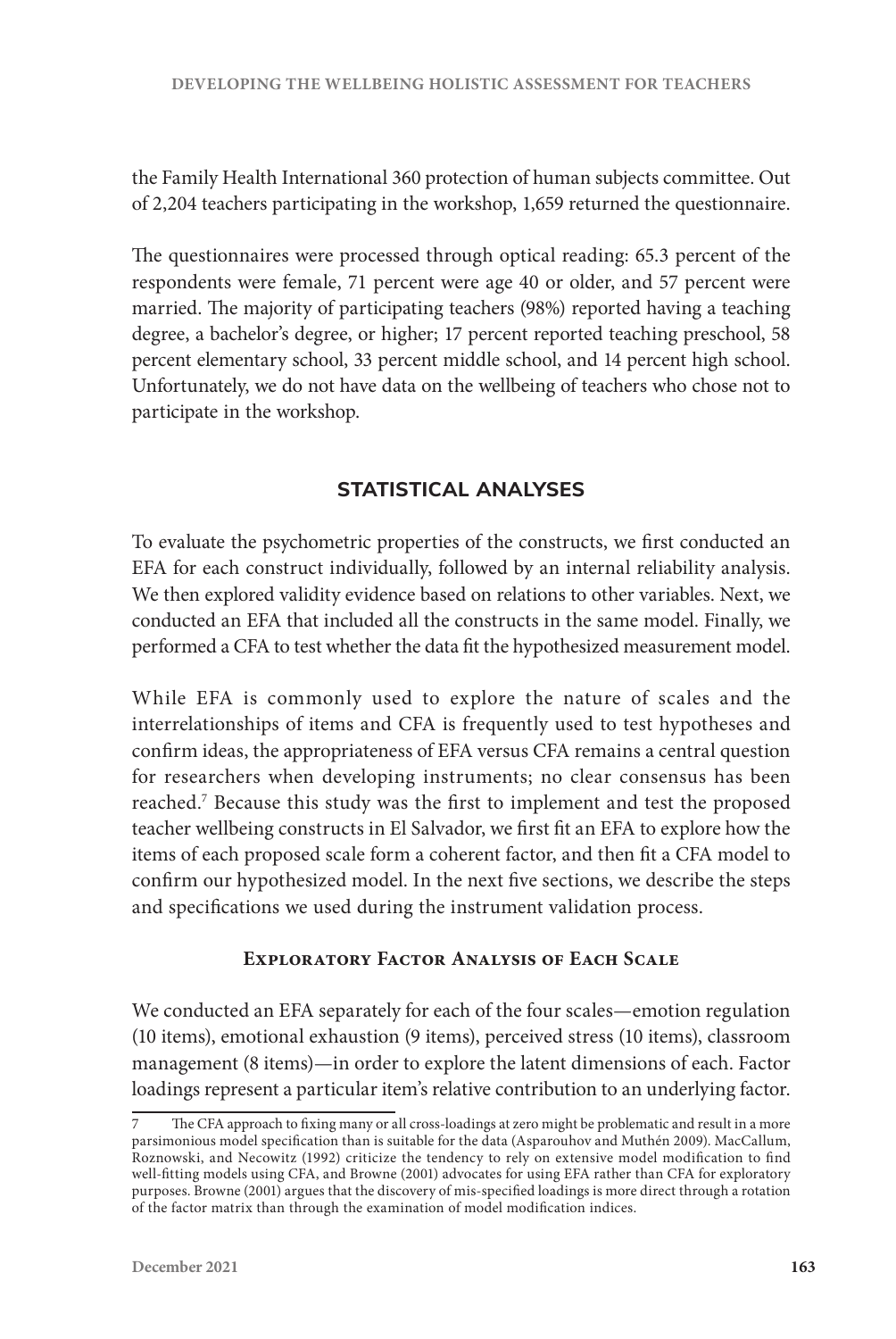the Family Health International 360 protection of human subjects committee. Out of 2,204 teachers participating in the workshop, 1,659 returned the questionnaire.

The questionnaires were processed through optical reading: 65.3 percent of the respondents were female, 71 percent were age 40 or older, and 57 percent were married. The majority of participating teachers (98%) reported having a teaching degree, a bachelor's degree, or higher; 17 percent reported teaching preschool, 58 percent elementary school, 33 percent middle school, and 14 percent high school. Unfortunately, we do not have data on the wellbeing of teachers who chose not to participate in the workshop.

# **STATISTICAL ANALYSES**

To evaluate the psychometric properties of the constructs, we first conducted an EFA for each construct individually, followed by an internal reliability analysis. We then explored validity evidence based on relations to other variables. Next, we conducted an EFA that included all the constructs in the same model. Finally, we performed a CFA to test whether the data fit the hypothesized measurement model.

While EFA is commonly used to explore the nature of scales and the interrelationships of items and CFA is frequently used to test hypotheses and confirm ideas, the appropriateness of EFA versus CFA remains a central question for researchers when developing instruments; no clear consensus has been reached.7 Because this study was the first to implement and test the proposed teacher wellbeing constructs in El Salvador, we first fit an EFA to explore how the items of each proposed scale form a coherent factor, and then fit a CFA model to confirm our hypothesized model. In the next five sections, we describe the steps and specifications we used during the instrument validation process.

# **Exploratory Factor Analysis of Each Scale**

We conducted an EFA separately for each of the four scales—emotion regulation (10 items), emotional exhaustion (9 items), perceived stress (10 items), classroom management (8 items)—in order to explore the latent dimensions of each. Factor loadings represent a particular item's relative contribution to an underlying factor.

<sup>7</sup> The CFA approach to fixing many or all cross-loadings at zero might be problematic and result in a more parsimonious model specification than is suitable for the data (Asparouhov and Muthén 2009). MacCallum, Roznowski, and Necowitz (1992) criticize the tendency to rely on extensive model modification to find well-fitting models using CFA, and Browne (2001) advocates for using EFA rather than CFA for exploratory purposes. Browne (2001) argues that the discovery of mis-specified loadings is more direct through a rotation of the factor matrix than through the examination of model modification indices.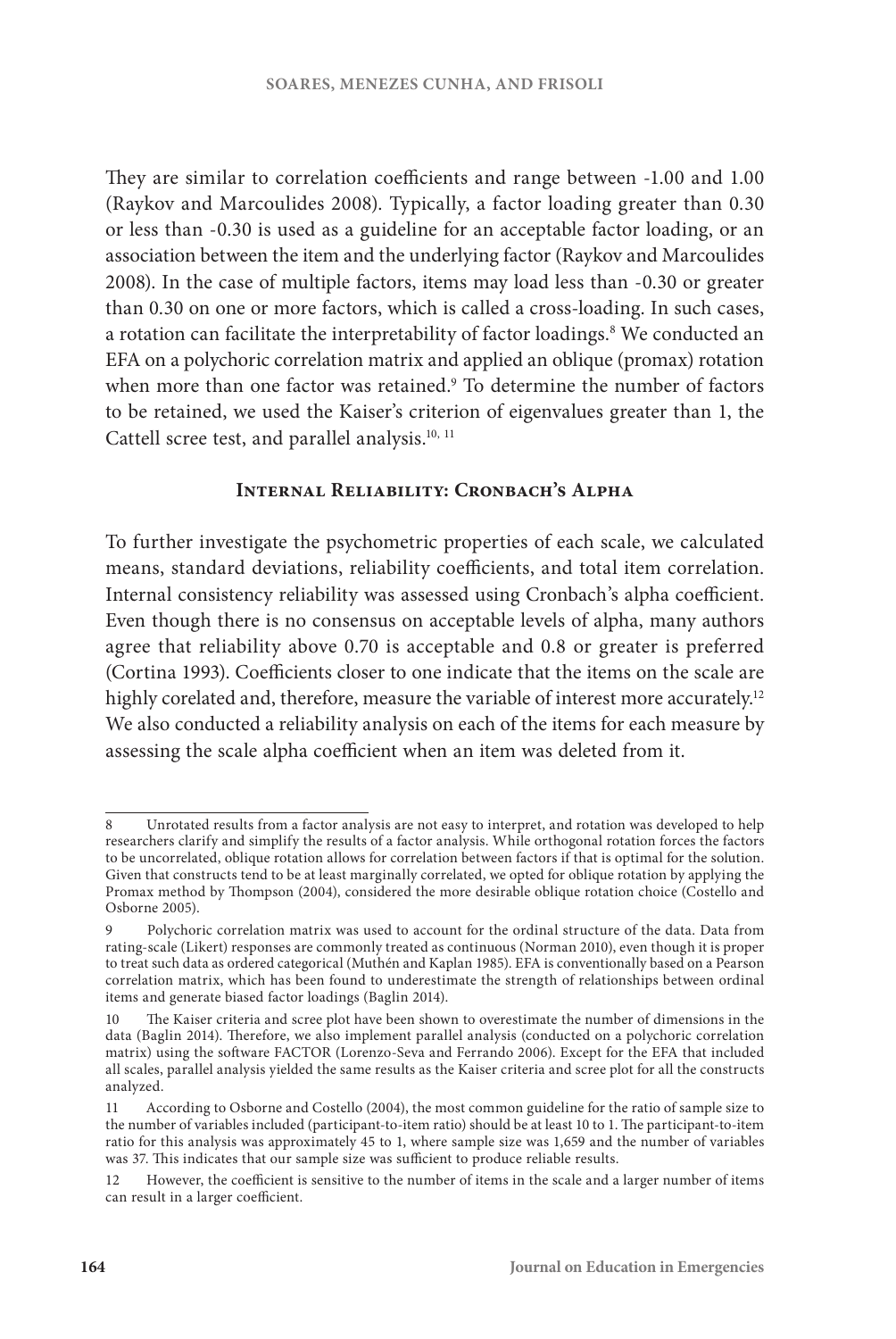They are similar to correlation coefficients and range between -1.00 and 1.00 (Raykov and Marcoulides 2008). Typically, a factor loading greater than 0.30 or less than -0.30 is used as a guideline for an acceptable factor loading, or an association between the item and the underlying factor (Raykov and Marcoulides 2008). In the case of multiple factors, items may load less than -0.30 or greater than 0.30 on one or more factors, which is called a cross-loading. In such cases, a rotation can facilitate the interpretability of factor loadings.<sup>8</sup> We conducted an EFA on a polychoric correlation matrix and applied an oblique (promax) rotation when more than one factor was retained.<sup>9</sup> To determine the number of factors to be retained, we used the Kaiser's criterion of eigenvalues greater than 1, the Cattell scree test, and parallel analysis.<sup>10, 11</sup>

## **Internal Reliability: Cronbach's Alpha**

To further investigate the psychometric properties of each scale, we calculated means, standard deviations, reliability coefficients, and total item correlation. Internal consistency reliability was assessed using Cronbach's alpha coefficient. Even though there is no consensus on acceptable levels of alpha, many authors agree that reliability above 0.70 is acceptable and 0.8 or greater is preferred (Cortina 1993). Coefficients closer to one indicate that the items on the scale are highly corelated and, therefore, measure the variable of interest more accurately.<sup>12</sup> We also conducted a reliability analysis on each of the items for each measure by assessing the scale alpha coefficient when an item was deleted from it.

<sup>8</sup> Unrotated results from a factor analysis are not easy to interpret, and rotation was developed to help researchers clarify and simplify the results of a factor analysis. While orthogonal rotation forces the factors to be uncorrelated, oblique rotation allows for correlation between factors if that is optimal for the solution. Given that constructs tend to be at least marginally correlated, we opted for oblique rotation by applying the Promax method by Thompson (2004), considered the more desirable oblique rotation choice (Costello and Osborne 2005).

<sup>9</sup> Polychoric correlation matrix was used to account for the ordinal structure of the data. Data from rating-scale (Likert) responses are commonly treated as continuous (Norman 2010), even though it is proper to treat such data as ordered categorical (Muthén and Kaplan 1985). EFA is conventionally based on a Pearson correlation matrix, which has been found to underestimate the strength of relationships between ordinal items and generate biased factor loadings (Baglin 2014).

<sup>10</sup> The Kaiser criteria and scree plot have been shown to overestimate the number of dimensions in the data (Baglin 2014). Therefore, we also implement parallel analysis (conducted on a polychoric correlation matrix) using the software FACTOR (Lorenzo-Seva and Ferrando 2006). Except for the EFA that included all scales, parallel analysis yielded the same results as the Kaiser criteria and scree plot for all the constructs analyzed.

<sup>11</sup> According to Osborne and Costello (2004), the most common guideline for the ratio of sample size to the number of variables included (participant-to-item ratio) should be at least 10 to 1. The participant-to-item ratio for this analysis was approximately 45 to 1, where sample size was 1,659 and the number of variables was 37. This indicates that our sample size was sufficient to produce reliable results.

<sup>12</sup> However, the coefficient is sensitive to the number of items in the scale and a larger number of items can result in a larger coefficient.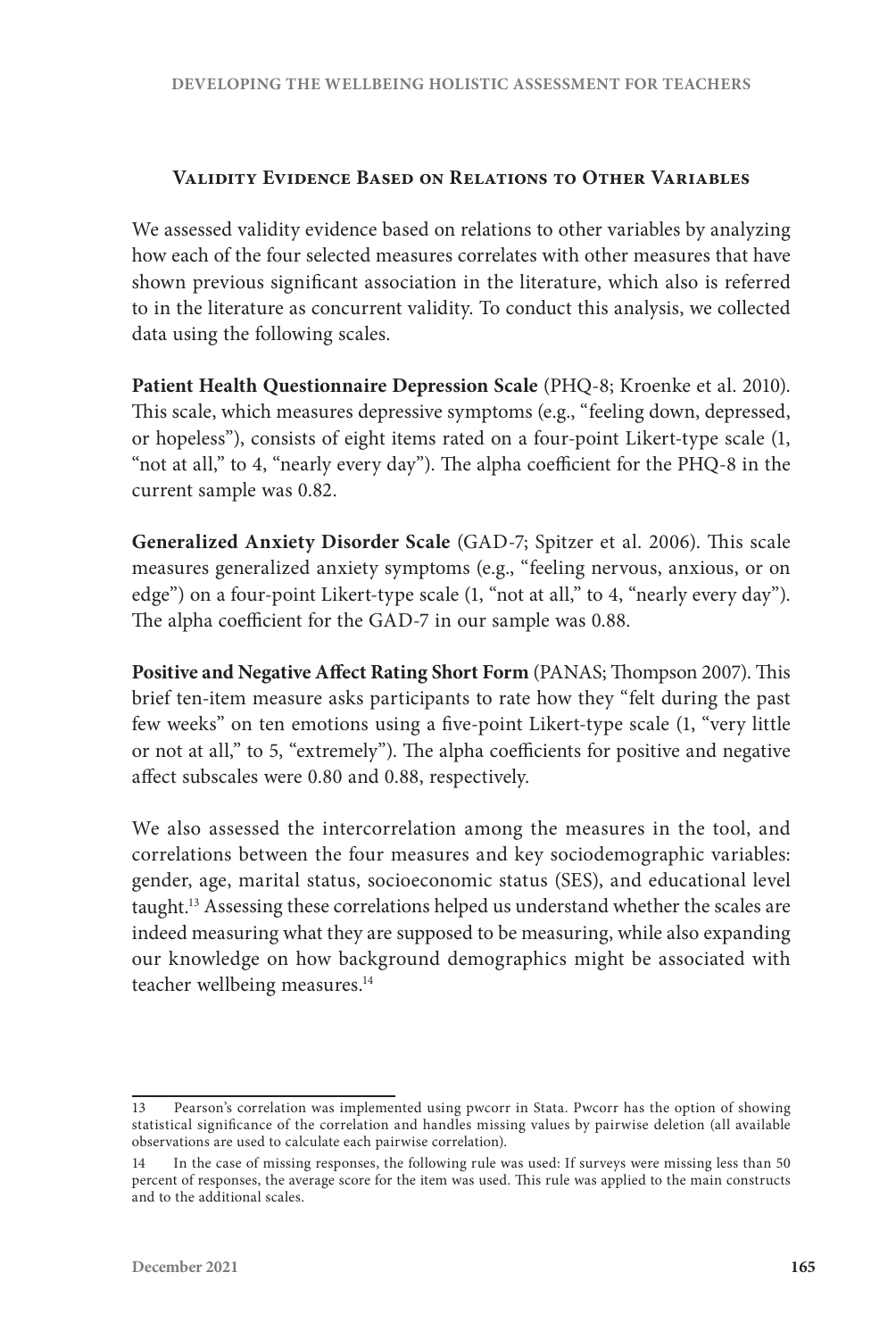#### **Validity Evidence Based on Relations to Other Variables**

We assessed validity evidence based on relations to other variables by analyzing how each of the four selected measures correlates with other measures that have shown previous significant association in the literature, which also is referred to in the literature as concurrent validity. To conduct this analysis, we collected data using the following scales.

**Patient Health Questionnaire Depression Scale** (PHQ-8; Kroenke et al. 2010). This scale, which measures depressive symptoms (e.g., "feeling down, depressed, or hopeless"), consists of eight items rated on a four-point Likert-type scale (1, "not at all," to 4, "nearly every day"). The alpha coefficient for the PHQ-8 in the current sample was 0.82.

**Generalized Anxiety Disorder Scale** (GAD-7; Spitzer et al. 2006). This scale measures generalized anxiety symptoms (e.g., "feeling nervous, anxious, or on edge") on a four-point Likert-type scale (1, "not at all," to 4, "nearly every day"). The alpha coefficient for the GAD-7 in our sample was 0.88.

**Positive and Negative Affect Rating Short Form** (PANAS; Thompson 2007). This brief ten-item measure asks participants to rate how they "felt during the past few weeks" on ten emotions using a five-point Likert-type scale (1, "very little or not at all," to 5, "extremely"). The alpha coefficients for positive and negative affect subscales were 0.80 and 0.88, respectively.

We also assessed the intercorrelation among the measures in the tool, and correlations between the four measures and key sociodemographic variables: gender, age, marital status, socioeconomic status (SES), and educational level taught.13 Assessing these correlations helped us understand whether the scales are indeed measuring what they are supposed to be measuring, while also expanding our knowledge on how background demographics might be associated with teacher wellbeing measures.<sup>14</sup>

<sup>13</sup> Pearson's correlation was implemented using pwcorr in Stata. Pwcorr has the option of showing statistical significance of the correlation and handles missing values by pairwise deletion (all available observations are used to calculate each pairwise correlation).

<sup>14</sup> In the case of missing responses, the following rule was used: If surveys were missing less than 50 percent of responses, the average score for the item was used. This rule was applied to the main constructs and to the additional scales.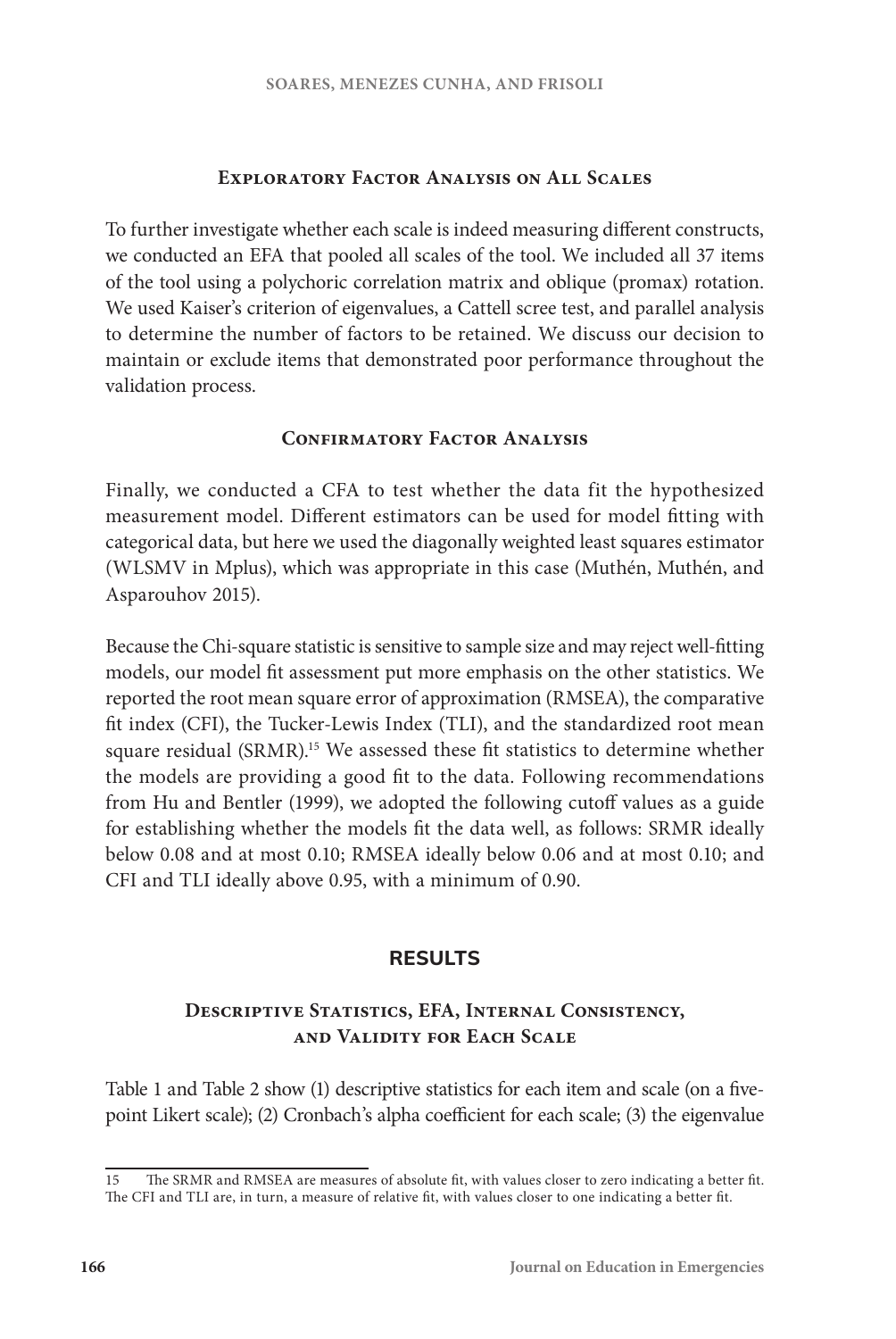## **Exploratory Factor Analysis on All Scales**

To further investigate whether each scale is indeed measuring different constructs, we conducted an EFA that pooled all scales of the tool. We included all 37 items of the tool using a polychoric correlation matrix and oblique (promax) rotation. We used Kaiser's criterion of eigenvalues, a Cattell scree test, and parallel analysis to determine the number of factors to be retained. We discuss our decision to maintain or exclude items that demonstrated poor performance throughout the validation process.

## **CONFIRMATORY FACTOR ANALYSIS**

Finally, we conducted a CFA to test whether the data fit the hypothesized measurement model. Different estimators can be used for model fitting with categorical data, but here we used the diagonally weighted least squares estimator (WLSMV in Mplus), which was appropriate in this case (Muthén, Muthén, and Asparouhov 2015).

Because the Chi-square statistic is sensitive to sample size and may reject well-fitting models, our model fit assessment put more emphasis on the other statistics. We reported the root mean square error of approximation (RMSEA), the comparative fit index (CFI), the Tucker-Lewis Index (TLI), and the standardized root mean square residual (SRMR).<sup>15</sup> We assessed these fit statistics to determine whether the models are providing a good fit to the data. Following recommendations from Hu and Bentler (1999), we adopted the following cutoff values as a guide for establishing whether the models fit the data well, as follows: SRMR ideally below 0.08 and at most 0.10; RMSEA ideally below 0.06 and at most 0.10; and CFI and TLI ideally above 0.95, with a minimum of 0.90.

## **RESULTS**

# **Descriptive Statistics, EFA, Internal Consistency, and Validity for Each Scale**

Table 1 and Table 2 show (1) descriptive statistics for each item and scale (on a fivepoint Likert scale); (2) Cronbach's alpha coefficient for each scale; (3) the eigenvalue

<sup>15</sup> The SRMR and RMSEA are measures of absolute fit, with values closer to zero indicating a better fit. The CFI and TLI are, in turn, a measure of relative fit, with values closer to one indicating a better fit.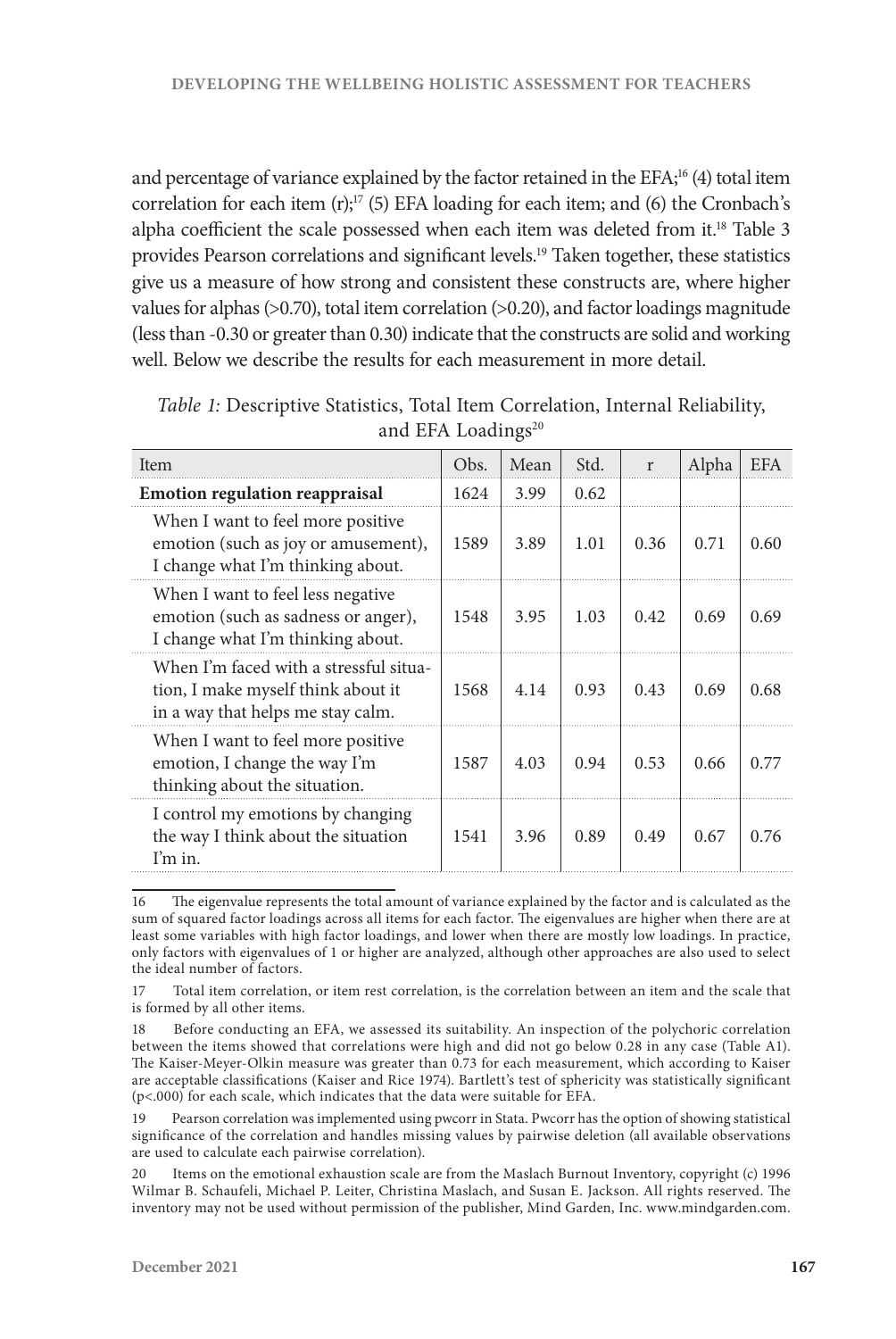and percentage of variance explained by the factor retained in the EFA;<sup>16</sup> (4) total item correlation for each item  $(r)$ ;<sup>17</sup> (5) EFA loading for each item; and (6) the Cronbach's alpha coefficient the scale possessed when each item was deleted from it.<sup>18</sup> Table 3 provides Pearson correlations and significant levels.19 Taken together, these statistics give us a measure of how strong and consistent these constructs are, where higher values for alphas (>0.70), total item correlation (>0.20), and factor loadings magnitude (less than -0.30 or greater than 0.30) indicate that the constructs are solid and working well. Below we describe the results for each measurement in more detail.

| <b>Item</b>                                                                                                       | Obs. | Mean | Std. | r     | Alpha | <b>EFA</b> |
|-------------------------------------------------------------------------------------------------------------------|------|------|------|-------|-------|------------|
| <b>Emotion regulation reappraisal</b>                                                                             | 1624 | 3.99 | 0.62 |       |       |            |
| When I want to feel more positive<br>emotion (such as joy or amusement),<br>I change what I'm thinking about.     | 1589 | 3.89 | 1.01 | 0.36  | 0.71  | 0.60       |
| When I want to feel less negative<br>emotion (such as sadness or anger),<br>I change what I'm thinking about.     | 1548 | 3.95 | 1.03 | 0.42. | 0.69  | 0.69       |
| When I'm faced with a stressful situa-<br>tion, I make myself think about it<br>in a way that helps me stay calm. | 1568 | 4.14 | 0.93 | 0.43  | 0.69  | 0.68       |
| When I want to feel more positive<br>emotion, I change the way I'm<br>thinking about the situation.               | 1587 | 4.03 | 0.94 | 0.53  | 0.66  | 0.77       |
| I control my emotions by changing<br>the way I think about the situation<br>I'm in.                               | 1541 | 3.96 | 0.89 | 0.49  | 0.67  | 0.76       |

*Table 1:* Descriptive Statistics, Total Item Correlation, Internal Reliability, and EFA Loadings<sup>20</sup>

16 The eigenvalue represents the total amount of variance explained by the factor and is calculated as the sum of squared factor loadings across all items for each factor. The eigenvalues are higher when there are at least some variables with high factor loadings, and lower when there are mostly low loadings. In practice, only factors with eigenvalues of 1 or higher are analyzed, although other approaches are also used to select the ideal number of factors.

17 Total item correlation, or item rest correlation, is the correlation between an item and the scale that is formed by all other items.

18 Before conducting an EFA, we assessed its suitability. An inspection of the polychoric correlation between the items showed that correlations were high and did not go below 0.28 in any case (Table A1). The Kaiser-Meyer-Olkin measure was greater than 0.73 for each measurement, which according to Kaiser are acceptable classifications (Kaiser and Rice 1974). Bartlett's test of sphericity was statistically significant (p<.000) for each scale, which indicates that the data were suitable for EFA.

19 Pearson correlation was implemented using pwcorr in Stata. Pwcorr has the option of showing statistical significance of the correlation and handles missing values by pairwise deletion (all available observations are used to calculate each pairwise correlation).

20 Items on the emotional exhaustion scale are from the Maslach Burnout Inventory, copyright (c) 1996 Wilmar B. Schaufeli, Michael P. Leiter, Christina Maslach, and Susan E. Jackson. All rights reserved. The inventory may not be used without permission of the publisher, Mind Garden, Inc. www.mindgarden.com.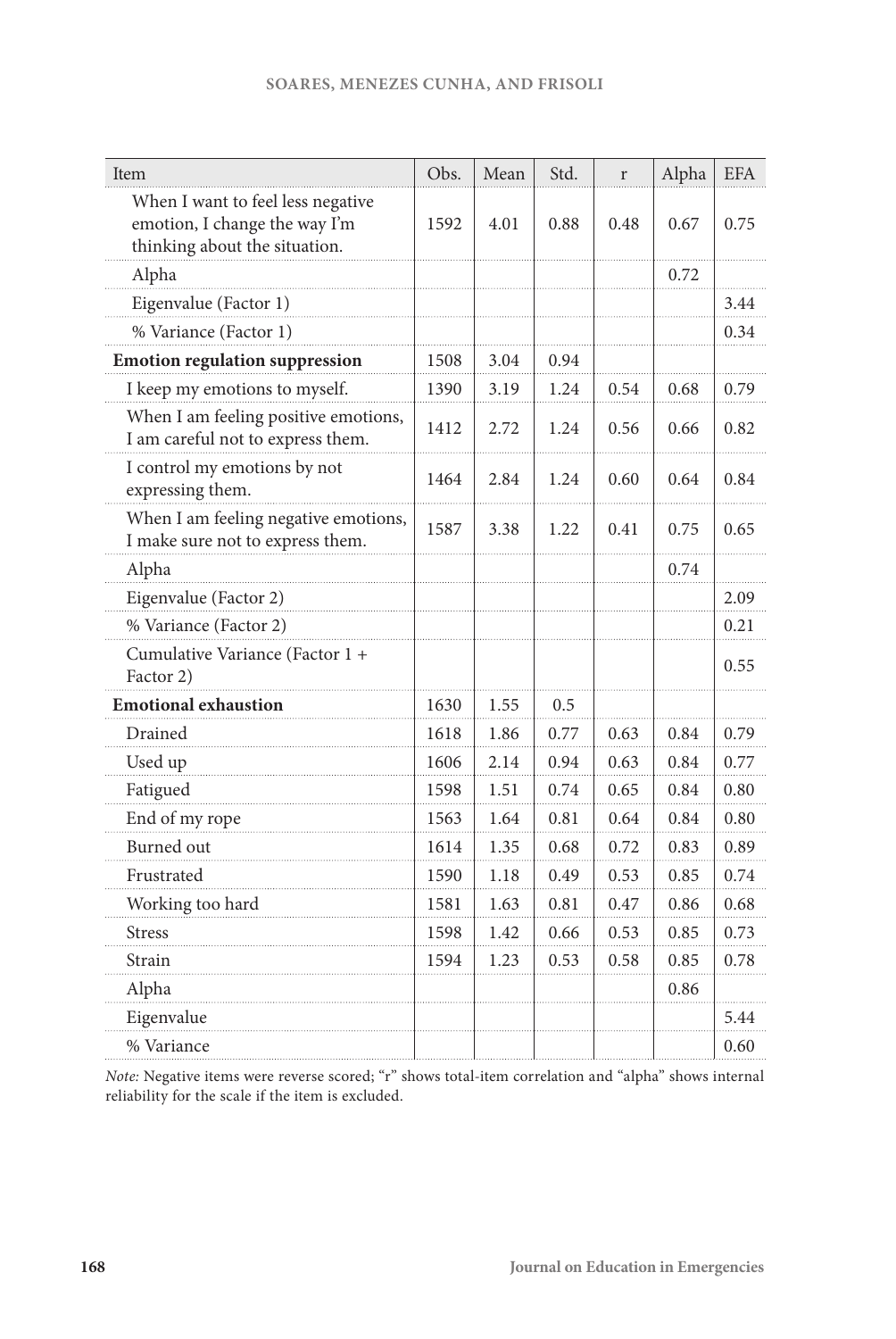| Item                                                                                                | Obs. | Mean | Std. | $\mathbf r$ | Alpha | <b>EFA</b> |
|-----------------------------------------------------------------------------------------------------|------|------|------|-------------|-------|------------|
| When I want to feel less negative<br>emotion, I change the way I'm<br>thinking about the situation. | 1592 | 4.01 | 0.88 | 0.48        | 0.67  | 0.75       |
| Alpha                                                                                               |      |      |      |             | 0.72  |            |
| Eigenvalue (Factor 1)                                                                               |      |      |      |             |       | 3.44       |
| % Variance (Factor 1)                                                                               |      |      |      |             |       | 0.34       |
| <b>Emotion regulation suppression</b>                                                               | 1508 | 3.04 | 0.94 |             |       |            |
| I keep my emotions to myself.                                                                       | 1390 | 3.19 | 1.24 | 0.54        | 0.68  | 0.79       |
| When I am feeling positive emotions,<br>I am careful not to express them.                           |      | 2.72 | 1.24 | 0.56        | 0.66  | 0.82       |
| I control my emotions by not<br>expressing them.                                                    | 1464 | 2.84 | 1.24 | 0.60        | 0.64  | 0.84       |
| When I am feeling negative emotions,<br>I make sure not to express them.                            | 1587 | 3.38 | 1.22 | 0.41        | 0.75  | 0.65       |
| Alpha                                                                                               |      |      |      |             | 0.74  |            |
| Eigenvalue (Factor 2)                                                                               |      |      |      |             |       | 2.09       |
| % Variance (Factor 2)                                                                               |      |      |      |             |       | 0.21       |
| Cumulative Variance (Factor 1 +<br>Factor 2)                                                        |      |      |      |             |       | 0.55       |
| <b>Emotional exhaustion</b>                                                                         | 1630 | 1.55 | 0.5  |             |       |            |
| Drained                                                                                             | 1618 | 1.86 | 0.77 | 0.63        | 0.84  | 0.79       |
| Used up                                                                                             | 1606 | 2.14 | 0.94 | 0.63        | 0.84  | 0.77       |
| Fatigued                                                                                            | 1598 | 1.51 | 0.74 | 0.65        | 0.84  | 0.80       |
| End of my rope                                                                                      | 1563 | 1.64 | 0.81 | 0.64        | 0.84  | 0.80       |
| <b>Burned</b> out                                                                                   | 1614 | 1.35 | 0.68 | 0.72        | 0.83  | 0.89       |
| Frustrated                                                                                          | 1590 | 1.18 | 0.49 | 0.53        | 0.85  | 0.74       |
| Working too hard                                                                                    | 1581 | 1.63 | 0.81 | 0.47        | 0.86  | 0.68       |
| <b>Stress</b>                                                                                       | 1598 | 1.42 | 0.66 | 0.53        | 0.85  | 0.73       |
| Strain                                                                                              | 1594 | 1.23 | 0.53 | 0.58        | 0.85  | 0.78       |
| Alpha                                                                                               |      |      |      |             | 0.86  |            |
| Eigenvalue                                                                                          |      |      |      |             |       | 5.44       |
| % Variance                                                                                          |      |      |      |             |       | 0.60       |

*Note:* Negative items were reverse scored; "r" shows total-item correlation and "alpha" shows internal reliability for the scale if the item is excluded.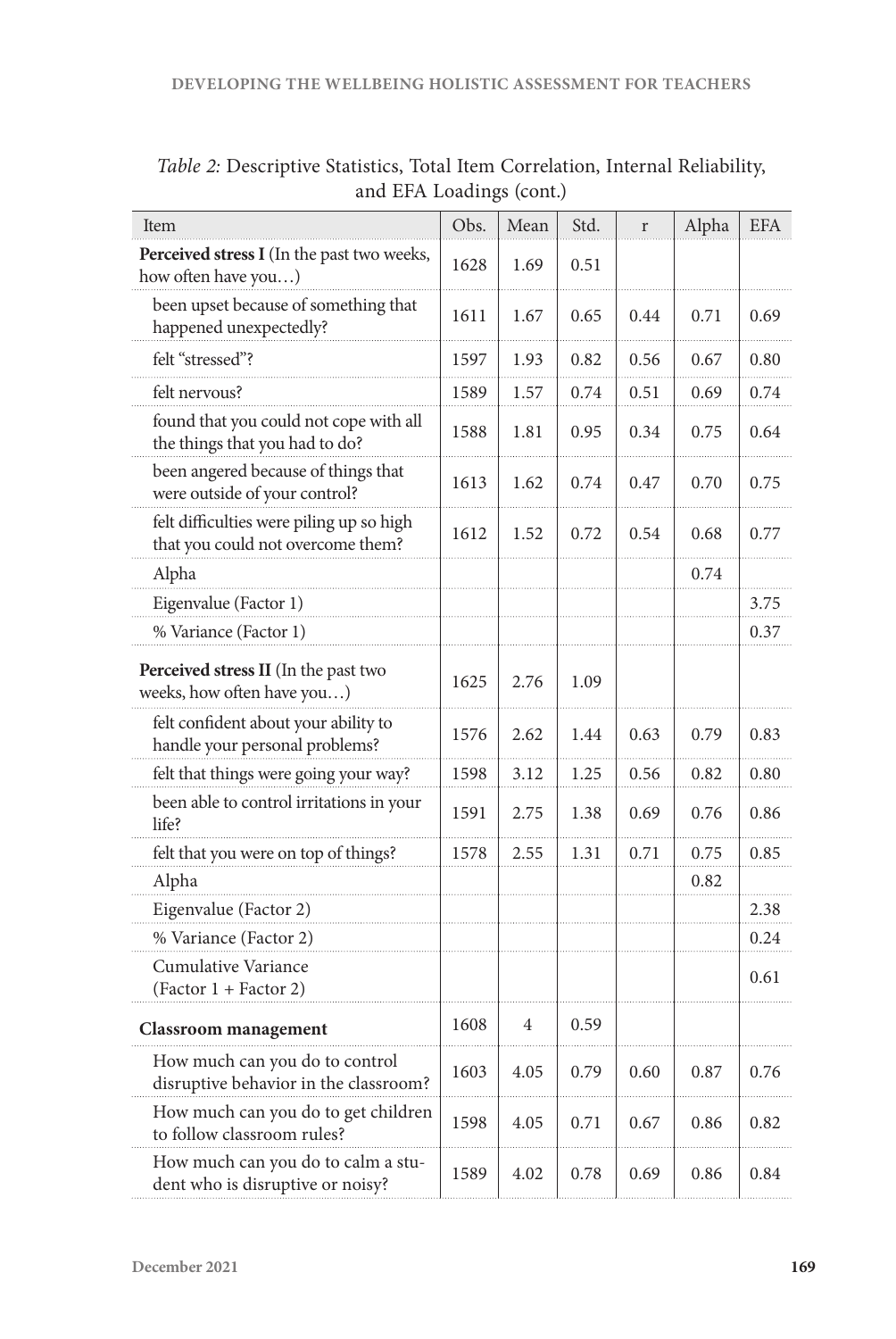| <b>Item</b>                                                                   | Obs. | Mean           | Std. | $\mathbf r$ | Alpha | <b>EFA</b> |
|-------------------------------------------------------------------------------|------|----------------|------|-------------|-------|------------|
| Perceived stress I (In the past two weeks,<br>how often have you)             | 1628 | 1.69           | 0.51 |             |       |            |
| been upset because of something that<br>happened unexpectedly?                | 1611 | 1.67           | 0.65 | 0.44        | 0.71  | 0.69       |
| felt "stressed"?                                                              | 1597 | 1.93           | 0.82 | 0.56        | 0.67  | 0.80       |
| felt nervous?                                                                 | 1589 | 1.57           | 0.74 | 0.51        | 0.69  | 0.74       |
| found that you could not cope with all<br>the things that you had to do?      | 1588 | 1.81           | 0.95 | 0.34        | 0.75  | 0.64       |
| been angered because of things that<br>were outside of your control?          | 1613 | 1.62           | 0.74 | 0.47        | 0.70  | 0.75       |
| felt difficulties were piling up so high<br>that you could not overcome them? | 1612 | 1.52           | 0.72 | 0.54        | 0.68  | 0.77       |
| Alpha                                                                         |      |                |      |             | 0.74  |            |
| Eigenvalue (Factor 1)                                                         |      |                |      |             |       | 3.75       |
| % Variance (Factor 1)                                                         |      |                |      |             |       | 0.37       |
| Perceived stress II (In the past two<br>weeks, how often have you)            | 1625 | 2.76           | 1.09 |             |       |            |
| felt confident about your ability to<br>handle your personal problems?        | 1576 | 2.62           | 1.44 | 0.63        | 0.79  | 0.83       |
| felt that things were going your way?                                         | 1598 | 3.12           | 1.25 | 0.56        | 0.82  | 0.80       |
| been able to control irritations in your<br>life?                             | 1591 | 2.75           | 1.38 | 0.69        | 0.76  | 0.86       |
| felt that you were on top of things?                                          | 1578 | 2.55           | 1.31 | 0.71        | 0.75  | 0.85       |
| Alpha                                                                         |      |                |      |             | 0.82  |            |
| Eigenvalue (Factor 2)                                                         |      |                |      |             |       | 2.38       |
| % Variance (Factor 2)                                                         |      |                |      |             |       | 0.24       |
| Cumulative Variance<br>(Factor 1 + Factor 2)                                  |      |                |      |             |       | 0.61       |
| <b>Classroom</b> management                                                   | 1608 | $\overline{4}$ | 0.59 |             |       |            |
| How much can you do to control<br>disruptive behavior in the classroom?       | 1603 | 4.05           | 0.79 | 0.60        | 0.87  | 0.76       |
| How much can you do to get children<br>to follow classroom rules?             | 1598 | 4.05           | 0.71 | 0.67        | 0.86  | 0.82       |
| How much can you do to calm a stu-<br>dent who is disruptive or noisy?        | 1589 | 4.02           | 0.78 | 0.69        | 0.86  | 0.84       |

*Table 2:* Descriptive Statistics, Total Item Correlation, Internal Reliability, and EFA Loadings (cont.)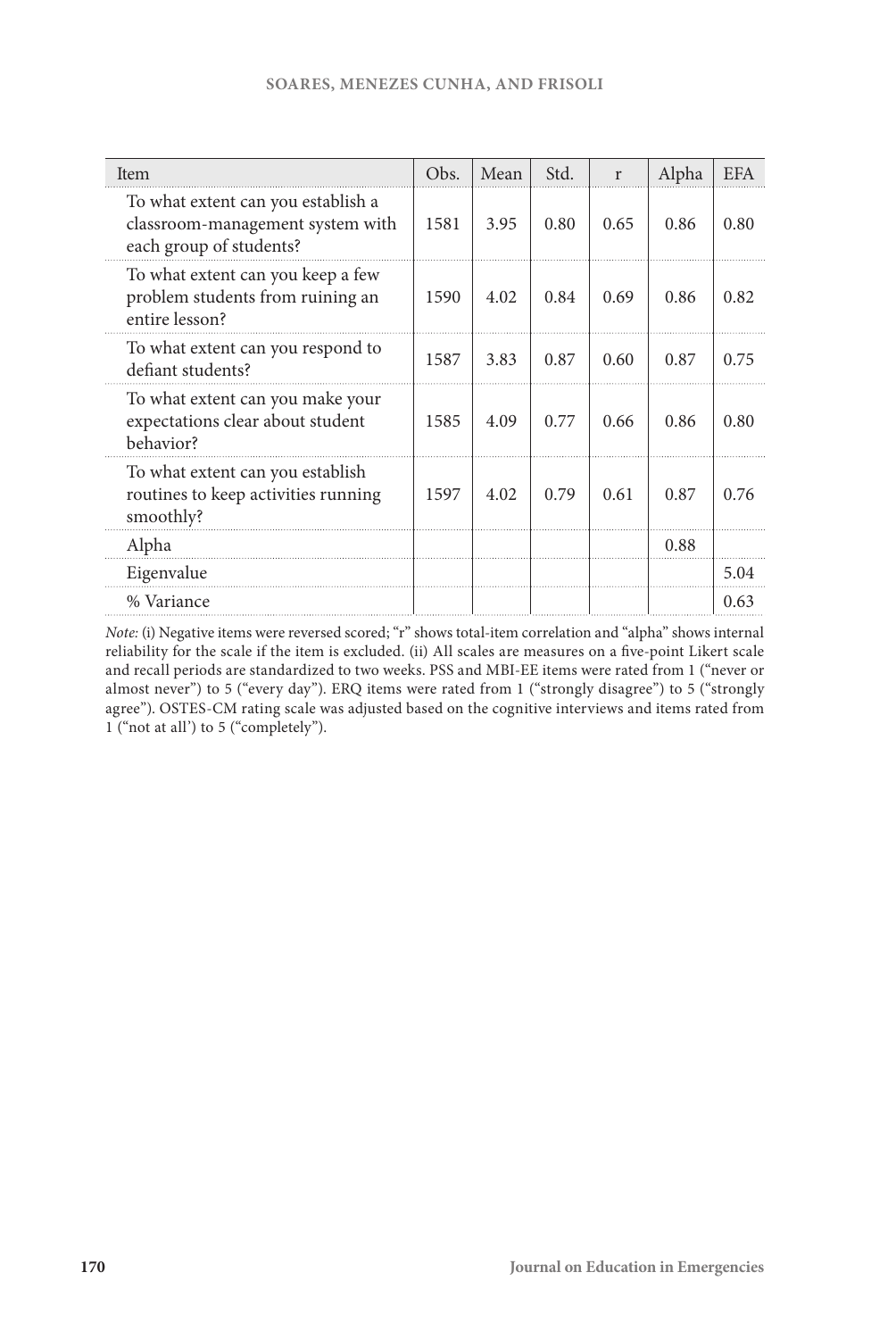| Item                                                                                              | Obs. | Mean | Std. | r    | Alpha | <b>EFA</b> |
|---------------------------------------------------------------------------------------------------|------|------|------|------|-------|------------|
| To what extent can you establish a<br>classroom-management system with<br>each group of students? | 1581 | 3.95 | 0.80 | 0.65 | 0.86  | 0.80       |
| To what extent can you keep a few<br>problem students from ruining an<br>entire lesson?           | 1590 | 4.02 | 0.84 | 0.69 | 0.86  | 0.82       |
| To what extent can you respond to<br>defiant students?                                            | 1587 | 3.83 | 0.87 | 0.60 | 0.87  | 0.75       |
| To what extent can you make your<br>expectations clear about student<br>hehavior?                 | 1585 | 4.09 | 0.77 | 0.66 | 0.86  | 0.80       |
| To what extent can you establish<br>routines to keep activities running<br>smoothly?              | 1597 | 4.02 | 0.79 | 0.61 | 0.87  | 0.76       |
| Alpha                                                                                             |      |      |      |      | 0.88  |            |
| Eigenvalue                                                                                        |      |      |      |      |       | 5.04       |
| % Variance                                                                                        |      |      |      |      |       | 0.63       |

*Note:* (i) Negative items were reversed scored; "r" shows total-item correlation and "alpha" shows internal reliability for the scale if the item is excluded. (ii) All scales are measures on a five-point Likert scale and recall periods are standardized to two weeks. PSS and MBI-EE items were rated from 1 ("never or almost never") to 5 ("every day"). ERQ items were rated from 1 ("strongly disagree") to 5 ("strongly agree"). OSTES-CM rating scale was adjusted based on the cognitive interviews and items rated from 1 ("not at all') to 5 ("completely").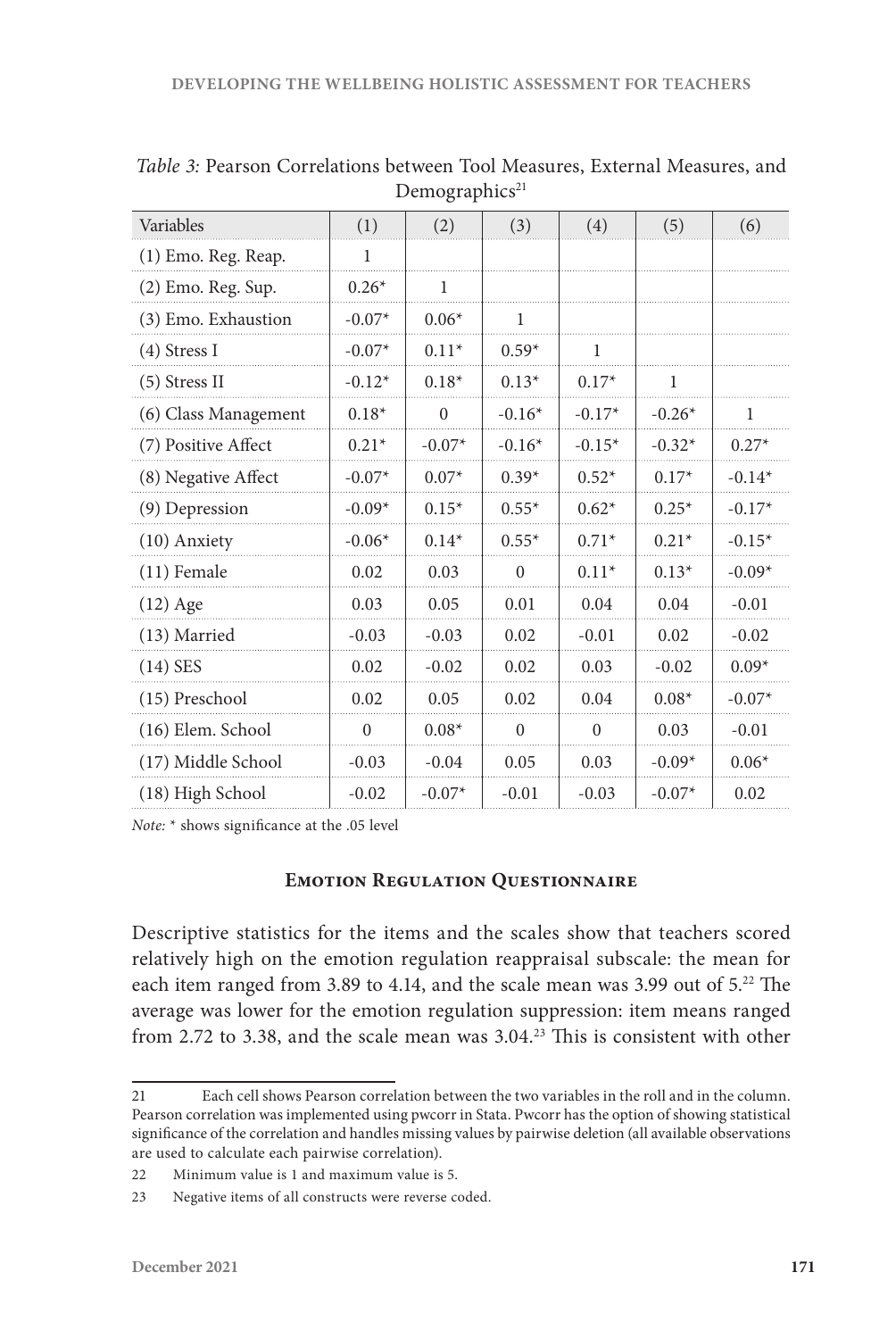| Variables            | (1)      | (2)          | (3)          | (4)      | (5)      | (6)      |
|----------------------|----------|--------------|--------------|----------|----------|----------|
| (1) Emo. Reg. Reap.  | 1        |              |              |          |          |          |
| (2) Emo. Reg. Sup.   | $0.26*$  | $\mathbf{1}$ |              |          |          |          |
| (3) Emo. Exhaustion  | $-0.07*$ | $0.06*$      | 1            |          |          |          |
| $(4)$ Stress I       | $-0.07*$ | $0.11*$      | $0.59*$      | 1        |          |          |
| (5) Stress II        | $-0.12*$ | $0.18*$      | $0.13*$      | $0.17*$  | 1        |          |
| (6) Class Management | $0.18*$  | $\Omega$     | $-0.16*$     | $-0.17*$ | $-0.26*$ | 1        |
| (7) Positive Affect  | $0.21*$  | $-0.07*$     | $-0.16*$     | $-0.15*$ | $-0.32*$ | $0.27*$  |
| (8) Negative Affect  | $-0.07*$ | $0.07*$      | $0.39*$      | $0.52*$  | $0.17*$  | $-0.14*$ |
| (9) Depression       | $-0.09*$ | $0.15*$      | $0.55*$      | $0.62*$  | $0.25*$  | $-0.17*$ |
| (10) Anxiety         | $-0.06*$ | $0.14*$      | $0.55*$      | $0.71*$  | $0.21*$  | $-0.15*$ |
| $(11)$ Female        | 0.02     | 0.03         | $\mathbf{0}$ | $0.11*$  | $0.13*$  | $-0.09*$ |
| $(12)$ Age           | 0.03     | 0.05         | 0.01         | 0.04     | 0.04     | $-0.01$  |
| (13) Married         | $-0.03$  | $-0.03$      | 0.02         | $-0.01$  | 0.02     | $-0.02$  |
| $(14)$ SES           | 0.02     | $-0.02$      | 0.02         | 0.03     | $-0.02$  | $0.09*$  |
| (15) Preschool       | 0.02     | 0.05         | 0.02         | 0.04     | $0.08*$  | $-0.07*$ |
| (16) Elem. School    | $\theta$ | $0.08*$      | $\Omega$     | $\theta$ | 0.03     | $-0.01$  |
| (17) Middle School   | $-0.03$  | $-0.04$      | 0.05         | 0.03     | $-0.09*$ | $0.06*$  |
| (18) High School     | $-0.02$  | $-0.07*$     | $-0.01$      | $-0.03$  | $-0.07*$ | 0.02     |

*Table 3:* Pearson Correlations between Tool Measures, External Measures, and Demographics<sup>21</sup>

*Note:* \* shows significance at the .05 level

#### **Emotion Regulation Questionnaire**

Descriptive statistics for the items and the scales show that teachers scored relatively high on the emotion regulation reappraisal subscale: the mean for each item ranged from 3.89 to 4.14, and the scale mean was 3.99 out of 5.<sup>22</sup> The average was lower for the emotion regulation suppression: item means ranged from 2.72 to 3.38, and the scale mean was 3.04.23 This is consistent with other

<sup>21</sup> Each cell shows Pearson correlation between the two variables in the roll and in the column. Pearson correlation was implemented using pwcorr in Stata. Pwcorr has the option of showing statistical significance of the correlation and handles missing values by pairwise deletion (all available observations are used to calculate each pairwise correlation).

<sup>22</sup> Minimum value is 1 and maximum value is 5.

<sup>23</sup> Negative items of all constructs were reverse coded.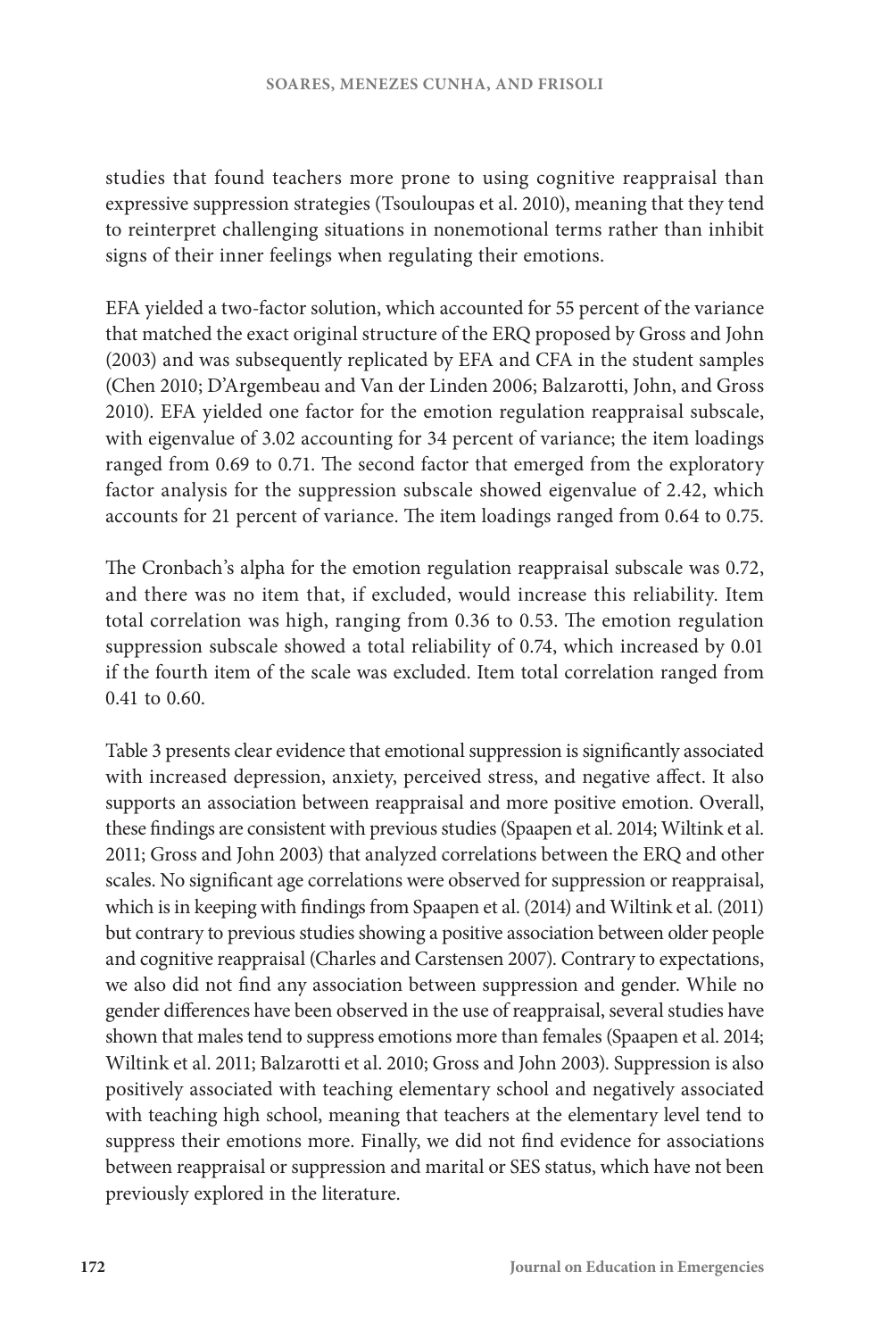studies that found teachers more prone to using cognitive reappraisal than expressive suppression strategies (Tsouloupas et al. 2010), meaning that they tend to reinterpret challenging situations in nonemotional terms rather than inhibit signs of their inner feelings when regulating their emotions.

EFA yielded a two-factor solution, which accounted for 55 percent of the variance that matched the exact original structure of the ERQ proposed by Gross and John (2003) and was subsequently replicated by EFA and CFA in the student samples (Chen 2010; D'Argembeau and Van der Linden 2006; Balzarotti, John, and Gross 2010). EFA yielded one factor for the emotion regulation reappraisal subscale, with eigenvalue of 3.02 accounting for 34 percent of variance; the item loadings ranged from 0.69 to 0.71. The second factor that emerged from the exploratory factor analysis for the suppression subscale showed eigenvalue of 2.42, which accounts for 21 percent of variance. The item loadings ranged from 0.64 to 0.75.

The Cronbach's alpha for the emotion regulation reappraisal subscale was 0.72, and there was no item that, if excluded, would increase this reliability. Item total correlation was high, ranging from 0.36 to 0.53. The emotion regulation suppression subscale showed a total reliability of 0.74, which increased by 0.01 if the fourth item of the scale was excluded. Item total correlation ranged from 0.41 to 0.60.

Table 3 presents clear evidence that emotional suppression is significantly associated with increased depression, anxiety, perceived stress, and negative affect. It also supports an association between reappraisal and more positive emotion. Overall, these findings are consistent with previous studies (Spaapen et al. 2014; Wiltink et al. 2011; Gross and John 2003) that analyzed correlations between the ERQ and other scales. No significant age correlations were observed for suppression or reappraisal, which is in keeping with findings from Spaapen et al. (2014) and Wiltink et al. (2011) but contrary to previous studies showing a positive association between older people and cognitive reappraisal (Charles and Carstensen 2007). Contrary to expectations, we also did not find any association between suppression and gender. While no gender differences have been observed in the use of reappraisal, several studies have shown that males tend to suppress emotions more than females (Spaapen et al. 2014; Wiltink et al. 2011; Balzarotti et al. 2010; Gross and John 2003). Suppression is also positively associated with teaching elementary school and negatively associated with teaching high school, meaning that teachers at the elementary level tend to suppress their emotions more. Finally, we did not find evidence for associations between reappraisal or suppression and marital or SES status, which have not been previously explored in the literature.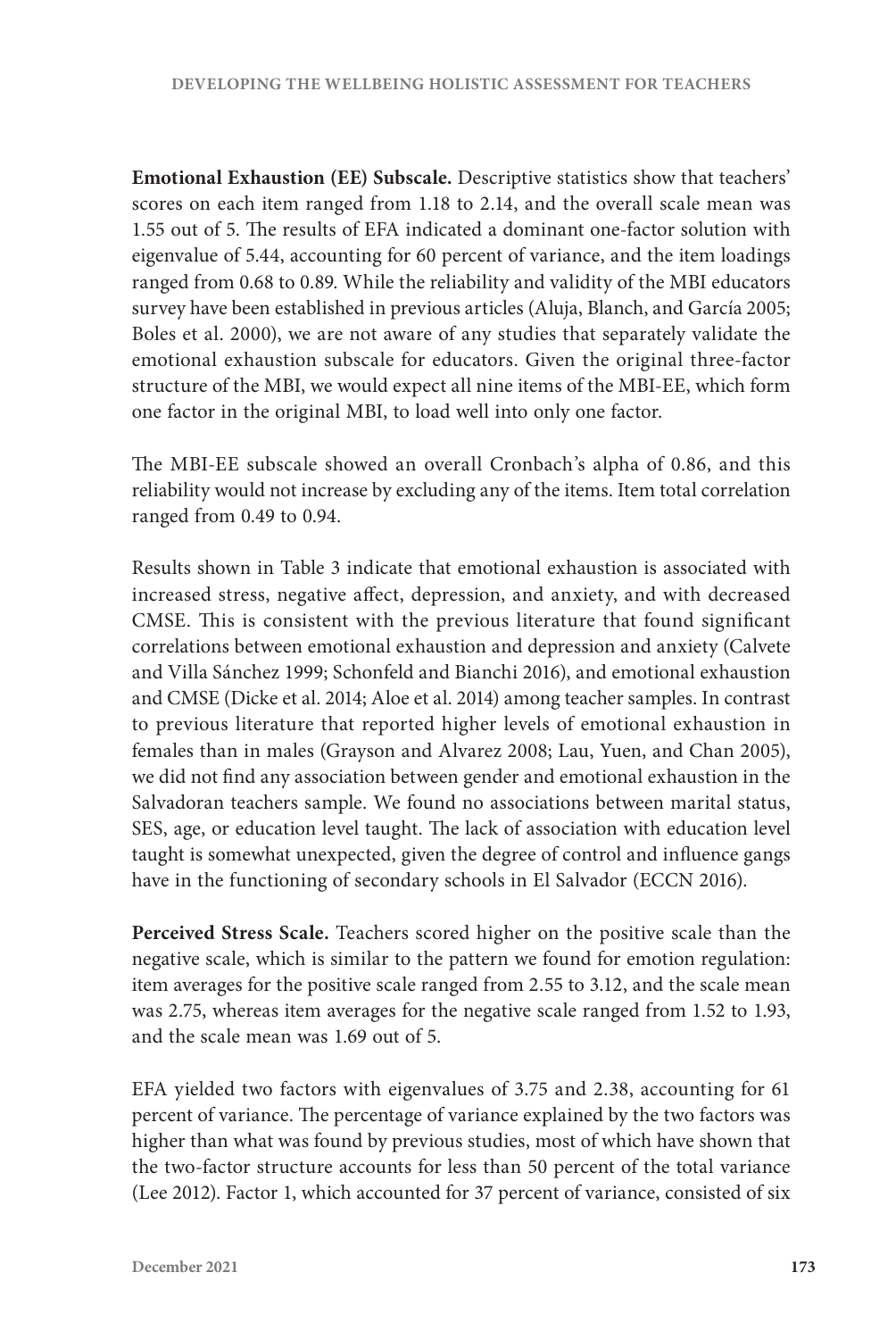**Emotional Exhaustion (EE) Subscale.** Descriptive statistics show that teachers' scores on each item ranged from 1.18 to 2.14, and the overall scale mean was 1.55 out of 5. The results of EFA indicated a dominant one-factor solution with eigenvalue of 5.44, accounting for 60 percent of variance, and the item loadings ranged from 0.68 to 0.89. While the reliability and validity of the MBI educators survey have been established in previous articles (Aluja, Blanch, and García 2005; Boles et al. 2000), we are not aware of any studies that separately validate the emotional exhaustion subscale for educators. Given the original three-factor structure of the MBI, we would expect all nine items of the MBI-EE, which form one factor in the original MBI, to load well into only one factor.

The MBI-EE subscale showed an overall Cronbach's alpha of 0.86, and this reliability would not increase by excluding any of the items. Item total correlation ranged from 0.49 to 0.94.

Results shown in Table 3 indicate that emotional exhaustion is associated with increased stress, negative affect, depression, and anxiety, and with decreased CMSE. This is consistent with the previous literature that found significant correlations between emotional exhaustion and depression and anxiety (Calvete and Villa Sánchez 1999; Schonfeld and Bianchi 2016), and emotional exhaustion and CMSE (Dicke et al. 2014; Aloe et al. 2014) among teacher samples. In contrast to previous literature that reported higher levels of emotional exhaustion in females than in males (Grayson and Alvarez 2008; Lau, Yuen, and Chan 2005), we did not find any association between gender and emotional exhaustion in the Salvadoran teachers sample. We found no associations between marital status, SES, age, or education level taught. The lack of association with education level taught is somewhat unexpected, given the degree of control and influence gangs have in the functioning of secondary schools in El Salvador (ECCN 2016).

**Perceived Stress Scale.** Teachers scored higher on the positive scale than the negative scale, which is similar to the pattern we found for emotion regulation: item averages for the positive scale ranged from 2.55 to 3.12, and the scale mean was 2.75, whereas item averages for the negative scale ranged from 1.52 to 1.93, and the scale mean was 1.69 out of 5.

EFA yielded two factors with eigenvalues of 3.75 and 2.38, accounting for 61 percent of variance. The percentage of variance explained by the two factors was higher than what was found by previous studies, most of which have shown that the two-factor structure accounts for less than 50 percent of the total variance (Lee 2012). Factor 1, which accounted for 37 percent of variance, consisted of six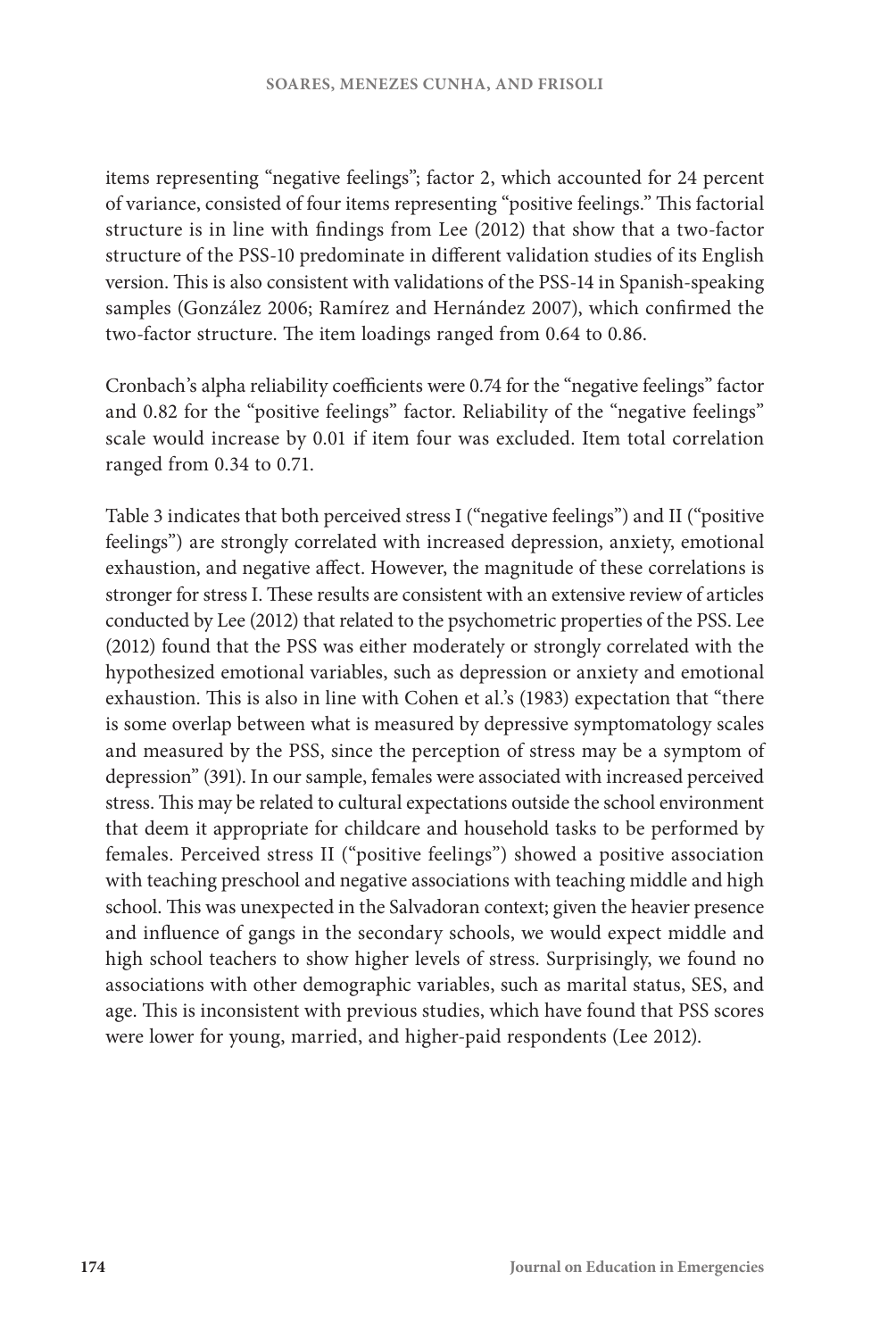items representing "negative feelings"; factor 2, which accounted for 24 percent of variance, consisted of four items representing "positive feelings." This factorial structure is in line with findings from Lee (2012) that show that a two-factor structure of the PSS-10 predominate in different validation studies of its English version. This is also consistent with validations of the PSS-14 in Spanish-speaking samples (González 2006; Ramírez and Hernández 2007), which confirmed the two-factor structure. The item loadings ranged from 0.64 to 0.86.

Cronbach's alpha reliability coefficients were 0.74 for the "negative feelings" factor and 0.82 for the "positive feelings" factor. Reliability of the "negative feelings" scale would increase by 0.01 if item four was excluded. Item total correlation ranged from 0.34 to 0.71.

Table 3 indicates that both perceived stress I ("negative feelings") and II ("positive feelings") are strongly correlated with increased depression, anxiety, emotional exhaustion, and negative affect. However, the magnitude of these correlations is stronger for stress I. These results are consistent with an extensive review of articles conducted by Lee (2012) that related to the psychometric properties of the PSS. Lee (2012) found that the PSS was either moderately or strongly correlated with the hypothesized emotional variables, such as depression or anxiety and emotional exhaustion. This is also in line with Cohen et al.'s (1983) expectation that "there is some overlap between what is measured by depressive symptomatology scales and measured by the PSS, since the perception of stress may be a symptom of depression" (391). In our sample, females were associated with increased perceived stress. This may be related to cultural expectations outside the school environment that deem it appropriate for childcare and household tasks to be performed by females. Perceived stress II ("positive feelings") showed a positive association with teaching preschool and negative associations with teaching middle and high school. This was unexpected in the Salvadoran context; given the heavier presence and influence of gangs in the secondary schools, we would expect middle and high school teachers to show higher levels of stress. Surprisingly, we found no associations with other demographic variables, such as marital status, SES, and age. This is inconsistent with previous studies, which have found that PSS scores were lower for young, married, and higher-paid respondents (Lee 2012).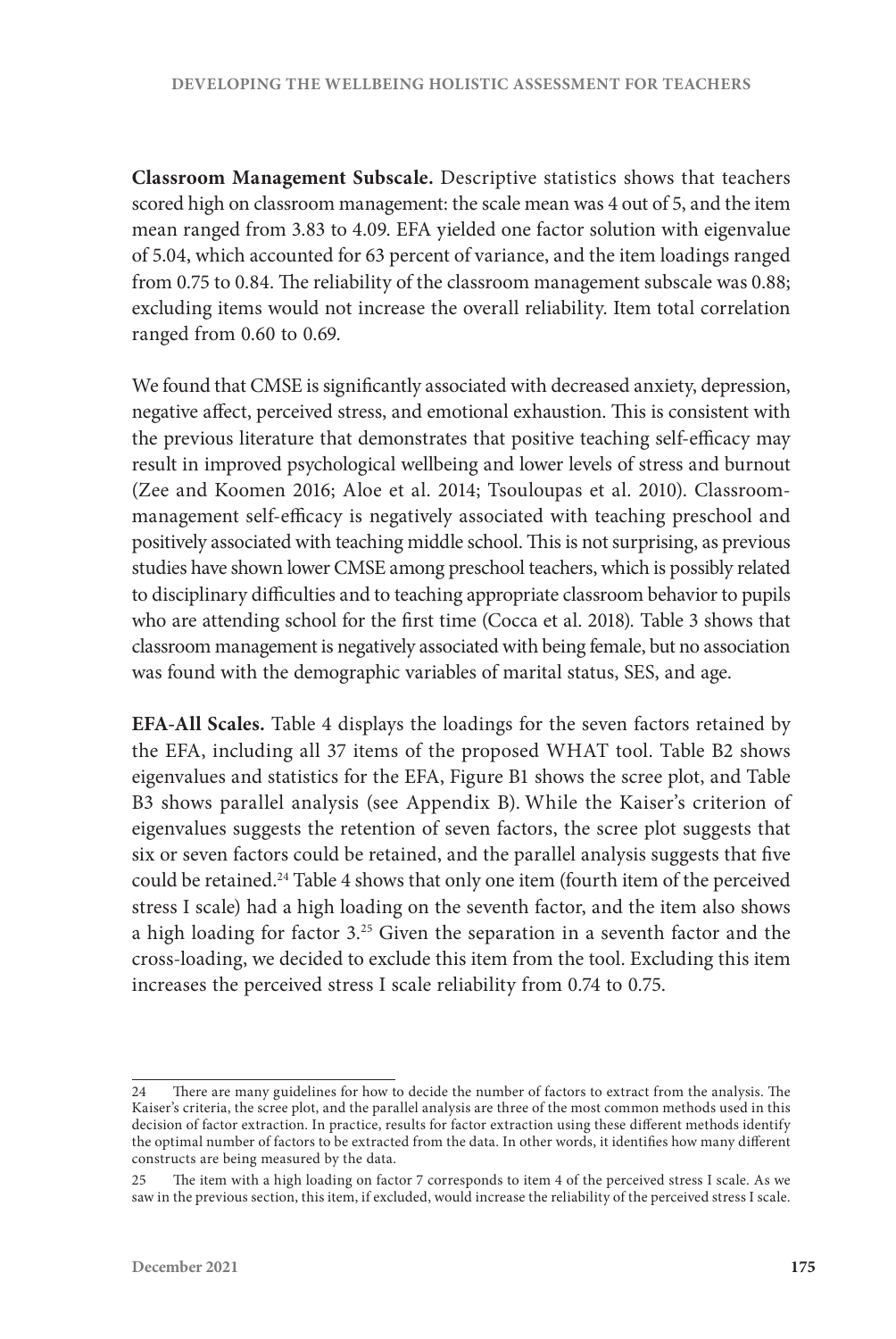**Classroom Management Subscale.** Descriptive statistics shows that teachers scored high on classroom management: the scale mean was 4 out of 5, and the item mean ranged from 3.83 to 4.09. EFA yielded one factor solution with eigenvalue of 5.04, which accounted for 63 percent of variance, and the item loadings ranged from 0.75 to 0.84. The reliability of the classroom management subscale was 0.88; excluding items would not increase the overall reliability. Item total correlation ranged from 0.60 to 0.69.

We found that CMSE is significantly associated with decreased anxiety, depression, negative affect, perceived stress, and emotional exhaustion. This is consistent with the previous literature that demonstrates that positive teaching self-efficacy may result in improved psychological wellbeing and lower levels of stress and burnout (Zee and Koomen 2016; Aloe et al. 2014; Tsouloupas et al. 2010). Classroommanagement self-efficacy is negatively associated with teaching preschool and positively associated with teaching middle school. This is not surprising, as previous studies have shown lower CMSE among preschool teachers, which is possibly related to disciplinary difficulties and to teaching appropriate classroom behavior to pupils who are attending school for the first time (Cocca et al. 2018)*.* Table 3 shows that classroom management is negatively associated with being female, but no association was found with the demographic variables of marital status, SES, and age.

**EFA-All Scales.** Table 4 displays the loadings for the seven factors retained by the EFA, including all 37 items of the proposed WHAT tool. Table B2 shows eigenvalues and statistics for the EFA, Figure B1 shows the scree plot, and Table B3 shows parallel analysis (see Appendix B). While the Kaiser's criterion of eigenvalues suggests the retention of seven factors, the scree plot suggests that six or seven factors could be retained, and the parallel analysis suggests that five could be retained.24 Table 4 shows that only one item (fourth item of the perceived stress I scale) had a high loading on the seventh factor, and the item also shows a high loading for factor 3.25 Given the separation in a seventh factor and the cross-loading, we decided to exclude this item from the tool. Excluding this item increases the perceived stress I scale reliability from 0.74 to 0.75.

<sup>24</sup> There are many guidelines for how to decide the number of factors to extract from the analysis. The Kaiser's criteria, the scree plot, and the parallel analysis are three of the most common methods used in this decision of factor extraction. In practice, results for factor extraction using these different methods identify the optimal number of factors to be extracted from the data. In other words, it identifies how many different constructs are being measured by the data.

<sup>25</sup> The item with a high loading on factor 7 corresponds to item 4 of the perceived stress I scale. As we saw in the previous section, this item, if excluded, would increase the reliability of the perceived stress I scale.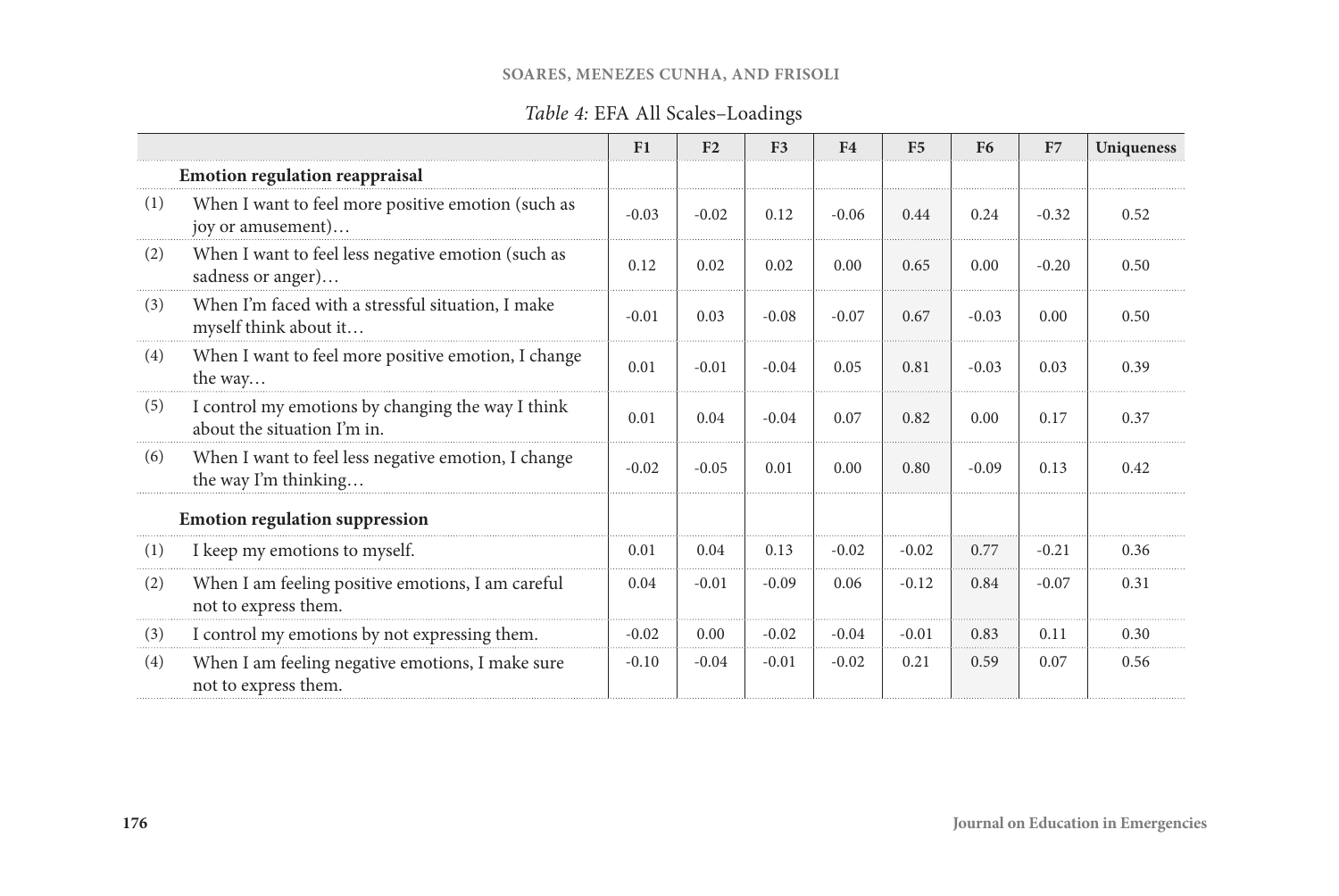#### **SOARES, MENEZES CUNHA, AND FRISOLI**

# *Table 4:* EFA All Scales–Loadings

|     |                                                                                  | F1      | F <sub>2</sub> | F <sub>3</sub> | F <sub>4</sub> | F <sub>5</sub> | F <sub>6</sub> | F7      | Uniqueness |
|-----|----------------------------------------------------------------------------------|---------|----------------|----------------|----------------|----------------|----------------|---------|------------|
|     | <b>Emotion regulation reappraisal</b>                                            |         |                |                |                |                |                |         |            |
| (1) | When I want to feel more positive emotion (such as<br>joy or amusement)          | $-0.03$ | $-0.02$        | 0.12           | $-0.06$        | 0.44           | 0.24           | $-0.32$ | 0.52       |
| (2) | When I want to feel less negative emotion (such as<br>sadness or anger)          |         | 0.02           | 0.02           | 0.00           | 0.65           | 0.00           | $-0.20$ | 0.50       |
| (3) | When I'm faced with a stressful situation, I make<br>myself think about it       | $-0.01$ | 0.03           | $-0.08$        | $-0.07$        | 0.67           | $-0.03$        | 0.00    | 0.50       |
| (4) | When I want to feel more positive emotion, I change<br>the way                   | 0.01    | $-0.01$        | $-0.04$        | 0.05           | 0.81           | $-0.03$        | 0.03    | 0.39       |
| (5) | I control my emotions by changing the way I think<br>about the situation I'm in. | 0.01    | 0.04           | $-0.04$        | 0.07           | 0.82           | 0.00           | 0.17    | 0.37       |
| (6) | When I want to feel less negative emotion, I change<br>the way I'm thinking      | $-0.02$ | $-0.05$        | 0.01           | 0.00           | 0.80           | $-0.09$        | 0.13    | 0.42       |
|     | <b>Emotion regulation suppression</b>                                            |         |                |                |                |                |                |         |            |
| (1) | I keep my emotions to myself.                                                    | 0.01    | 0.04           | 0.13           | $-0.02$        | $-0.02$        | 0.77           | $-0.21$ | 0.36       |
| (2) | When I am feeling positive emotions, I am careful<br>not to express them.        | 0.04    | $-0.01$        | $-0.09$        | 0.06           | $-0.12$        | 0.84           | $-0.07$ | 0.31       |
| (3) | I control my emotions by not expressing them.                                    | $-0.02$ | 0.00           | $-0.02$        | $-0.04$        | $-0.01$        | 0.83           | 0.11    | 0.30       |
| (4) | When I am feeling negative emotions, I make sure<br>not to express them.         | $-0.10$ | $-0.04$        | $-0.01$        | $-0.02$        | 0.21           | 0.59           | 0.07    | 0.56       |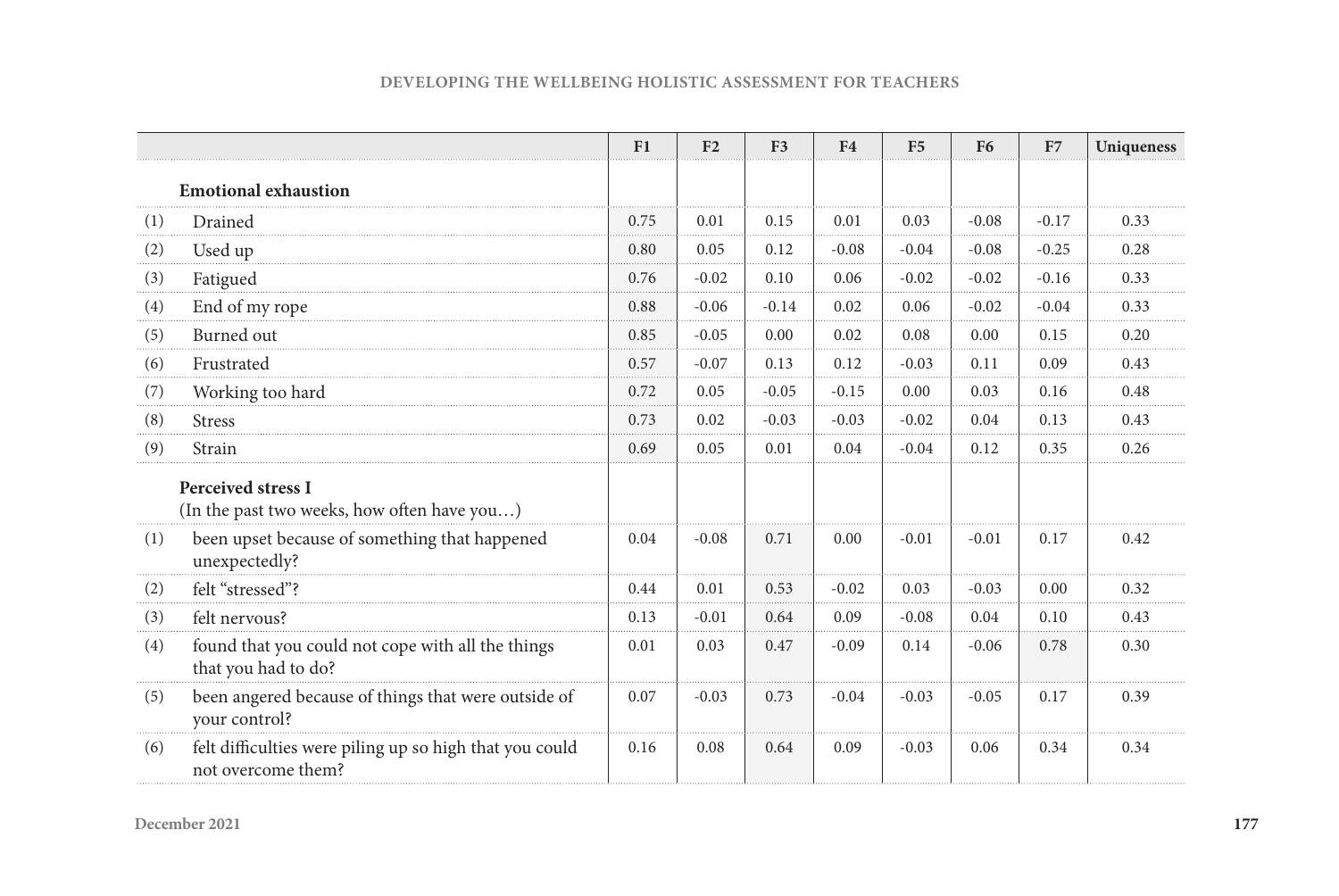|  |  | <b>DEVELOPING THE WELLBEING HOLISTIC ASSESSMENT FOR TEACHERS</b> |
|--|--|------------------------------------------------------------------|
|  |  |                                                                  |

|     |                                                                               | F1   | F <sub>2</sub> | F <sub>3</sub> | F <sub>4</sub> | F <sub>5</sub> | F <sub>6</sub> | F7      | Uniqueness |
|-----|-------------------------------------------------------------------------------|------|----------------|----------------|----------------|----------------|----------------|---------|------------|
|     | <b>Emotional exhaustion</b>                                                   |      |                |                |                |                |                |         |            |
| (1) | Drained                                                                       | 0.75 | 0.01           | 0.15           | 0.01           | 0.03           | $-0.08$        | $-0.17$ | 0.33       |
| (2) | Used up                                                                       | 0.80 | 0.05           | 0.12           | $-0.08$        | $-0.04$        | $-0.08$        | $-0.25$ | 0.28       |
| (3) | Fatigued                                                                      | 0.76 | $-0.02$        | 0.10           | 0.06           | $-0.02$        | $-0.02$        | $-0.16$ | 0.33       |
| (4) | End of my rope                                                                | 0.88 | $-0.06$        | $-0.14$        | 0.02           | 0.06           | $-0.02$        | $-0.04$ | 0.33       |
| (5) | Burned out                                                                    | 0.85 | $-0.05$        | 0.00           | 0.02           | 0.08           | 0.00           | 0.15    | 0.20       |
| (6) | Frustrated                                                                    | 0.57 | $-0.07$        | 0.13           | 0.12           | $-0.03$        | 0.11           | 0.09    | 0.43       |
| (7) | Working too hard                                                              | 0.72 | 0.05           | $-0.05$        | $-0.15$        | 0.00           | 0.03           | 0.16    | 0.48       |
| (8) | <b>Stress</b>                                                                 | 0.73 | 0.02           | $-0.03$        | $-0.03$        | $-0.02$        | 0.04           | 0.13    | 0.43       |
| (9) | Strain                                                                        | 0.69 | 0.05           | 0.01           | 0.04           | $-0.04$        | 0.12           | 0.35    | 0.26       |
|     | <b>Perceived stress I</b><br>(In the past two weeks, how often have you)      |      |                |                |                |                |                |         |            |
| (1) | been upset because of something that happened<br>unexpectedly?                | 0.04 | $-0.08$        | 0.71           | 0.00           | $-0.01$        | $-0.01$        | 0.17    | 0.42       |
| (2) | felt "stressed"?                                                              | 0.44 | 0.01           | 0.53           | $-0.02$        | 0.03           | $-0.03$        | 0.00    | 0.32       |
| (3) | felt nervous?                                                                 | 0.13 | $-0.01$        | 0.64           | 0.09           | $-0.08$        | 0.04           | 0.10    | 0.43       |
| (4) | found that you could not cope with all the things<br>that you had to do?      | 0.01 | 0.03           | 0.47           | $-0.09$        | 0.14           | $-0.06$        | 0.78    | 0.30       |
| (5) | been angered because of things that were outside of<br>your control?          | 0.07 | $-0.03$        | 0.73           | $-0.04$        | $-0.03$        | $-0.05$        | 0.17    | 0.39       |
| (6) | felt difficulties were piling up so high that you could<br>not overcome them? | 0.16 | 0.08           | 0.64           | 0.09           | $-0.03$        | 0.06           | 0.34    | 0.34       |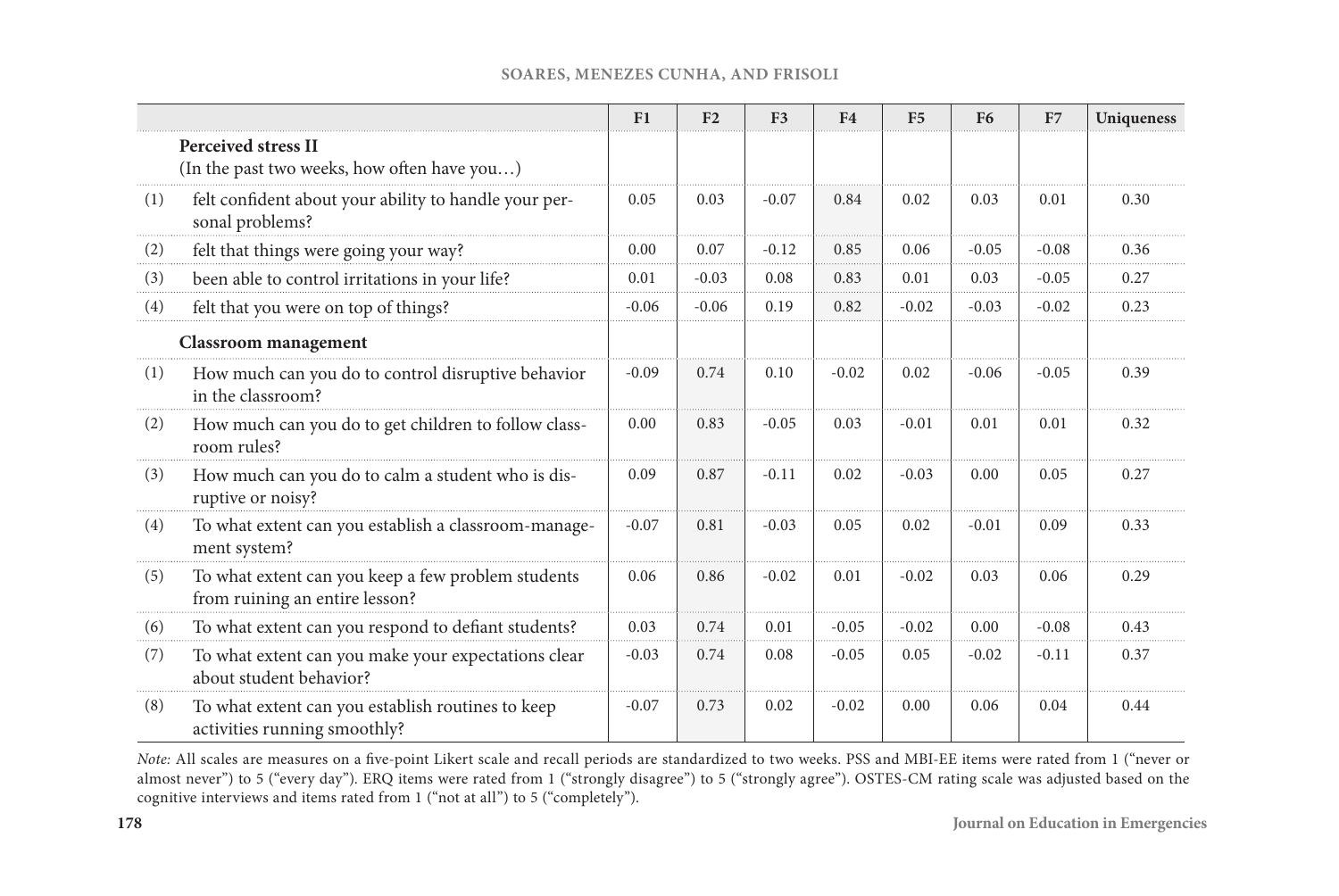|          |                                                                                      | F1      | F <sub>2</sub> | F <sub>3</sub> | F <sub>4</sub> | F <sub>5</sub> | <b>F6</b> | F7      | Uniqueness |
|----------|--------------------------------------------------------------------------------------|---------|----------------|----------------|----------------|----------------|-----------|---------|------------|
|          | <b>Perceived stress II</b><br>(In the past two weeks, how often have you)            |         |                |                |                |                |           |         |            |
| (1)      | felt confident about your ability to handle your per-<br>sonal problems?             |         | 0.03           | $-0.07$        | 0.84           | 0.02           | 0.03      | 0.01    | 0.30       |
| (2)      | felt that things were going your way?                                                | 0.00    | 0.07           | $-0.12$        | 0.85           | 0.06           | $-0.05$   | $-0.08$ | 0.36       |
| (3)      | been able to control irritations in your life?                                       |         | $-0.03$        | 0.08           | 0.83           | 0.01           | 0.03      | $-0.05$ | 0.27       |
| (4)      | felt that you were on top of things?                                                 |         | $-0.06$        | 0.19           | 0.82           | $-0.02$        | $-0.03$   | $-0.02$ | 0.23       |
|          | <b>Classroom</b> management                                                          |         |                |                |                |                |           |         |            |
| (1)      | How much can you do to control disruptive behavior<br>in the classroom?              | $-0.09$ | 0.74           | 0.10           | $-0.02$        | 0.02           | $-0.06$   | $-0.05$ | 0.39       |
| (2)      | How much can you do to get children to follow class-<br>room rules?                  | 0.00    | 0.83           | $-0.05$        | 0.03           | $-0.01$        | 0.01      | 0.01    | 0.32       |
| (3)      | How much can you do to calm a student who is dis-<br>ruptive or noisy?               | 0.09    | 0.87           | $-0.11$        | 0.02           | $-0.03$        | 0.00      | 0.05    | 0.27       |
| (4)      | To what extent can you establish a classroom-manage-<br>ment system?                 | $-0.07$ | 0.81           | $-0.03$        | 0.05           | 0.02           | $-0.01$   | 0.09    | 0.33       |
| (5)      | To what extent can you keep a few problem students<br>from ruining an entire lesson? | 0.06    | 0.86           | $-0.02$        | 0.01           | $-0.02$        | 0.03      | 0.06    | 0.29       |
| (6)<br>. | To what extent can you respond to defiant students?                                  | 0.03    | 0.74           | 0.01           | $-0.05$        | $-0.02$        | 0.00      | $-0.08$ | 0.43       |
| (7)      | To what extent can you make your expectations clear<br>about student behavior?       | $-0.03$ | 0.74           | 0.08           | $-0.05$        | 0.05           | $-0.02$   | $-0.11$ | 0.37       |
| (8)      | To what extent can you establish routines to keep<br>activities running smoothly?    | $-0.07$ | 0.73           | 0.02           | $-0.02$        | 0.00           | 0.06      | 0.04    | 0.44       |

#### **SOARES, MENEZES CUNHA, AND FRISOLI**

*Note:* All scales are measures on a five-point Likert scale and recall periods are standardized to two weeks. PSS and MBI-EE items were rated from 1 ("never or almost never") to 5 ("every day"). ERQ items were rated from 1 ("strongly disagree") to 5 ("strongly agree"). OSTES-CM rating scale was adjusted based on the cognitive interviews and items rated from 1 ("not at all") to 5 ("completely").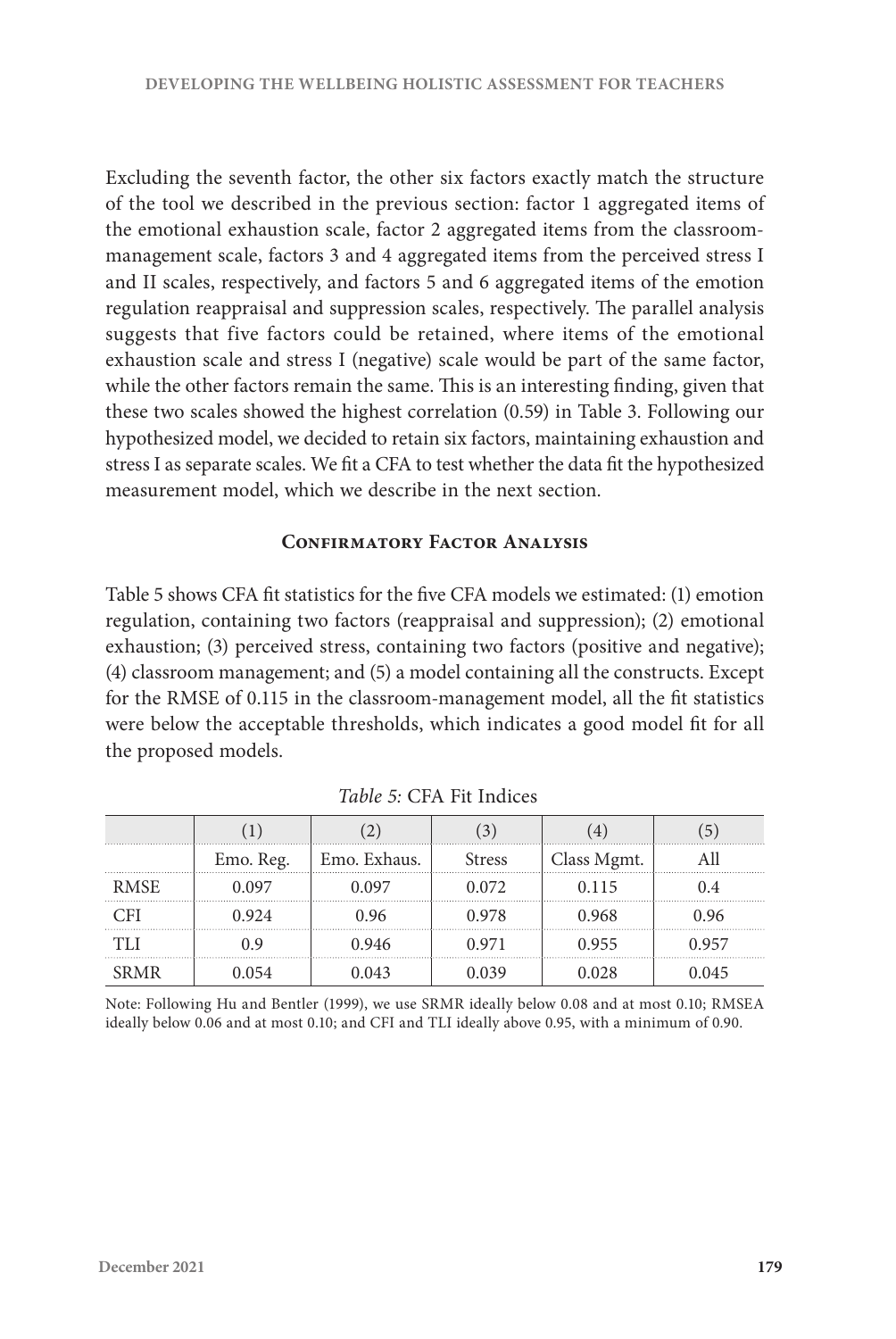Excluding the seventh factor, the other six factors exactly match the structure of the tool we described in the previous section: factor 1 aggregated items of the emotional exhaustion scale, factor 2 aggregated items from the classroommanagement scale, factors 3 and 4 aggregated items from the perceived stress I and II scales, respectively, and factors 5 and 6 aggregated items of the emotion regulation reappraisal and suppression scales, respectively. The parallel analysis suggests that five factors could be retained, where items of the emotional exhaustion scale and stress I (negative) scale would be part of the same factor, while the other factors remain the same. This is an interesting finding, given that these two scales showed the highest correlation (0.59) in Table 3. Following our hypothesized model, we decided to retain six factors, maintaining exhaustion and stress I as separate scales. We fit a CFA to test whether the data fit the hypothesized measurement model, which we describe in the next section.

#### **Confirmatory Factor Analysis**

Table 5 shows CFA fit statistics for the five CFA models we estimated: (1) emotion regulation, containing two factors (reappraisal and suppression); (2) emotional exhaustion; (3) perceived stress, containing two factors (positive and negative); (4) classroom management; and (5) a model containing all the constructs. Except for the RMSE of 0.115 in the classroom-management model, all the fit statistics were below the acceptable thresholds, which indicates a good model fit for all the proposed models.

|             | Emo. Reg. | Emo. Exhaus. | <b>Stress</b> | Class Mgmt. |      |
|-------------|-----------|--------------|---------------|-------------|------|
| <b>RMSE</b> | 0.097     | 097          | 0.072         | 0.115       |      |
|             | 0.924     | 0.96         | 0.978         | 0.968       | 0.96 |
|             | ) Q       | 946          | 0.971         | 0.955       | 957  |
| RMR         | 054       |              |               | 0.028       | 045  |

 *Table 5:* CFA Fit Indices

Note: Following Hu and Bentler (1999), we use SRMR ideally below 0.08 and at most 0.10; RMSEA ideally below 0.06 and at most 0.10; and CFI and TLI ideally above 0.95, with a minimum of 0.90.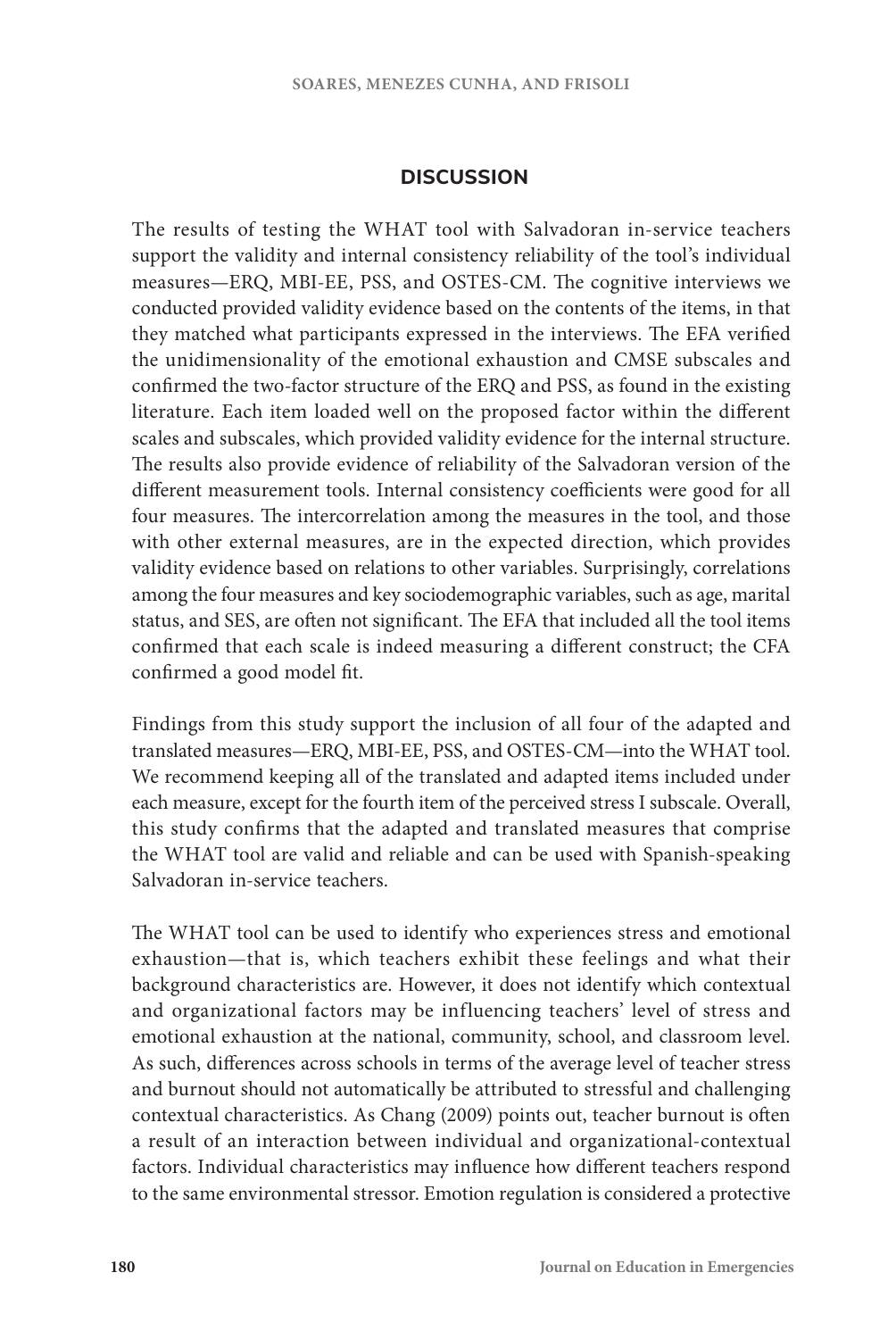## **DISCUSSION**

The results of testing the WHAT tool with Salvadoran in-service teachers support the validity and internal consistency reliability of the tool's individual measures—ERQ, MBI-EE, PSS, and OSTES-CM. The cognitive interviews we conducted provided validity evidence based on the contents of the items, in that they matched what participants expressed in the interviews. The EFA verified the unidimensionality of the emotional exhaustion and CMSE subscales and confirmed the two-factor structure of the ERQ and PSS, as found in the existing literature. Each item loaded well on the proposed factor within the different scales and subscales, which provided validity evidence for the internal structure. The results also provide evidence of reliability of the Salvadoran version of the different measurement tools. Internal consistency coefficients were good for all four measures. The intercorrelation among the measures in the tool, and those with other external measures, are in the expected direction, which provides validity evidence based on relations to other variables. Surprisingly, correlations among the four measures and key sociodemographic variables, such as age, marital status, and SES, are often not significant. The EFA that included all the tool items confirmed that each scale is indeed measuring a different construct; the CFA confirmed a good model fit.

Findings from this study support the inclusion of all four of the adapted and translated measures—ERQ, MBI-EE, PSS, and OSTES-CM—into the WHAT tool. We recommend keeping all of the translated and adapted items included under each measure, except for the fourth item of the perceived stress I subscale. Overall, this study confirms that the adapted and translated measures that comprise the WHAT tool are valid and reliable and can be used with Spanish-speaking Salvadoran in-service teachers.

The WHAT tool can be used to identify who experiences stress and emotional exhaustion—that is, which teachers exhibit these feelings and what their background characteristics are. However, it does not identify which contextual and organizational factors may be influencing teachers' level of stress and emotional exhaustion at the national, community, school, and classroom level. As such, differences across schools in terms of the average level of teacher stress and burnout should not automatically be attributed to stressful and challenging contextual characteristics. As Chang (2009) points out, teacher burnout is often a result of an interaction between individual and organizational-contextual factors. Individual characteristics may influence how different teachers respond to the same environmental stressor. Emotion regulation is considered a protective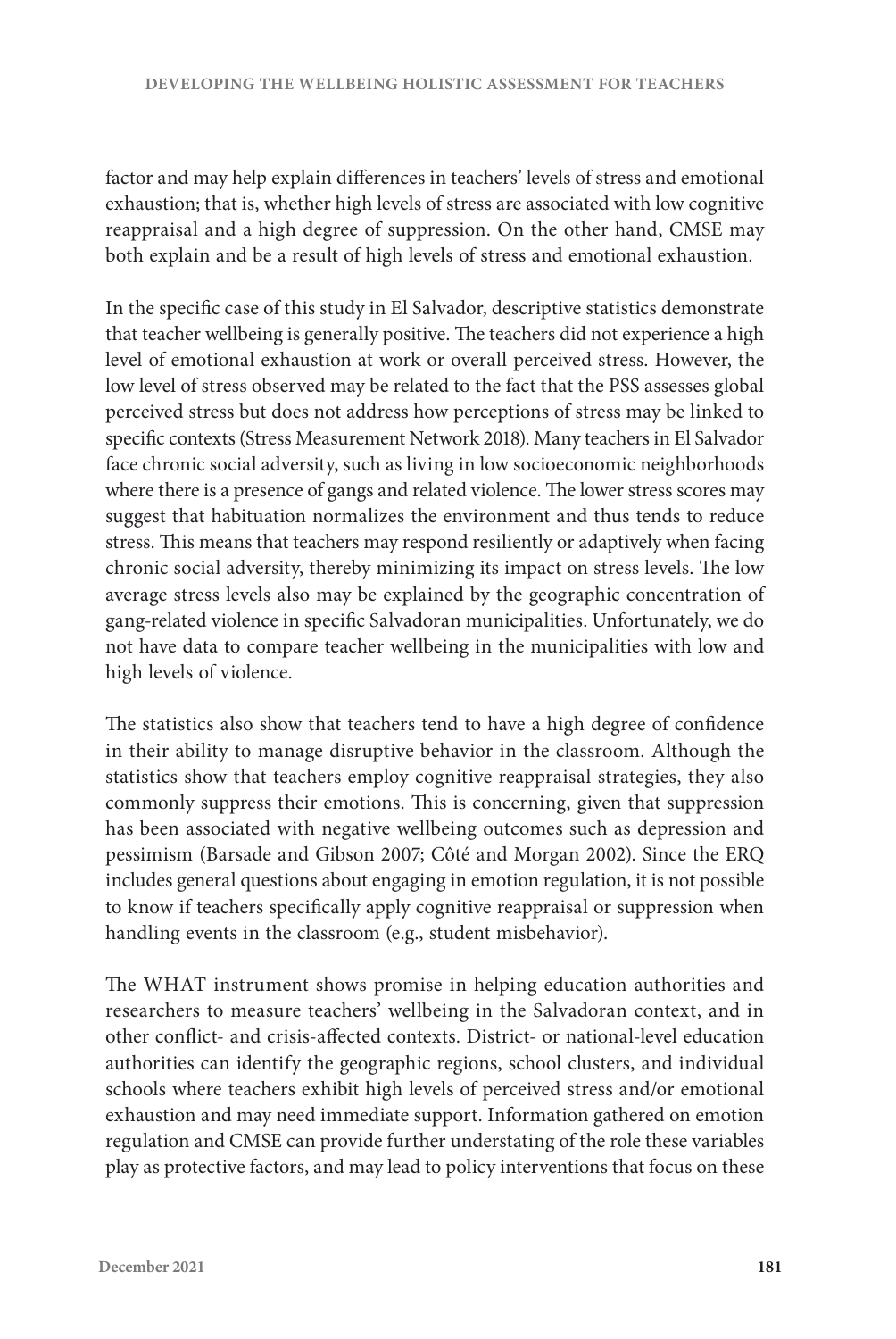factor and may help explain differences in teachers' levels of stress and emotional exhaustion; that is, whether high levels of stress are associated with low cognitive reappraisal and a high degree of suppression. On the other hand, CMSE may both explain and be a result of high levels of stress and emotional exhaustion.

In the specific case of this study in El Salvador, descriptive statistics demonstrate that teacher wellbeing is generally positive. The teachers did not experience a high level of emotional exhaustion at work or overall perceived stress. However, the low level of stress observed may be related to the fact that the PSS assesses global perceived stress but does not address how perceptions of stress may be linked to specific contexts (Stress Measurement Network 2018). Many teachers in El Salvador face chronic social adversity, such as living in low socioeconomic neighborhoods where there is a presence of gangs and related violence. The lower stress scores may suggest that habituation normalizes the environment and thus tends to reduce stress. This means that teachers may respond resiliently or adaptively when facing chronic social adversity, thereby minimizing its impact on stress levels. The low average stress levels also may be explained by the geographic concentration of gang-related violence in specific Salvadoran municipalities. Unfortunately, we do not have data to compare teacher wellbeing in the municipalities with low and high levels of violence.

The statistics also show that teachers tend to have a high degree of confidence in their ability to manage disruptive behavior in the classroom. Although the statistics show that teachers employ cognitive reappraisal strategies, they also commonly suppress their emotions. This is concerning, given that suppression has been associated with negative wellbeing outcomes such as depression and pessimism (Barsade and Gibson 2007; Côté and Morgan 2002). Since the ERQ includes general questions about engaging in emotion regulation, it is not possible to know if teachers specifically apply cognitive reappraisal or suppression when handling events in the classroom (e.g., student misbehavior).

The WHAT instrument shows promise in helping education authorities and researchers to measure teachers' wellbeing in the Salvadoran context, and in other conflict- and crisis-affected contexts. District- or national-level education authorities can identify the geographic regions, school clusters, and individual schools where teachers exhibit high levels of perceived stress and/or emotional exhaustion and may need immediate support. Information gathered on emotion regulation and CMSE can provide further understating of the role these variables play as protective factors, and may lead to policy interventions that focus on these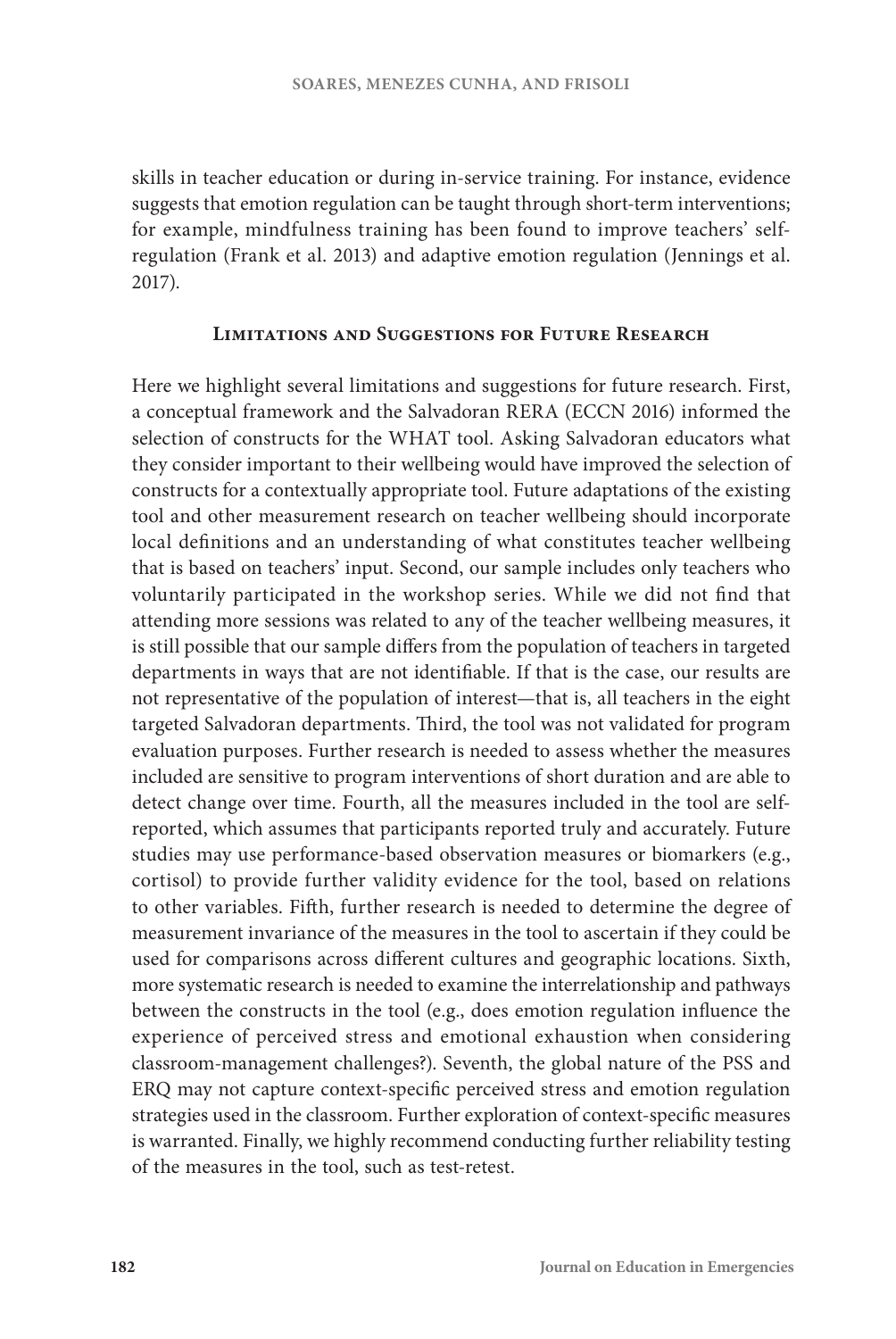skills in teacher education or during in-service training. For instance, evidence suggests that emotion regulation can be taught through short-term interventions; for example, mindfulness training has been found to improve teachers' selfregulation (Frank et al. 2013) and adaptive emotion regulation (Jennings et al. 2017).

#### **Limitations and Suggestions for Future Research**

Here we highlight several limitations and suggestions for future research. First, a conceptual framework and the Salvadoran RERA (ECCN 2016) informed the selection of constructs for the WHAT tool. Asking Salvadoran educators what they consider important to their wellbeing would have improved the selection of constructs for a contextually appropriate tool. Future adaptations of the existing tool and other measurement research on teacher wellbeing should incorporate local definitions and an understanding of what constitutes teacher wellbeing that is based on teachers' input. Second, our sample includes only teachers who voluntarily participated in the workshop series. While we did not find that attending more sessions was related to any of the teacher wellbeing measures, it is still possible that our sample differs from the population of teachers in targeted departments in ways that are not identifiable. If that is the case, our results are not representative of the population of interest—that is, all teachers in the eight targeted Salvadoran departments. Third, the tool was not validated for program evaluation purposes. Further research is needed to assess whether the measures included are sensitive to program interventions of short duration and are able to detect change over time. Fourth, all the measures included in the tool are selfreported, which assumes that participants reported truly and accurately. Future studies may use performance-based observation measures or biomarkers (e.g., cortisol) to provide further validity evidence for the tool, based on relations to other variables. Fifth, further research is needed to determine the degree of measurement invariance of the measures in the tool to ascertain if they could be used for comparisons across different cultures and geographic locations. Sixth, more systematic research is needed to examine the interrelationship and pathways between the constructs in the tool (e.g., does emotion regulation influence the experience of perceived stress and emotional exhaustion when considering classroom-management challenges?). Seventh, the global nature of the PSS and ERQ may not capture context-specific perceived stress and emotion regulation strategies used in the classroom. Further exploration of context-specific measures is warranted. Finally, we highly recommend conducting further reliability testing of the measures in the tool, such as test-retest.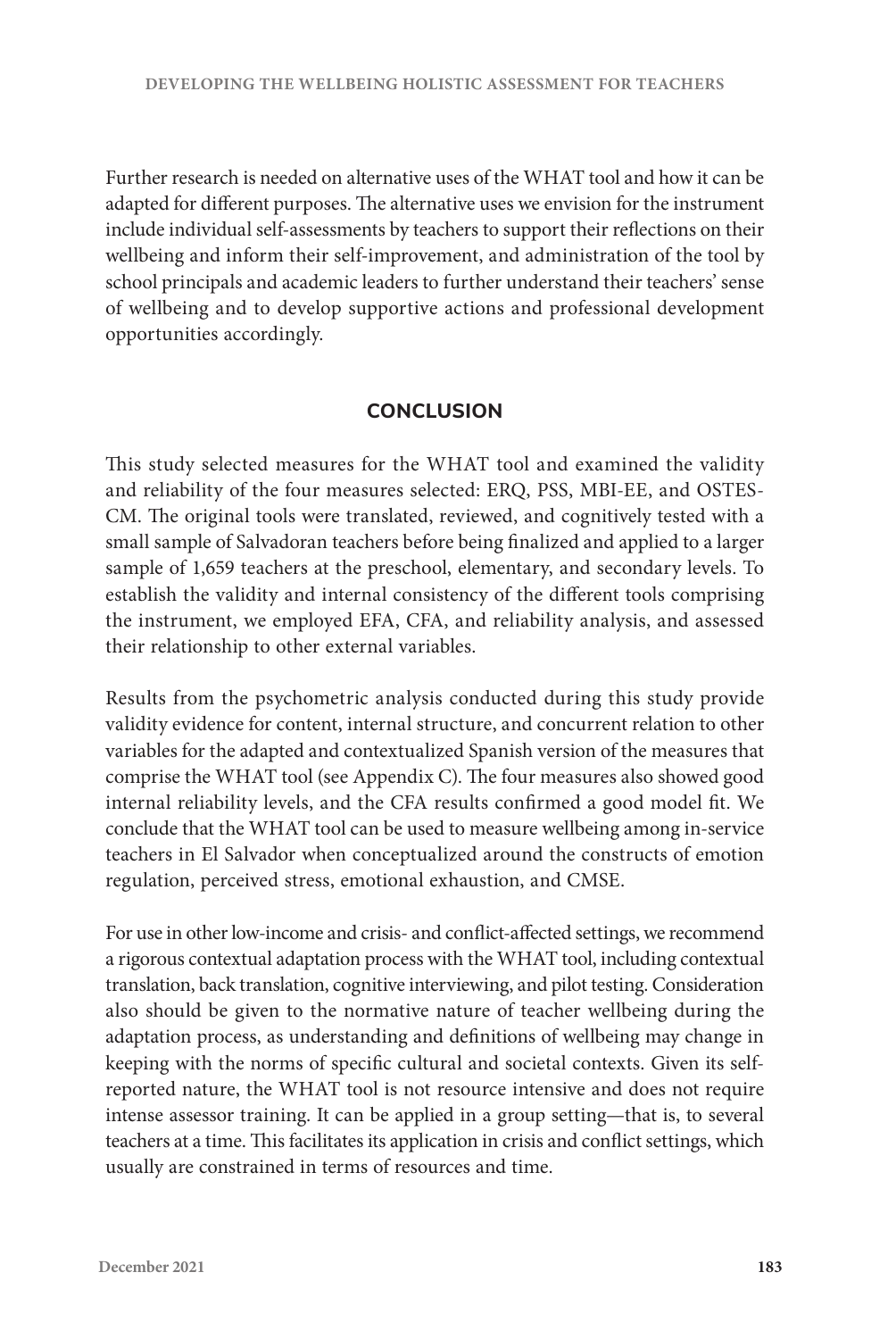Further research is needed on alternative uses of the WHAT tool and how it can be adapted for different purposes. The alternative uses we envision for the instrument include individual self-assessments by teachers to support their reflections on their wellbeing and inform their self-improvement, and administration of the tool by school principals and academic leaders to further understand their teachers' sense of wellbeing and to develop supportive actions and professional development opportunities accordingly.

## **CONCLUSION**

This study selected measures for the WHAT tool and examined the validity and reliability of the four measures selected: ERQ, PSS, MBI-EE, and OSTES-CM. The original tools were translated, reviewed, and cognitively tested with a small sample of Salvadoran teachers before being finalized and applied to a larger sample of 1,659 teachers at the preschool, elementary, and secondary levels. To establish the validity and internal consistency of the different tools comprising the instrument, we employed EFA, CFA, and reliability analysis, and assessed their relationship to other external variables.

Results from the psychometric analysis conducted during this study provide validity evidence for content, internal structure, and concurrent relation to other variables for the adapted and contextualized Spanish version of the measures that comprise the WHAT tool (see Appendix C). The four measures also showed good internal reliability levels, and the CFA results confirmed a good model fit. We conclude that the WHAT tool can be used to measure wellbeing among in-service teachers in El Salvador when conceptualized around the constructs of emotion regulation, perceived stress, emotional exhaustion, and CMSE.

For use in other low-income and crisis- and conflict-affected settings, we recommend a rigorous contextual adaptation process with the WHAT tool, including contextual translation, back translation, cognitive interviewing, and pilot testing. Consideration also should be given to the normative nature of teacher wellbeing during the adaptation process, as understanding and definitions of wellbeing may change in keeping with the norms of specific cultural and societal contexts. Given its selfreported nature, the WHAT tool is not resource intensive and does not require intense assessor training. It can be applied in a group setting—that is, to several teachers at a time. This facilitates its application in crisis and conflict settings, which usually are constrained in terms of resources and time.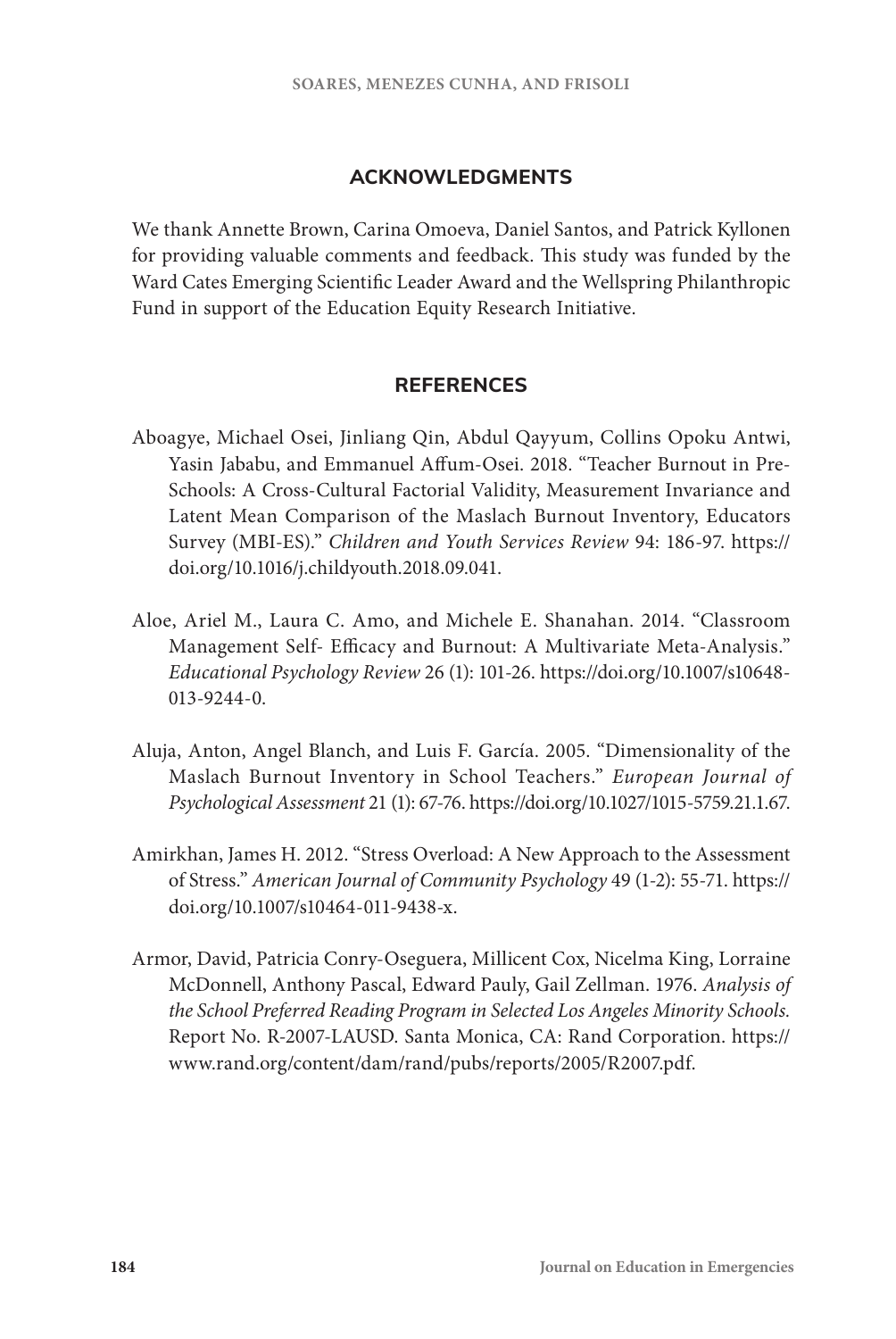#### **ACKNOWLEDGMENTS**

We thank Annette Brown, Carina Omoeva, Daniel Santos, and Patrick Kyllonen for providing valuable comments and feedback. This study was funded by the Ward Cates Emerging Scientific Leader Award and the Wellspring Philanthropic Fund in support of the Education Equity Research Initiative.

#### **REFERENCES**

- Aboagye, Michael Osei, Jinliang Qin, Abdul Qayyum, Collins Opoku Antwi, Yasin Jababu, and Emmanuel Affum-Osei. 2018. "Teacher Burnout in Pre-Schools: A Cross-Cultural Factorial Validity, Measurement Invariance and Latent Mean Comparison of the Maslach Burnout Inventory, Educators Survey (MBI-ES)." *Children and Youth Services Review* 94: 186-97. [https://](https://doi.org/10.1016/j.childyouth.2018.09.041) [doi.org/10.1016/j.childyouth.2018.09.041](https://doi.org/10.1016/j.childyouth.2018.09.041).
- Aloe, Ariel M., Laura C. Amo, and Michele E. Shanahan. 2014. "Classroom Management Self- Efficacy and Burnout: A Multivariate Meta-Analysis." *Educational Psychology Review* 26 (1): 101-26. [https://doi.org/10.1007/s10648-](https://doi.org/10.1007/s10648-013-9244-0) [013-9244-0.](https://doi.org/10.1007/s10648-013-9244-0)
- Aluja, Anton, Angel Blanch, and Luis F. García. 2005. "Dimensionality of the Maslach Burnout Inventory in School Teachers." *European Journal of Psychological Assessment* 21 (1): 67-76. [https://doi.org/10.1027/1015-5759.21.1.67.](https://doi.org/10.1027/1015-5759.21.1.67)
- Amirkhan, James H. 2012. "Stress Overload: A New Approach to the Assessment of Stress." *American Journal of Community Psychology* 49 (1-2): 55-71. [https://](https://doi.org/10.1007/s10464-011-9438-x) [doi.org/10.1007/s10464-011-9438-x.](https://doi.org/10.1007/s10464-011-9438-x)
- Armor, David, Patricia Conry-Oseguera, Millicent Cox, Nicelma King, Lorraine McDonnell, Anthony Pascal, Edward Pauly, Gail Zellman. 1976. *Analysis of the School Preferred Reading Program in Selected Los Angeles Minority Schools.* Report No. R-2007-LAUSD. Santa Monica, CA: Rand Corporation. [https://](https://www.rand.org/content/dam/rand/pubs/reports/2005/R2007.pdf) [www.rand.org/content/dam/rand/pubs/reports/2005/R2007.pdf.](https://www.rand.org/content/dam/rand/pubs/reports/2005/R2007.pdf)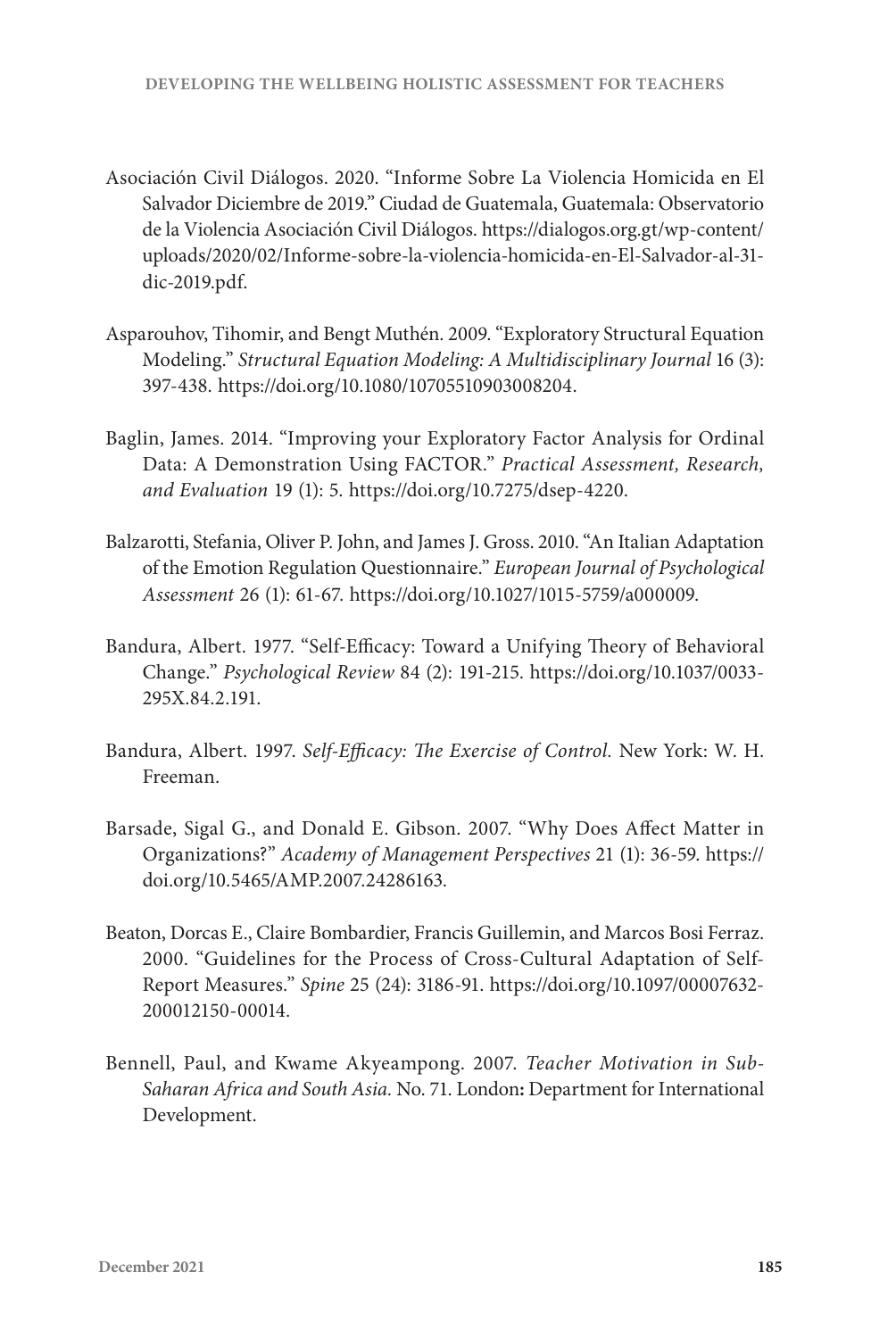- Asociación Civil Diálogos. 2020. "Informe Sobre La Violencia Homicida en El Salvador Diciembre de 2019." Ciudad de Guatemala, Guatemala: Observatorio de la Violencia Asociación Civil Diálogos. [https://dialogos.org.gt/wp-content/](https://dialogos.org.gt/wp-content/uploads/2020/02/Informe-sobre-la-violencia-homicida-en-El-Salvador-al-31-dic-2019.pdf) [uploads/2020/02/Informe-sobre-la-violencia-homicida-en-El-Salvador-al-31](https://dialogos.org.gt/wp-content/uploads/2020/02/Informe-sobre-la-violencia-homicida-en-El-Salvador-al-31-dic-2019.pdf) [dic-2019.pdf.](https://dialogos.org.gt/wp-content/uploads/2020/02/Informe-sobre-la-violencia-homicida-en-El-Salvador-al-31-dic-2019.pdf)
- Asparouhov, Tihomir, and Bengt Muthén. 2009. "Exploratory Structural Equation Modeling." *Structural Equation Modeling: A Multidisciplinary Journal* 16 (3): 397-438. [https://doi.org/10.1080/10705510903008204.](https://doi.org/10.1080/10705510903008204)
- Baglin, James. 2014. "Improving your Exploratory Factor Analysis for Ordinal Data: A Demonstration Using FACTOR." *Practical Assessment, Research, and Evaluation* 19 (1): 5. <https://doi.org/10.7275/dsep-4220>.
- Balzarotti, Stefania, Oliver P. John, and James J. Gross. 2010. "An Italian Adaptation of the Emotion Regulation Questionnaire." *European Journal of Psychological Assessment* 26 (1): 61-67. <https://doi.org/10.1027/1015-5759/a000009>.
- Bandura, Albert. 1977. "Self-Efficacy: Toward a Unifying Theory of Behavioral Change." *Psychological Review* 84 (2): 191-215. [https://doi.org/10.1037/0033-](https://doi.org/10.1037/0033-295X.84.2.191) [295X.84.2.191.](https://doi.org/10.1037/0033-295X.84.2.191)
- Bandura, Albert. 1997. *Self-Efficacy: The Exercise of Control.* New York: W. H. Freeman.
- Barsade, Sigal G., and Donald E. Gibson. 2007. "Why Does Affect Matter in Organizations?" *Academy of Management Perspectives* 21 (1): 36-59. [https://](https://doi.org/10.5465/AMP.2007.24286163) [doi.org/10.5465/AMP.2007.24286163](https://doi.org/10.5465/AMP.2007.24286163).
- Beaton, Dorcas E., Claire Bombardier, Francis Guillemin, and Marcos Bosi Ferraz. 2000. "Guidelines for the Process of Cross-Cultural Adaptation of Self-Report Measures." *Spine* 25 (24): 3186-91. [https://doi.org/10.1097/00007632-](https://doi.org/10.1097/00007632-200012150-00014) [200012150-00014.](https://doi.org/10.1097/00007632-200012150-00014)
- Bennell, Paul, and Kwame Akyeampong. 2007. *Teacher Motivation in Sub-Saharan Africa and South Asia.* No. 71. London**:** Department for International Development.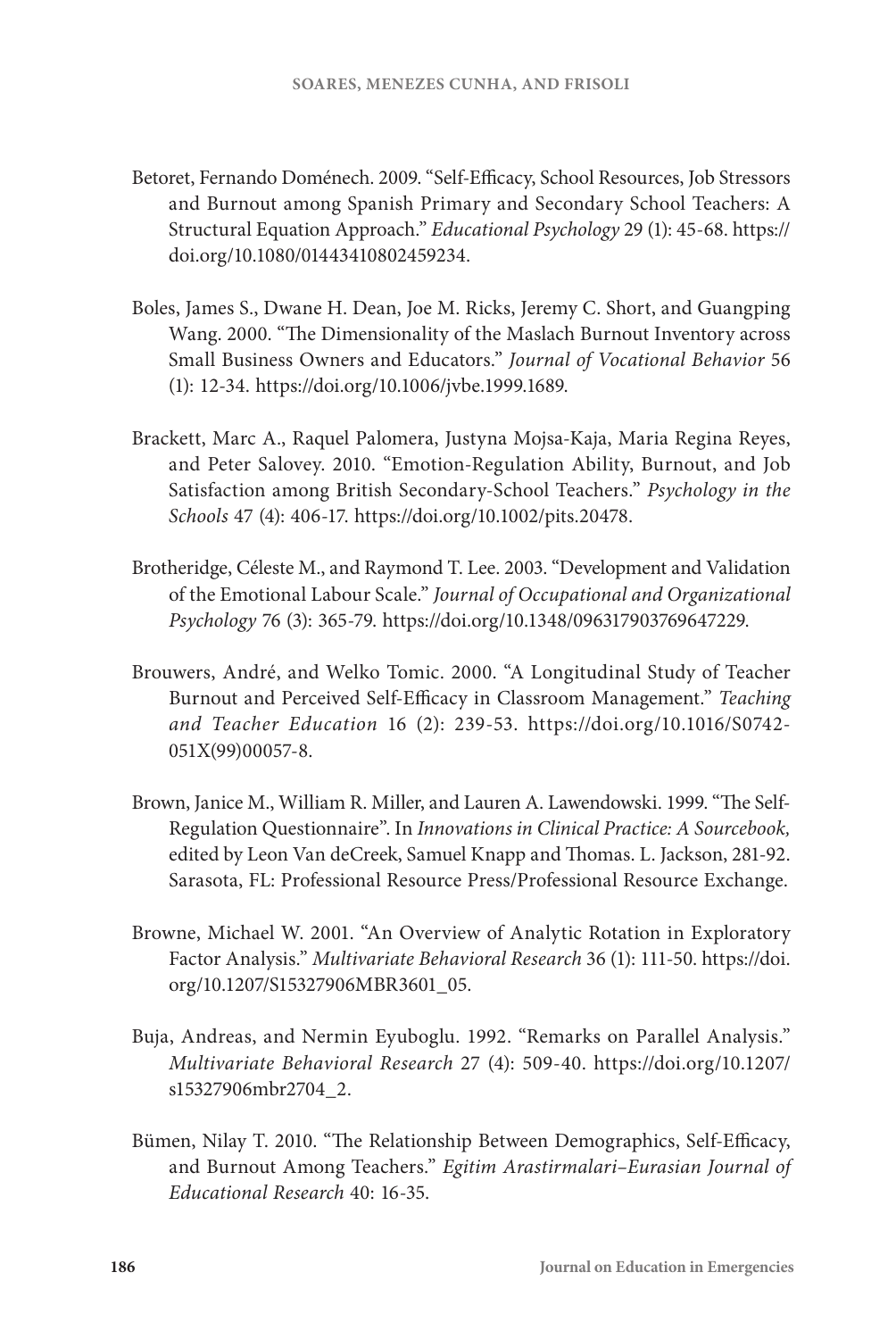- Betoret, Fernando Doménech. 2009. "Self-Efficacy, School Resources, Job Stressors and Burnout among Spanish Primary and Secondary School Teachers: A Structural Equation Approach." *Educational Psychology* 29 (1): 45-68. [https://](https://doi.org/10.1080/01443410802459234) [doi.org/10.1080/01443410802459234.](https://doi.org/10.1080/01443410802459234)
- Boles, James S., Dwane H. Dean, Joe M. Ricks, Jeremy C. Short, and Guangping Wang. 2000. "The Dimensionality of the Maslach Burnout Inventory across Small Business Owners and Educators." *Journal of Vocational Behavior* 56 (1): 12-34. <https://doi.org/10.1006/jvbe.1999.1689>.
- Brackett, Marc A., Raquel Palomera, Justyna Mojsa-Kaja, Maria Regina Reyes, and Peter Salovey. 2010. "Emotion-Regulation Ability, Burnout, and Job Satisfaction among British Secondary-School Teachers." *Psychology in the Schools* 47 (4): 406-17. [https://doi.org/10.1002/pits.20478.](https://doi.org/10.1002/pits.20478)
- Brotheridge, Céleste M., and Raymond T. Lee. 2003. "Development and Validation of the Emotional Labour Scale." *Journal of Occupational and Organizational Psychology* 76 (3): 365-79. [https://doi.org/10.1348/096317903769647229.](https://doi.org/10.1348/096317903769647229)
- Brouwers, André, and Welko Tomic. 2000. "A Longitudinal Study of Teacher Burnout and Perceived Self-Efficacy in Classroom Management." *Teaching and Teacher Education* 16 (2): 239-53. [https://doi.org/10.1016/S0742-](https://doi.org/10.1016/S0742-051X(99)00057-8) [051X\(99\)00057-8.](https://doi.org/10.1016/S0742-051X(99)00057-8)
- Brown, Janice M., William R. Miller, and Lauren A. Lawendowski. 1999. "The Self-Regulation Questionnaire". In *Innovations in Clinical Practice: A Sourcebook,* edited by Leon Van deCreek, Samuel Knapp and Thomas. L. Jackson, 281-92. Sarasota, FL: Professional Resource Press/Professional Resource Exchange.
- Browne, Michael W. 2001. "An Overview of Analytic Rotation in Exploratory Factor Analysis." *Multivariate Behavioral Research* 36 (1): 111-50. [https://doi.](https://doi.org/10.1207/S15327906MBR3601_05) [org/10.1207/S15327906MBR3601\\_05](https://doi.org/10.1207/S15327906MBR3601_05).
- Buja, Andreas, and Nermin Eyuboglu. 1992. "Remarks on Parallel Analysis." *Multivariate Behavioral Research* 27 (4): 509-40. [https://doi.org/10.1207/](https://doi.org/10.1207/s15327906mbr2704_2) [s15327906mbr2704\\_2.](https://doi.org/10.1207/s15327906mbr2704_2)
- Bümen, Nilay T. 2010. "The Relationship Between Demographics, Self-Efficacy, and Burnout Among Teachers." *Egitim Arastirmalari–Eurasian Journal of Educational Research* 40: 16-35.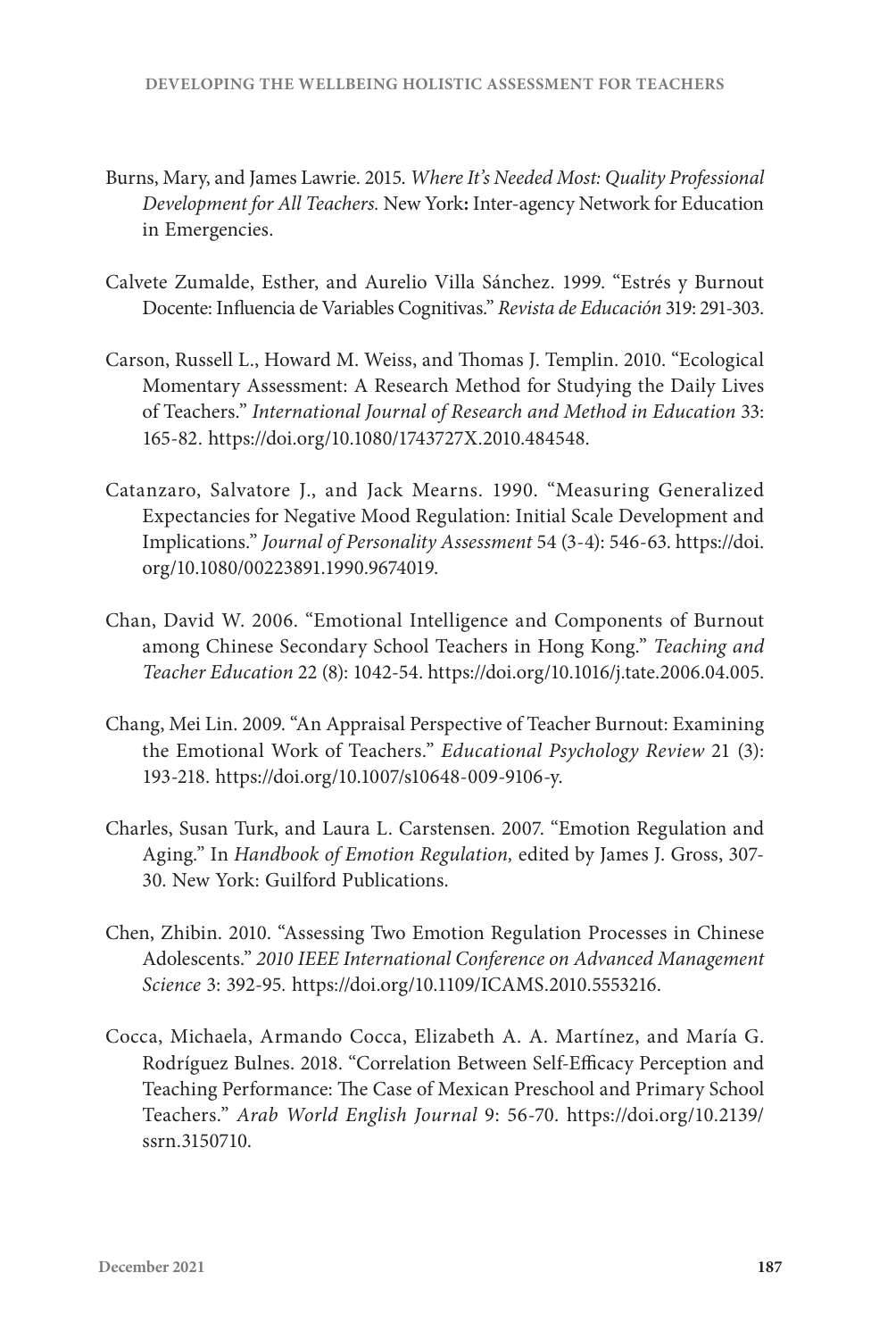- Burns, Mary, and James Lawrie. 2015. *Where It's Needed Most: Quality Professional Development for All Teachers.* New York**:** Inter-agency Network for Education in Emergencies.
- Calvete Zumalde, Esther, and Aurelio Villa Sánchez. 1999. "Estrés y Burnout Docente: Influencia de Variables Cognitivas." *Revista de Educación* 319: 291-303.
- Carson, Russell L., Howard M. Weiss, and Thomas J. Templin. 2010. "Ecological Momentary Assessment: A Research Method for Studying the Daily Lives of Teachers." *International Journal of Research and Method in Education* 33: 165-82. [https://doi.org/10.1080/1743727X.2010.484548.](https://doi.org/10.1080/1743727X.2010.484548)
- Catanzaro, Salvatore J., and Jack Mearns. 1990. "Measuring Generalized Expectancies for Negative Mood Regulation: Initial Scale Development and Implications." *Journal of Personality Assessment* 54 (3-4): 546-63. [https://doi.](https://doi.org/10.1080/00223891.1990.9674019) [org/10.1080/00223891.1990.9674019](https://doi.org/10.1080/00223891.1990.9674019).
- Chan, David W. 2006. "Emotional Intelligence and Components of Burnout among Chinese Secondary School Teachers in Hong Kong." *Teaching and Teacher Education* 22 (8): 1042-54. [https://doi.org/10.1016/j.tate.2006.04.005.](https://doi.org/10.1016/j.tate.2006.04.005)
- Chang, Mei Lin. 2009. "An Appraisal Perspective of Teacher Burnout: Examining the Emotional Work of Teachers." *Educational Psychology Review* 21 (3): 193-218. <https://doi.org/10.1007/s10648-009-9106-y>.
- Charles, Susan Turk, and Laura L. Carstensen. 2007. "Emotion Regulation and Aging." In *Handbook of Emotion Regulation,* edited by James J. Gross, 307- 30. New York: Guilford Publications.
- Chen, Zhibin. 2010. "Assessing Two Emotion Regulation Processes in Chinese Adolescents." *2010 IEEE International Conference on Advanced Management Science* 3: 392-95*.* <https://doi.org/10.1109/ICAMS.2010.5553216>.
- Cocca, Michaela, Armando Cocca, Elizabeth A. A. Martínez, and María G. Rodríguez Bulnes. 2018. "Correlation Between Self-Efficacy Perception and Teaching Performance: The Case of Mexican Preschool and Primary School Teachers." *Arab World English Journal* 9: 56-70. [https://doi.org/10.2139/](https://doi.org/10.2139/ssrn.3150710) [ssrn.3150710.](https://doi.org/10.2139/ssrn.3150710)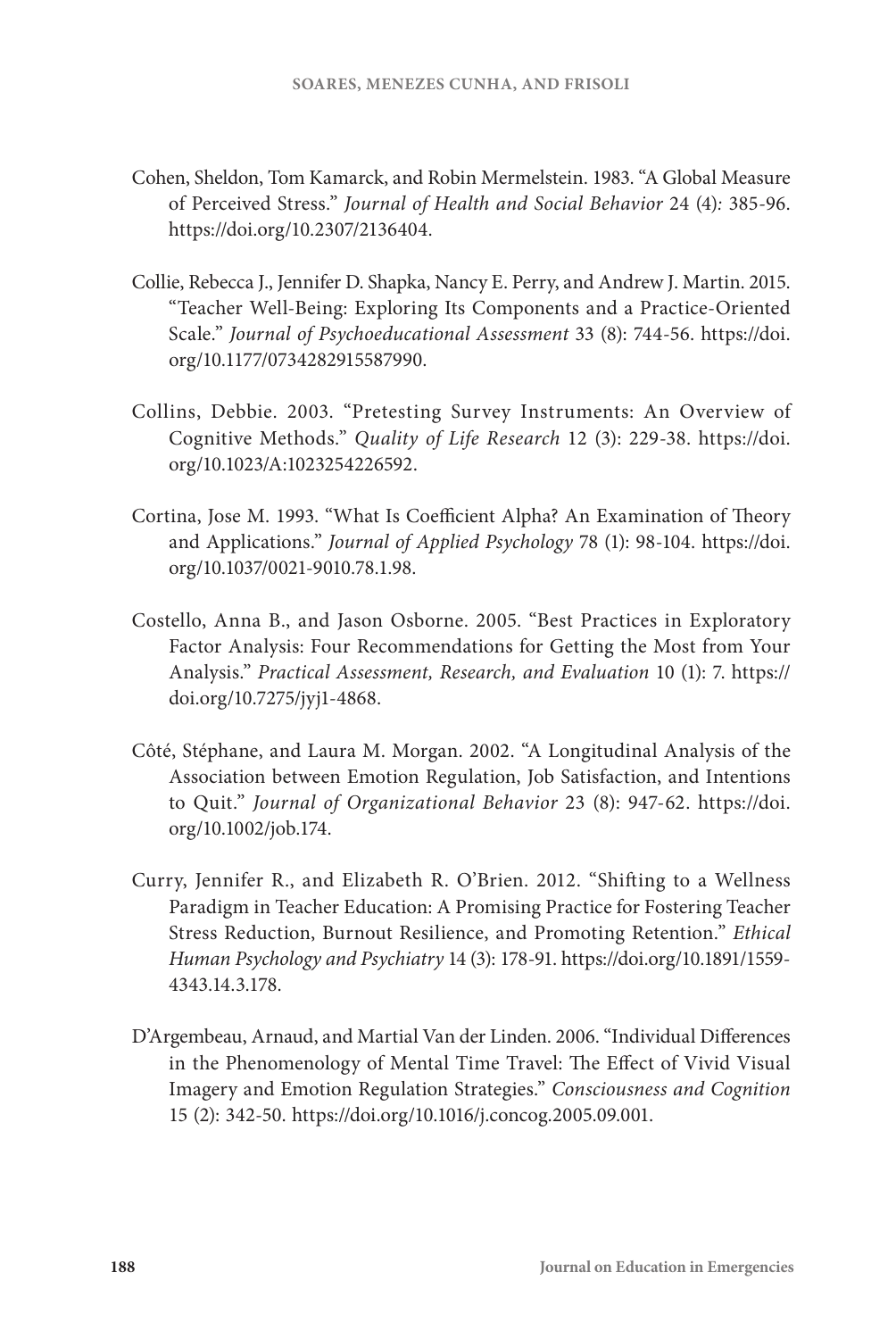- Cohen, Sheldon, Tom Kamarck, and Robin Mermelstein. 1983. "A Global Measure of Perceived Stress." *Journal of Health and Social Behavior* 24 (4)*:* 385-96. <https://doi.org/10.2307/2136404>.
- Collie, Rebecca J., Jennifer D. Shapka, Nancy E. Perry, and Andrew J. Martin. 2015. "Teacher Well-Being: Exploring Its Components and a Practice-Oriented Scale." *Journal of Psychoeducational Assessment* 33 (8): 744-56. [https://doi.](https://doi.org/10.1177/0734282915587990) [org/10.1177/0734282915587990](https://doi.org/10.1177/0734282915587990).
- Collins, Debbie. 2003. "Pretesting Survey Instruments: An Overview of Cognitive Methods." *Quality of Life Research* 12 (3): 229-38. [https://doi.](https://doi.org/10.1023/A:1023254226592) [org/10.1023/A:1023254226592](https://doi.org/10.1023/A:1023254226592).
- Cortina, Jose M. 1993. "What Is Coefficient Alpha? An Examination of Theory and Applications." *Journal of Applied Psychology* 78 (1): 98-104. [https://doi.](https://doi.org/10.1037/0021-9010.78.1.98) [org/10.1037/0021-9010.78.1.98](https://doi.org/10.1037/0021-9010.78.1.98).
- Costello, Anna B., and Jason Osborne. 2005. "Best Practices in Exploratory Factor Analysis: Four Recommendations for Getting the Most from Your Analysis." *Practical Assessment, Research, and Evaluation* 10 (1): 7. [https://](https://doi.org/10.7275/jyj1-4868) [doi.org/10.7275/jyj1-4868.](https://doi.org/10.7275/jyj1-4868)
- Côté, Stéphane, and Laura M. Morgan. 2002. "A Longitudinal Analysis of the Association between Emotion Regulation, Job Satisfaction, and Intentions to Quit." *Journal of Organizational Behavior* 23 (8): 947-62. [https://doi.](https://doi.org/10.1002/job.174) [org/10.1002/job.174.](https://doi.org/10.1002/job.174)
- Curry, Jennifer R., and Elizabeth R. O'Brien. 2012. "Shifting to a Wellness Paradigm in Teacher Education: A Promising Practice for Fostering Teacher Stress Reduction, Burnout Resilience, and Promoting Retention." *Ethical Human Psychology and Psychiatry* 14 (3): 178-91. [https://doi.org/10.1891/1559-](https://doi.org/10.1891/1559-4343.14.3.178) [4343.14.3.178](https://doi.org/10.1891/1559-4343.14.3.178).
- D'Argembeau, Arnaud, and Martial Van der Linden. 2006. "Individual Differences in the Phenomenology of Mental Time Travel: The Effect of Vivid Visual Imagery and Emotion Regulation Strategies." *Consciousness and Cognition*  15 (2): 342-50. <https://doi.org/10.1016/j.concog.2005.09.001>.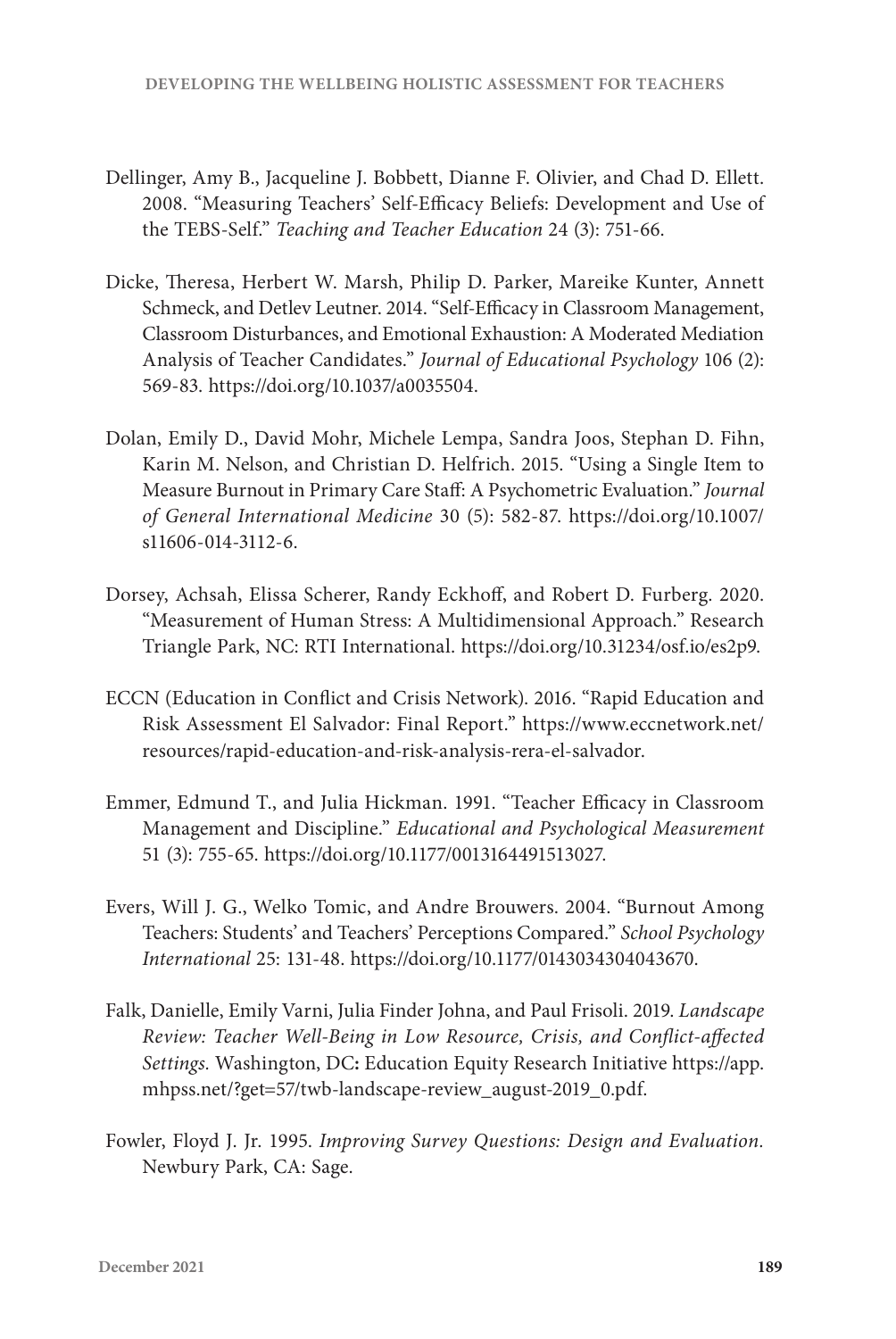- Dellinger, Amy B., Jacqueline J. Bobbett, Dianne F. Olivier, and Chad D. Ellett. 2008. "Measuring Teachers' Self-Efficacy Beliefs: Development and Use of the TEBS-Self." *Teaching and Teacher Education* 24 (3): 751-66.
- Dicke, Theresa, Herbert W. Marsh, Philip D. Parker, Mareike Kunter, Annett Schmeck, and Detlev Leutner. 2014. "Self-Efficacy in Classroom Management, Classroom Disturbances, and Emotional Exhaustion: A Moderated Mediation Analysis of Teacher Candidates." *Journal of Educational Psychology* 106 (2): 569-83. [https://doi.org/10.1037/a0035504.](https://doi.org/10.1037/a0035504)
- Dolan, Emily D., David Mohr, Michele Lempa, Sandra Joos, Stephan D. Fihn, Karin M. Nelson, and Christian D. Helfrich. 2015. "Using a Single Item to Measure Burnout in Primary Care Staff: A Psychometric Evaluation." *Journal of General International Medicine* 30 (5): 582-87. [https://doi.org/10.1007/](https://doi.org/10.1007/s11606-014-3112-6) [s11606-014-3112-6.](https://doi.org/10.1007/s11606-014-3112-6)
- Dorsey, Achsah, Elissa Scherer, Randy Eckhoff, and Robert D. Furberg. 2020. "Measurement of Human Stress: A Multidimensional Approach." Research Triangle Park, NC: RTI International. [https://doi.org/10.31234/osf.io/es2p9.](https://doi.org/10.31234/osf.io/es2p9)
- ECCN (Education in Conflict and Crisis Network). 2016. "Rapid Education and Risk Assessment El Salvador: Final Report." [https://www.eccnetwork.net/](https://www.eccnetwork.net/resources/rapid-education-and-risk-analysis-rera-el-salvador) [resources/rapid-education-and-risk-analysis-rera-el-salvador.](https://www.eccnetwork.net/resources/rapid-education-and-risk-analysis-rera-el-salvador)
- Emmer, Edmund T., and Julia Hickman. 1991. "Teacher Efficacy in Classroom Management and Discipline." *Educational and Psychological Measurement*  51 (3): 755-65. [https://doi.org/10.1177/0013164491513027.](https://doi.org/10.1177/0013164491513027)
- Evers, Will J. G., Welko Tomic, and Andre Brouwers. 2004. "Burnout Among Teachers: Students' and Teachers' Perceptions Compared." *School Psychology International* 25: 131-48. <https://doi.org/10.1177/0143034304043670>.
- Falk, Danielle, Emily Varni, Julia Finder Johna, and Paul Frisoli. 2019. *Landscape Review: Teacher Well-Being in Low Resource, Crisis, and Conflict-affected Settings.* Washington, DC**:** Education Equity Research Initiative [https://app.](https://app.mhpss.net/?get=57/twb-landscape-review_august-2019_0.pdf) [mhpss.net/?get=57/twb-landscape-review\\_august-2019\\_0.pdf.](https://app.mhpss.net/?get=57/twb-landscape-review_august-2019_0.pdf)
- Fowler, Floyd J. Jr. 1995. *Improving Survey Questions: Design and Evaluation.*  Newbury Park, CA: Sage.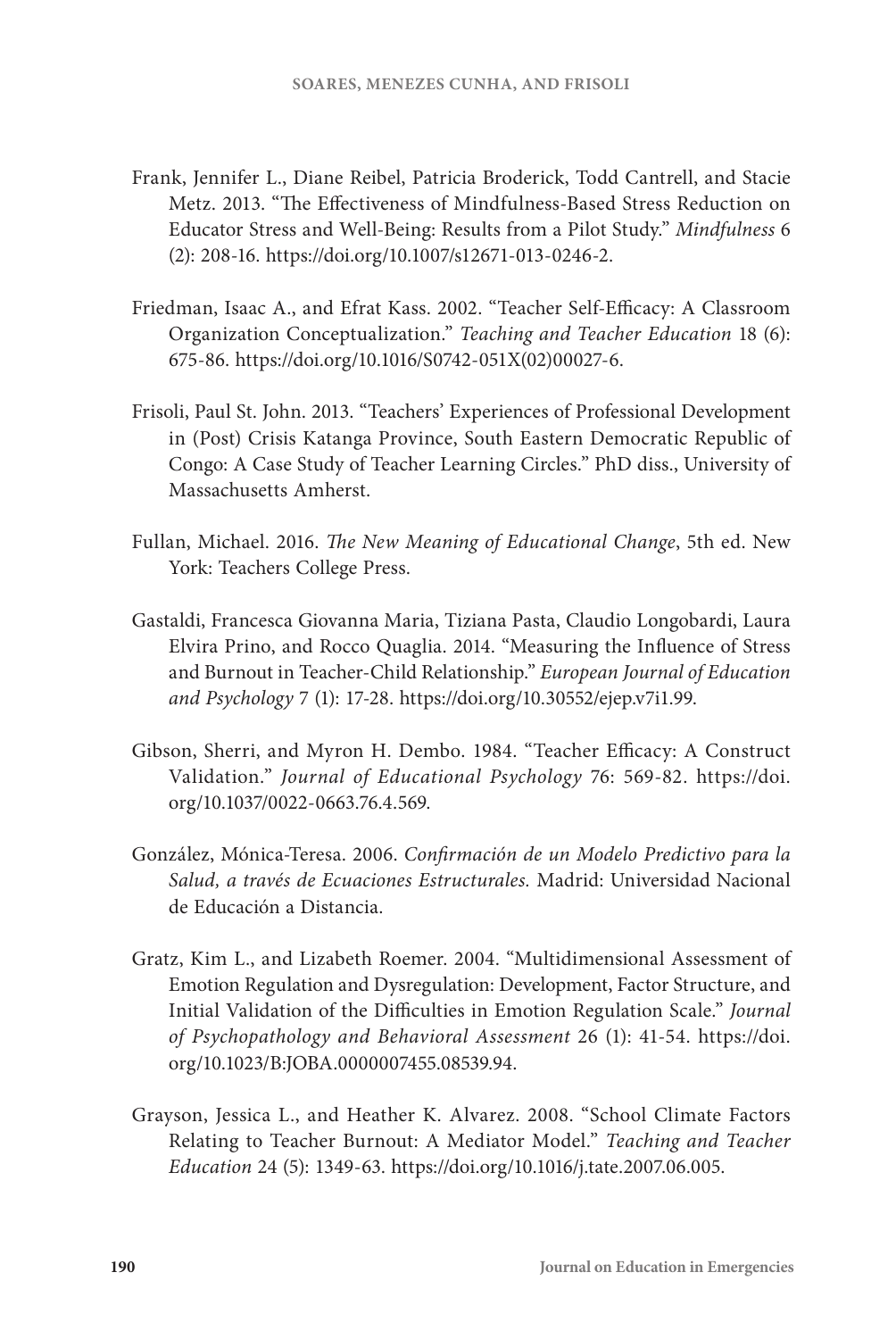- Frank, Jennifer L., Diane Reibel, Patricia Broderick, Todd Cantrell, and Stacie Metz. 2013. "The Effectiveness of Mindfulness-Based Stress Reduction on Educator Stress and Well-Being: Results from a Pilot Study." *Mindfulness* 6 (2): 208-16. <https://doi.org/10.1007/s12671-013-0246-2>.
- Friedman, Isaac A., and Efrat Kass. 2002. "Teacher Self-Efficacy: A Classroom Organization Conceptualization." *Teaching and Teacher Education* 18 (6): 675-86. [https://doi.org/10.1016/S0742-051X\(02\)00027-6](https://doi.org/10.1016/S0742-051X(02)00027-6).
- Frisoli, Paul St. John. 2013. "Teachers' Experiences of Professional Development in (Post) Crisis Katanga Province, South Eastern Democratic Republic of Congo: A Case Study of Teacher Learning Circles." PhD diss., University of Massachusetts Amherst.
- Fullan, Michael. 2016. *The New Meaning of Educational Change*, 5th ed. New York: Teachers College Press.
- Gastaldi, Francesca Giovanna Maria, Tiziana Pasta, Claudio Longobardi, Laura Elvira Prino, and Rocco Quaglia. 2014. "Measuring the Influence of Stress and Burnout in Teacher-Child Relationship." *European Journal of Education and Psychology* 7 (1): 17-28. <https://doi.org/10.30552/ejep.v7i1.99>.
- Gibson, Sherri, and Myron H. Dembo. 1984. "Teacher Efficacy: A Construct Validation." *Journal of Educational Psychology* 76: 569-82. [https://doi.](https://doi.org/10.1037/0022-0663.76.4.569) [org/10.1037/0022-0663.76.4.569](https://doi.org/10.1037/0022-0663.76.4.569).
- González, Mónica-Teresa. 2006. *Confirmación de un Modelo Predictivo para la Salud, a través de Ecuaciones Estructurales.* Madrid: Universidad Nacional de Educación a Distancia.
- Gratz, Kim L., and Lizabeth Roemer. 2004. "Multidimensional Assessment of Emotion Regulation and Dysregulation: Development, Factor Structure, and Initial Validation of the Difficulties in Emotion Regulation Scale." *Journal of Psychopathology and Behavioral Assessment* 26 (1): 41-54. [https://doi.](https://doi.org/10.1023/B:JOBA.0000007455.08539.94) [org/10.1023/B:JOBA.0000007455.08539.94.](https://doi.org/10.1023/B:JOBA.0000007455.08539.94)
- Grayson, Jessica L., and Heather K. Alvarez. 2008. "School Climate Factors Relating to Teacher Burnout: A Mediator Model." *Teaching and Teacher Education* 24 (5): 1349-63. <https://doi.org/10.1016/j.tate.2007.06.005>.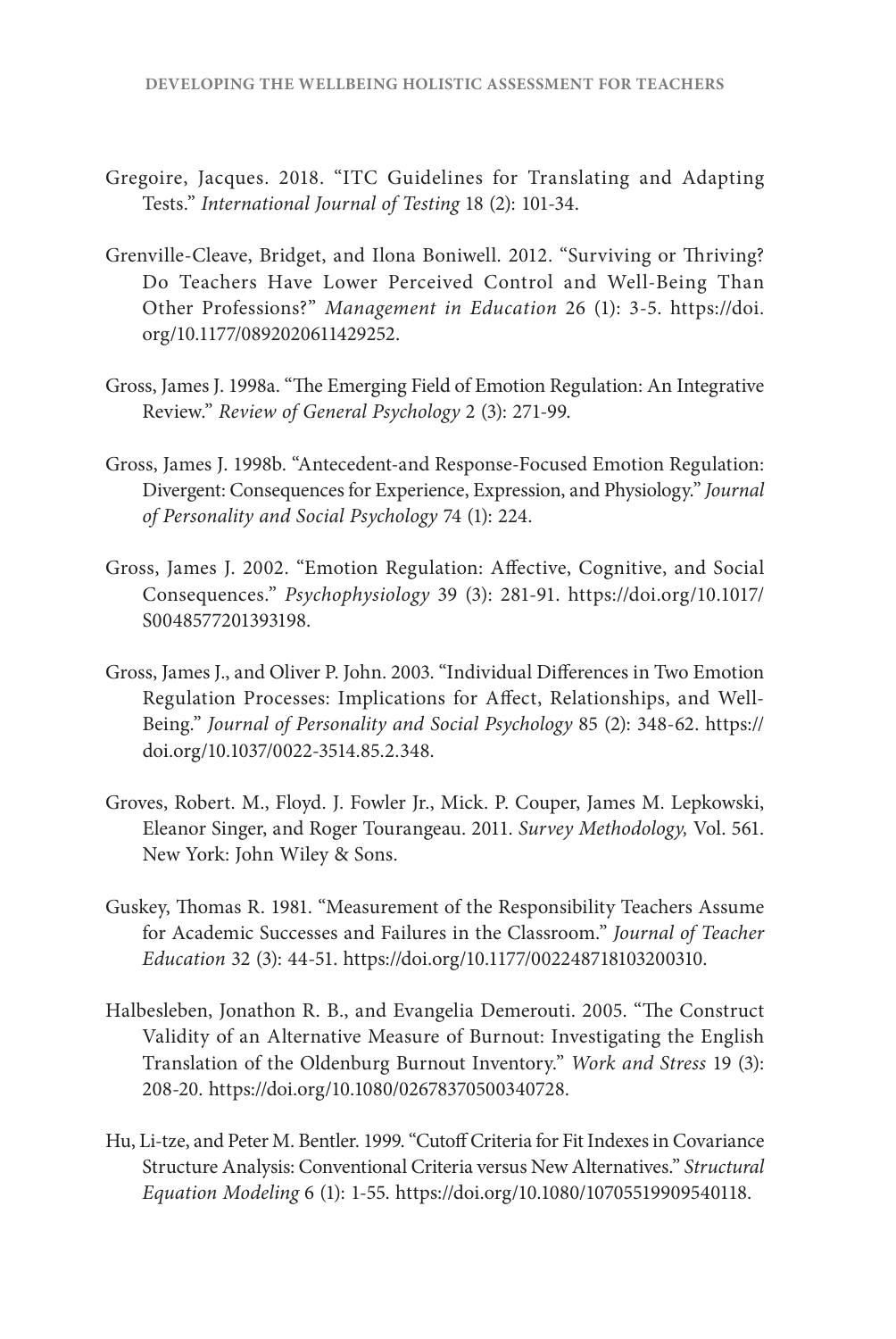- Gregoire, Jacques. 2018. "ITC Guidelines for Translating and Adapting Tests." *International Journal of Testing* 18 (2): 101-34.
- Grenville-Cleave, Bridget, and Ilona Boniwell. 2012. "Surviving or Thriving? Do Teachers Have Lower Perceived Control and Well-Being Than Other Professions?" *Management in Education* 26 (1): 3-5. [https://doi.](https://doi.org/10.1177/0892020611429252) [org/10.1177/0892020611429252.](https://doi.org/10.1177/0892020611429252)
- Gross, James J. 1998a. "The Emerging Field of Emotion Regulation: An Integrative Review." *Review of General Psychology* 2 (3): 271-99.
- Gross, James J. 1998b. "Antecedent-and Response-Focused Emotion Regulation: Divergent: Consequences for Experience, Expression, and Physiology." *Journal of Personality and Social Psychology* 74 (1): 224.
- Gross, James J. 2002. "Emotion Regulation: Affective, Cognitive, and Social Consequences." *Psychophysiology* 39 (3): 281-91. [https://doi.org/10.1017/](https://doi.org/10.1017/S0048577201393198) [S0048577201393198.](https://doi.org/10.1017/S0048577201393198)
- Gross, James J., and Oliver P. John. 2003. "Individual Differences in Two Emotion Regulation Processes: Implications for Affect, Relationships, and Well-Being." *Journal of Personality and Social Psychology* 85 (2): 348-62. [https://](https://doi.org/10.1037/0022-3514.85.2.348) [doi.org/10.1037/0022-3514.85.2.348](https://doi.org/10.1037/0022-3514.85.2.348).
- Groves, Robert. M., Floyd. J. Fowler Jr., Mick. P. Couper, James M. Lepkowski, Eleanor Singer, and Roger Tourangeau. 2011. *Survey Methodology,* Vol. 561. New York: John Wiley & Sons.
- Guskey, Thomas R. 1981. "Measurement of the Responsibility Teachers Assume for Academic Successes and Failures in the Classroom." *Journal of Teacher Education* 32 (3): 44-51. [https://doi.org/10.1177/002248718103200310.](https://doi.org/10.1177/002248718103200310)
- Halbesleben, Jonathon R. B., and Evangelia Demerouti. 2005. "The Construct Validity of an Alternative Measure of Burnout: Investigating the English Translation of the Oldenburg Burnout Inventory." *Work and Stress* 19 (3): 208-20. [https://doi.org/10.1080/02678370500340728.](https://doi.org/10.1080/02678370500340728)
- Hu, Li-tze, and Peter M. Bentler. 1999. "Cutoff Criteria for Fit Indexes in Covariance Structure Analysis: Conventional Criteria versus New Alternatives." *Structural Equation Modeling* 6 (1): 1-55. [https://doi.org/10.1080/10705519909540118.](https://doi.org/10.1080/10705519909540118)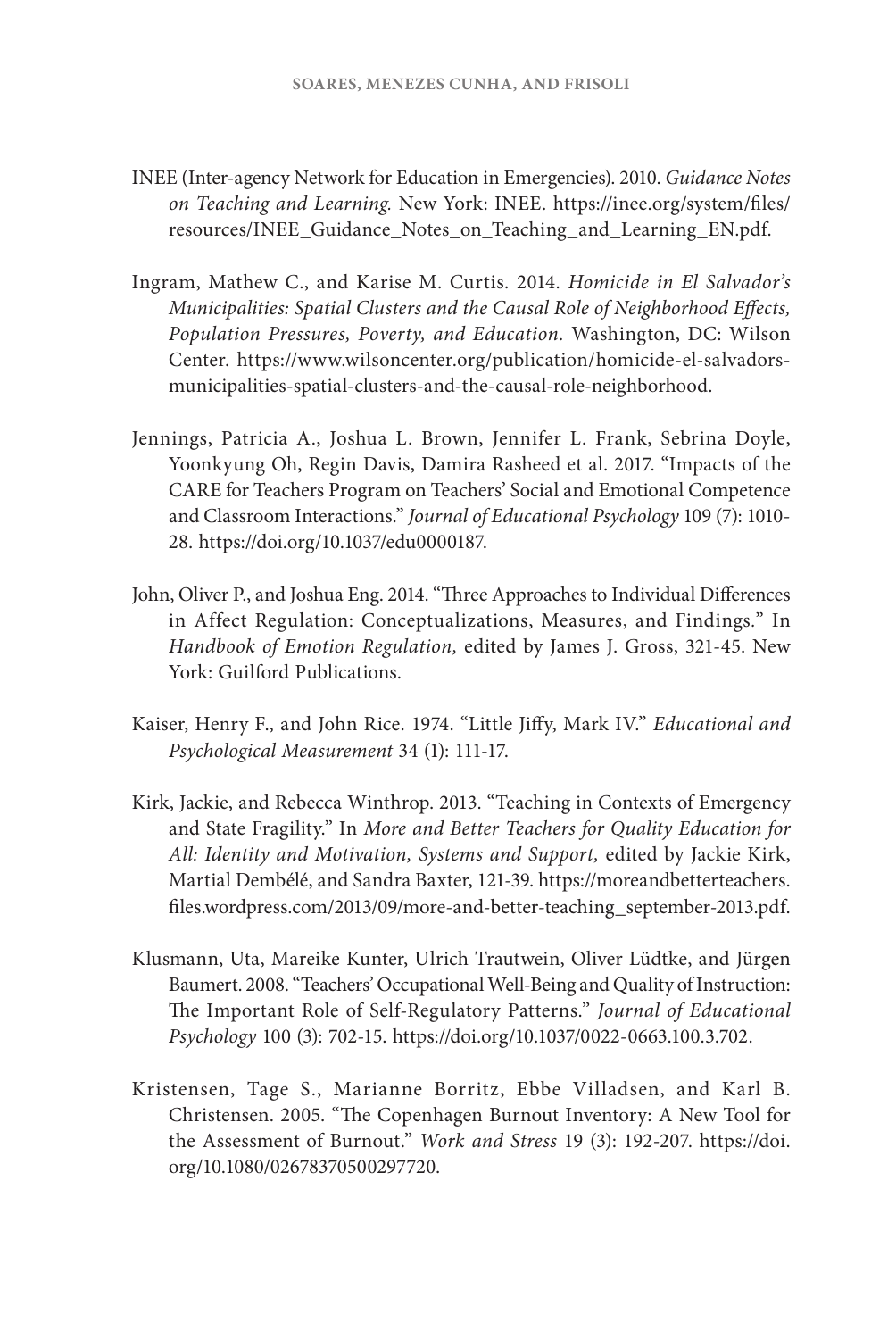- INEE (Inter-agency Network for Education in Emergencies). 2010. *Guidance Notes on Teaching and Learning.* New York: INEE. [https://inee.org/system/files/](https://inee.org/system/files/resources/INEE_Guidance_Notes_on_Teaching_and_Learning_EN.pdf) [resources/INEE\\_Guidance\\_Notes\\_on\\_Teaching\\_and\\_Learning\\_EN.pdf.](https://inee.org/system/files/resources/INEE_Guidance_Notes_on_Teaching_and_Learning_EN.pdf)
- Ingram, Mathew C., and Karise M. Curtis. 2014. *Homicide in El Salvador's Municipalities: Spatial Clusters and the Causal Role of Neighborhood Effects, Population Pressures, Poverty, and Education.* Washington, DC: Wilson Center. [https://www.wilsoncenter.org/publication/homicide-el-salvadors](https://www.wilsoncenter.org/publication/homicide-el-salvadors-municipalities-spatial-clusters-and-the-causal-role-neighborhood)[municipalities-spatial-clusters-and-the-causal-role-neighborhood.](https://www.wilsoncenter.org/publication/homicide-el-salvadors-municipalities-spatial-clusters-and-the-causal-role-neighborhood)
- Jennings, Patricia A., Joshua L. Brown, Jennifer L. Frank, Sebrina Doyle, Yoonkyung Oh, Regin Davis, Damira Rasheed et al. 2017. "Impacts of the CARE for Teachers Program on Teachers' Social and Emotional Competence and Classroom Interactions." *Journal of Educational Psychology* 109 (7): 1010- 28. [https://doi.org/10.1037/edu0000187.](https://doi.org/10.1037/edu0000187)
- John, Oliver P., and Joshua Eng. 2014. "Three Approaches to Individual Differences in Affect Regulation: Conceptualizations, Measures, and Findings*.*" In *Handbook of Emotion Regulation,* edited by James J. Gross, 321-45. New York: Guilford Publications.
- Kaiser, Henry F., and John Rice. 1974. "Little Jiffy, Mark IV." *Educational and Psychological Measurement* 34 (1): 111-17.
- Kirk, Jackie, and Rebecca Winthrop. 2013. "Teaching in Contexts of Emergency and State Fragility." In *More and Better Teachers for Quality Education for All: Identity and Motivation, Systems and Support,* edited by Jackie Kirk, Martial Dembélé, and Sandra Baxter, 121-39. [https://moreandbetterteachers.](https://moreandbetterteachers.files.wordpress.com/2013/09/more-and-better-teaching_september-2013.pdf) [files.wordpress.com/2013/09/more-and-better-teaching\\_september-2013.pdf.](https://moreandbetterteachers.files.wordpress.com/2013/09/more-and-better-teaching_september-2013.pdf)
- Klusmann, Uta, Mareike Kunter, Ulrich Trautwein, Oliver Lüdtke, and Jürgen Baumert. 2008. "Teachers' Occupational Well-Being and Quality of Instruction: The Important Role of Self-Regulatory Patterns." *Journal of Educational Psychology* 100 (3): 702-15. [https://doi.org/10.1037/0022-0663.100.3.702.](https://doi.org/10.1037/0022-0663.100.3.702)
- Kristensen, Tage S., Marianne Borritz, Ebbe Villadsen, and Karl B. Christensen. 2005. "The Copenhagen Burnout Inventory: A New Tool for the Assessment of Burnout." *Work and Stress* 19 (3): 192-207. [https://doi.](https://doi.org/10.1080/02678370500297720) [org/10.1080/02678370500297720](https://doi.org/10.1080/02678370500297720).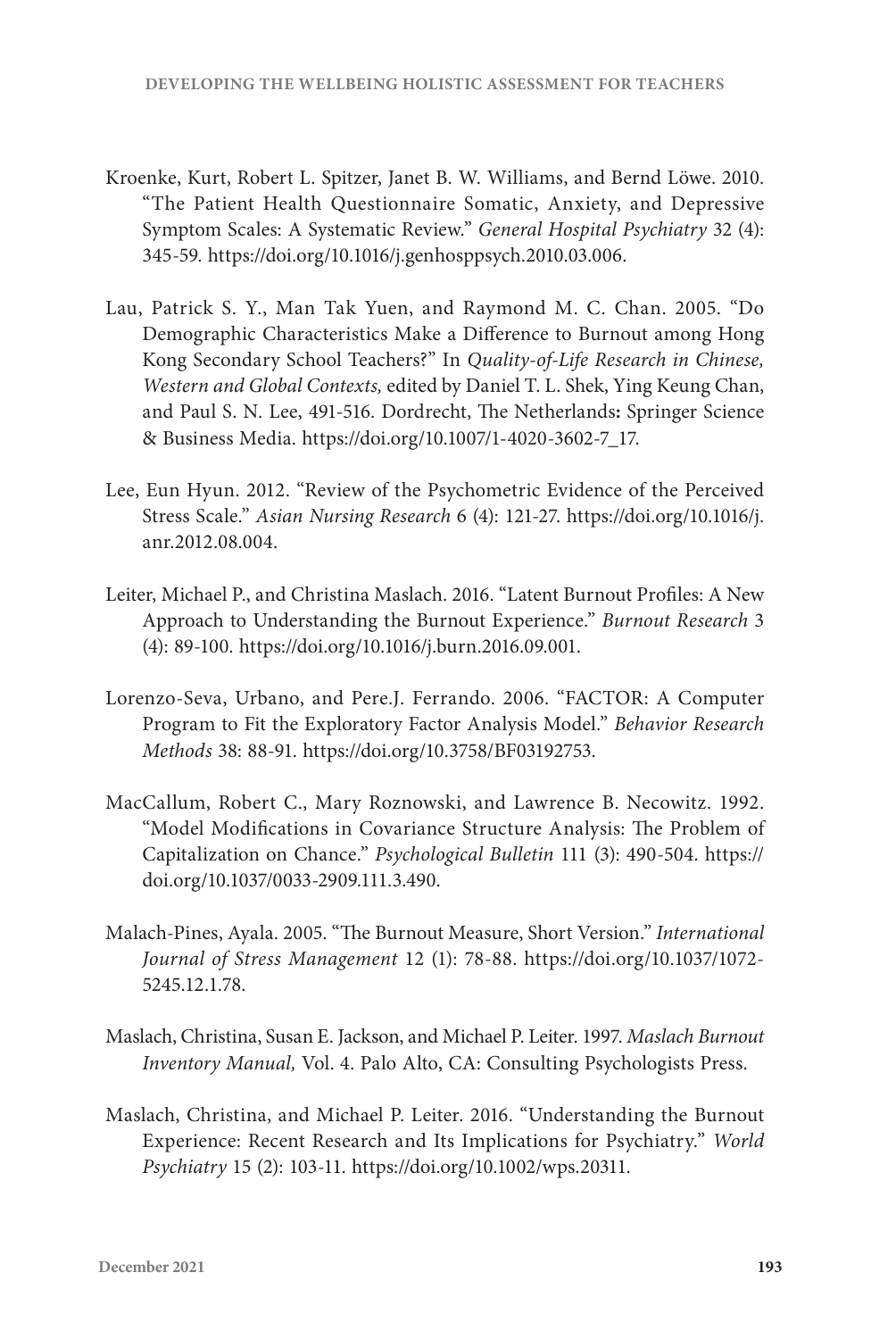- Kroenke, Kurt, Robert L. Spitzer, Janet B. W. Williams, and Bernd Löwe. 2010. "The Patient Health Questionnaire Somatic, Anxiety, and Depressive Symptom Scales: A Systematic Review." *General Hospital Psychiatry* 32 (4): 345-59. [https://doi.org/10.1016/j.genhosppsych.2010.03.006.](https://doi.org/10.1016/j.genhosppsych.2010.03.006)
- Lau, Patrick S. Y., Man Tak Yuen, and Raymond M. C. Chan. 2005. "Do Demographic Characteristics Make a Difference to Burnout among Hong Kong Secondary School Teachers?" In *Quality-of-Life Research in Chinese, Western and Global Contexts,* edited by Daniel T. L. Shek, Ying Keung Chan, and Paul S. N. Lee, 491-516. Dordrecht, The Netherlands**:** Springer Science & Business Media. [https://doi.org/10.1007/1-4020-3602-7\\_17.](https://doi.org/10.1007/1-4020-3602-7_17)
- Lee, Eun Hyun. 2012. "Review of the Psychometric Evidence of the Perceived Stress Scale." *Asian Nursing Research* 6 (4): 121-27. [https://doi.org/10.1016/j.](https://doi.org/10.1016/j.anr.2012.08.004) [anr.2012.08.004.](https://doi.org/10.1016/j.anr.2012.08.004)
- Leiter, Michael P., and Christina Maslach. 2016. "Latent Burnout Profiles: A New Approach to Understanding the Burnout Experience." *Burnout Research* 3 (4): 89-100. [https://doi.org/10.1016/j.burn.2016.09.001.](https://doi.org/10.1016/j.burn.2016.09.001)
- Lorenzo-Seva, Urbano, and Pere.J. Ferrando. 2006. "FACTOR: A Computer Program to Fit the Exploratory Factor Analysis Model." *Behavior Research Methods* 38: 88-91. <https://doi.org/10.3758/BF03192753>.
- MacCallum, Robert C., Mary Roznowski, and Lawrence B. Necowitz. 1992. "Model Modifications in Covariance Structure Analysis: The Problem of Capitalization on Chance." *Psychological Bulletin* 111 (3): 490-504. [https://](https://doi.org/10.1037/0033-2909.111.3.490) [doi.org/10.1037/0033-2909.111.3.490.](https://doi.org/10.1037/0033-2909.111.3.490)
- Malach-Pines, Ayala. 2005. "The Burnout Measure, Short Version." *International Journal of Stress Management* 12 (1): 78-88. [https://doi.org/10.1037/1072-](https://doi.org/10.1037/1072-5245.12.1.78) [5245.12.1.78.](https://doi.org/10.1037/1072-5245.12.1.78)
- Maslach, Christina, Susan E. Jackson, and Michael P. Leiter. 1997. *Maslach Burnout Inventory Manual,* Vol. 4. Palo Alto, CA: Consulting Psychologists Press.
- Maslach, Christina, and Michael P. Leiter. 2016. "Understanding the Burnout Experience: Recent Research and Its Implications for Psychiatry." *World Psychiatry* 15 (2): 103-11. [https://doi.org/10.1002/wps.20311.](https://doi.org/10.1002/wps.20311)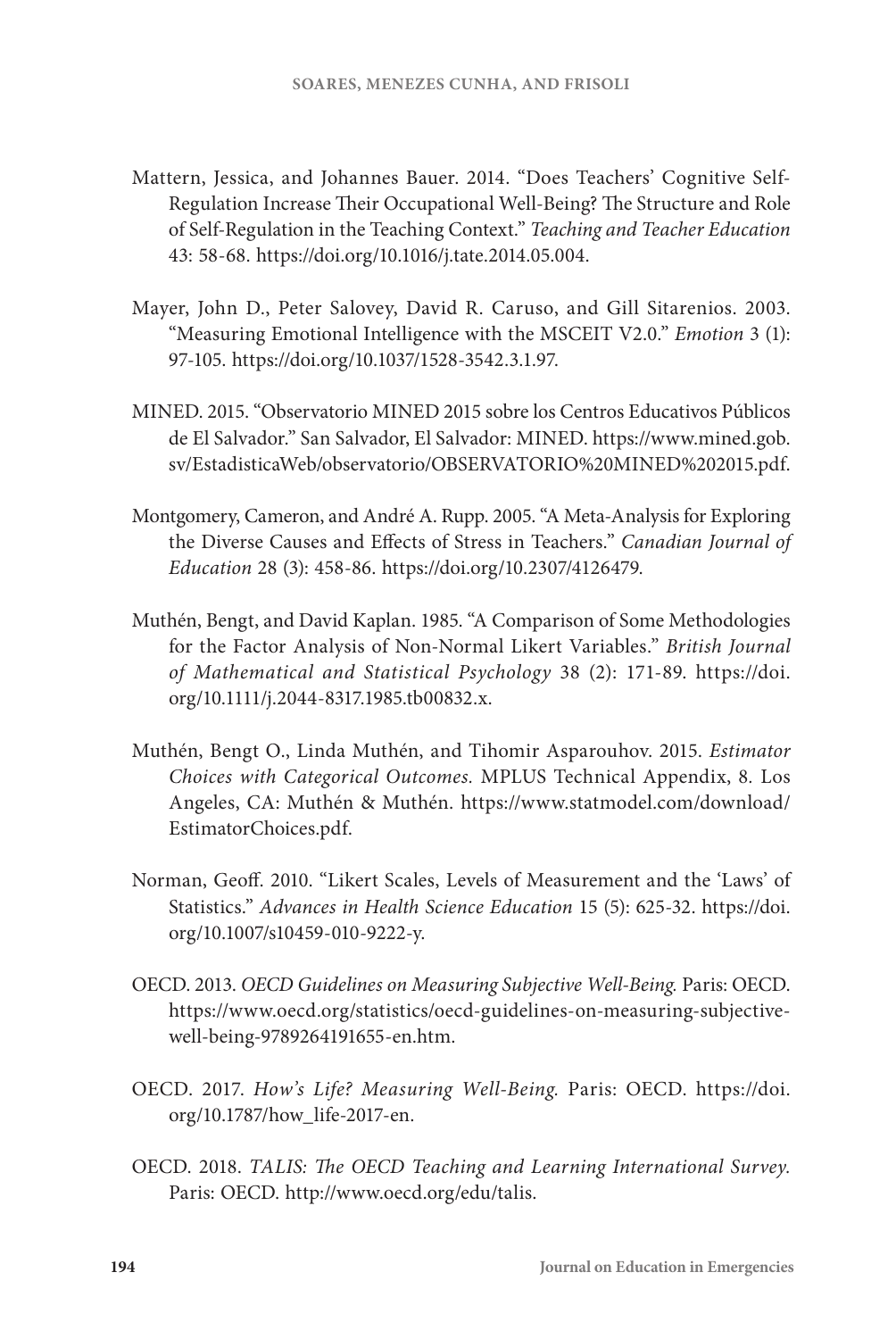- Mattern, Jessica, and Johannes Bauer. 2014. "Does Teachers' Cognitive Self-Regulation Increase Their Occupational Well-Being? The Structure and Role of Self-Regulation in the Teaching Context." *Teaching and Teacher Education*  43: 58-68. [https://doi.org/10.1016/j.tate.2014.05.004.](https://doi.org/10.1016/j.tate.2014.05.004)
- Mayer, John D., Peter Salovey, David R. Caruso, and Gill Sitarenios. 2003. "Measuring Emotional Intelligence with the MSCEIT V2.0." *Emotion* 3 (1): 97-105. <https://doi.org/10.1037/1528-3542.3.1.97>.
- MINED. 2015. "Observatorio MINED 2015 sobre los Centros Educativos Públicos de El Salvador." San Salvador, El Salvador: MINED. [https://www.mined.gob.](https://www.mined.gob.sv/EstadisticaWeb/observatorio/OBSERVATORIO%20MINED%202015.pdf) [sv/EstadisticaWeb/observatorio/OBSERVATORIO%20MINED%202015.pdf.](https://www.mined.gob.sv/EstadisticaWeb/observatorio/OBSERVATORIO%20MINED%202015.pdf)
- Montgomery, Cameron, and André A. Rupp. 2005. "A Meta-Analysis for Exploring the Diverse Causes and Effects of Stress in Teachers." *Canadian Journal of Education* 28 (3): 458-86. [https://doi.org/10.2307/4126479.](https://doi.org/10.2307/4126479)
- Muthén, Bengt, and David Kaplan. 1985. "A Comparison of Some Methodologies for the Factor Analysis of Non-Normal Likert Variables." *British Journal of Mathematical and Statistical Psychology* 38 (2): 171-89. [https://doi.](https://doi.org/10.1111/j.2044-8317.1985.tb00832.x) [org/10.1111/j.2044-8317.1985.tb00832.x](https://doi.org/10.1111/j.2044-8317.1985.tb00832.x).
- Muthén, Bengt O., Linda Muthén, and Tihomir Asparouhov. 2015. *Estimator Choices with Categorical Outcomes.* MPLUS Technical Appendix, 8*.* Los Angeles, CA: Muthén & Muthén. [https://www.statmodel.com/download/](https://www.statmodel.com/download/EstimatorChoices.pdf) [EstimatorChoices.pdf](https://www.statmodel.com/download/EstimatorChoices.pdf).
- Norman, Geoff. 2010. "Likert Scales, Levels of Measurement and the 'Laws' of Statistics." *Advances in Health Science Education* 15 (5): 625-32. [https://doi.](https://doi.org/10.1007/s10459-010-9222-y) [org/10.1007/s10459-010-9222-y](https://doi.org/10.1007/s10459-010-9222-y).
- OECD. 2013. *OECD Guidelines on Measuring Subjective Well-Being.* Paris: OECD. [https://www.oecd.org/statistics/oecd-guidelines-on-measuring-subjective](https://www.oecd.org/statistics/oecd-guidelines-on-measuring-subjective-well-being-9789264191655-en.htm)[well-being-9789264191655-en.htm.](https://www.oecd.org/statistics/oecd-guidelines-on-measuring-subjective-well-being-9789264191655-en.htm)
- OECD. 2017. *How's Life? Measuring Well-Being.* Paris: OECD. [https://doi.](https://doi.org/10.1787/how_life-2017-en) [org/10.1787/how\\_life-2017-en](https://doi.org/10.1787/how_life-2017-en).
- OECD. 2018. *TALIS: The OECD Teaching and Learning International Survey.* Paris: OECD. <http://www.oecd.org/edu/talis>.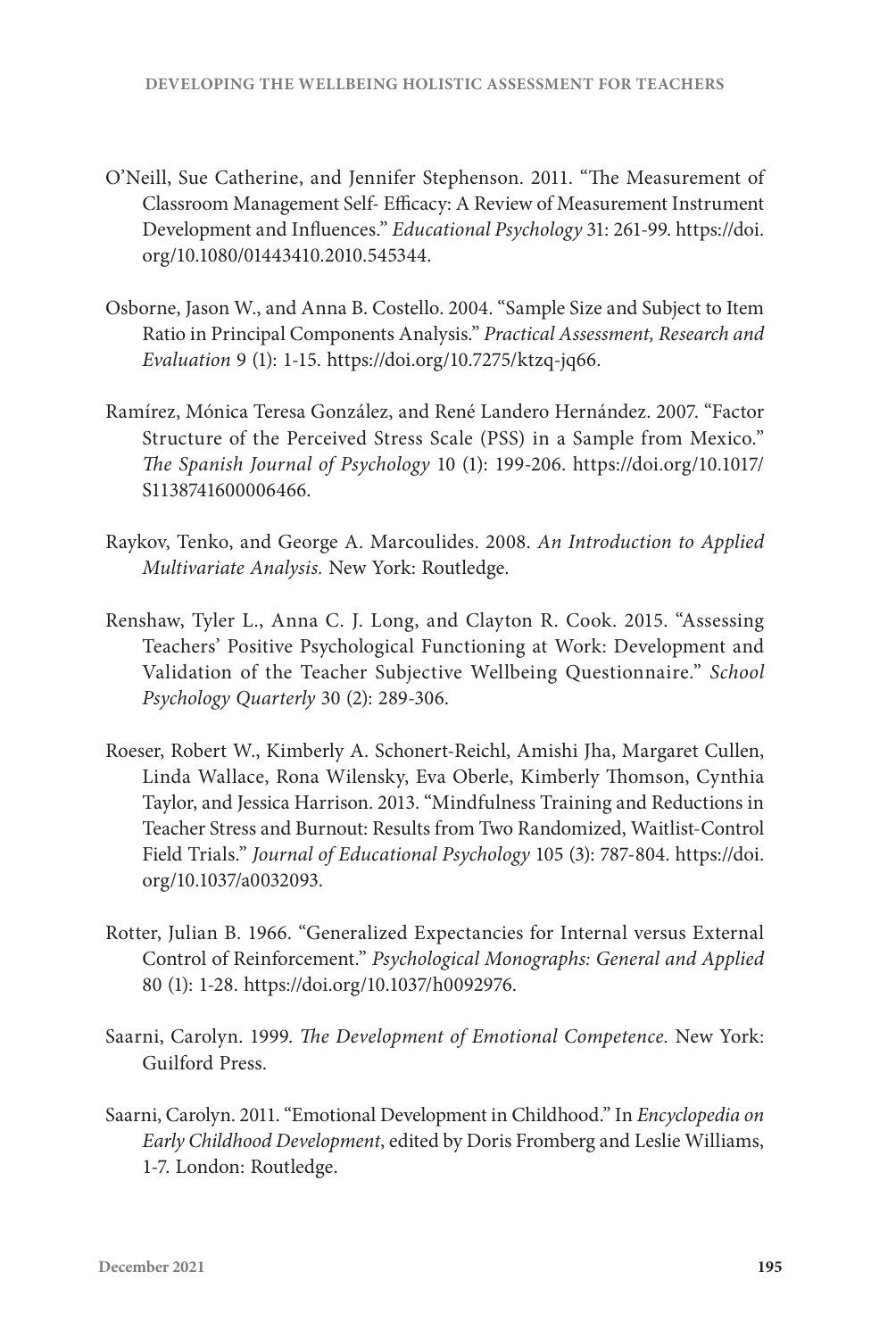- O'Neill, Sue Catherine, and Jennifer Stephenson. 2011. "The Measurement of Classroom Management Self- Efficacy: A Review of Measurement Instrument Development and Influences." *Educational Psychology* 31: 261-99. [https://doi.](https://doi.org/10.1080/01443410.2010.545344) [org/10.1080/01443410.2010.545344.](https://doi.org/10.1080/01443410.2010.545344)
- Osborne, Jason W., and Anna B. Costello. 2004. "Sample Size and Subject to Item Ratio in Principal Components Analysis." *Practical Assessment, Research and Evaluation* 9 (1): 1-15. [https://doi.org/10.7275/ktzq-jq66.](https://doi.org/10.7275/ktzq-jq66)
- Ramírez, Mónica Teresa González, and René Landero Hernández. 2007. "Factor Structure of the Perceived Stress Scale (PSS) in a Sample from Mexico." *The Spanish Journal of Psychology* 10 (1): 199-206. [https://doi.org/10.1017/](https://doi.org/10.1017/S1138741600006466) [S1138741600006466.](https://doi.org/10.1017/S1138741600006466)
- Raykov, Tenko, and George A. Marcoulides. 2008. *An Introduction to Applied Multivariate Analysis.* New York: Routledge.
- Renshaw, Tyler L., Anna C. J. Long, and Clayton R. Cook. 2015. "Assessing Teachers' Positive Psychological Functioning at Work: Development and Validation of the Teacher Subjective Wellbeing Questionnaire." *School Psychology Quarterly* 30 (2): 289-306.
- Roeser, Robert W., Kimberly A. Schonert-Reichl, Amishi Jha, Margaret Cullen, Linda Wallace, Rona Wilensky, Eva Oberle, Kimberly Thomson, Cynthia Taylor, and Jessica Harrison. 2013. "Mindfulness Training and Reductions in Teacher Stress and Burnout: Results from Two Randomized, Waitlist-Control Field Trials." *Journal of Educational Psychology* 105 (3): 787-804. [https://doi.](https://doi.org/10.1037/a0032093) [org/10.1037/a0032093](https://doi.org/10.1037/a0032093).
- Rotter, Julian B. 1966. "Generalized Expectancies for Internal versus External Control of Reinforcement." *Psychological Monographs: General and Applied*  80 (1): 1-28. <https://doi.org/10.1037/h0092976>.
- Saarni, Carolyn. 1999. *The Development of Emotional Competence.* New York: Guilford Press.
- Saarni, Carolyn. 2011. "Emotional Development in Childhood." In *Encyclopedia on Early Childhood Development*, edited by Doris Fromberg and Leslie Williams, 1-7. London: Routledge.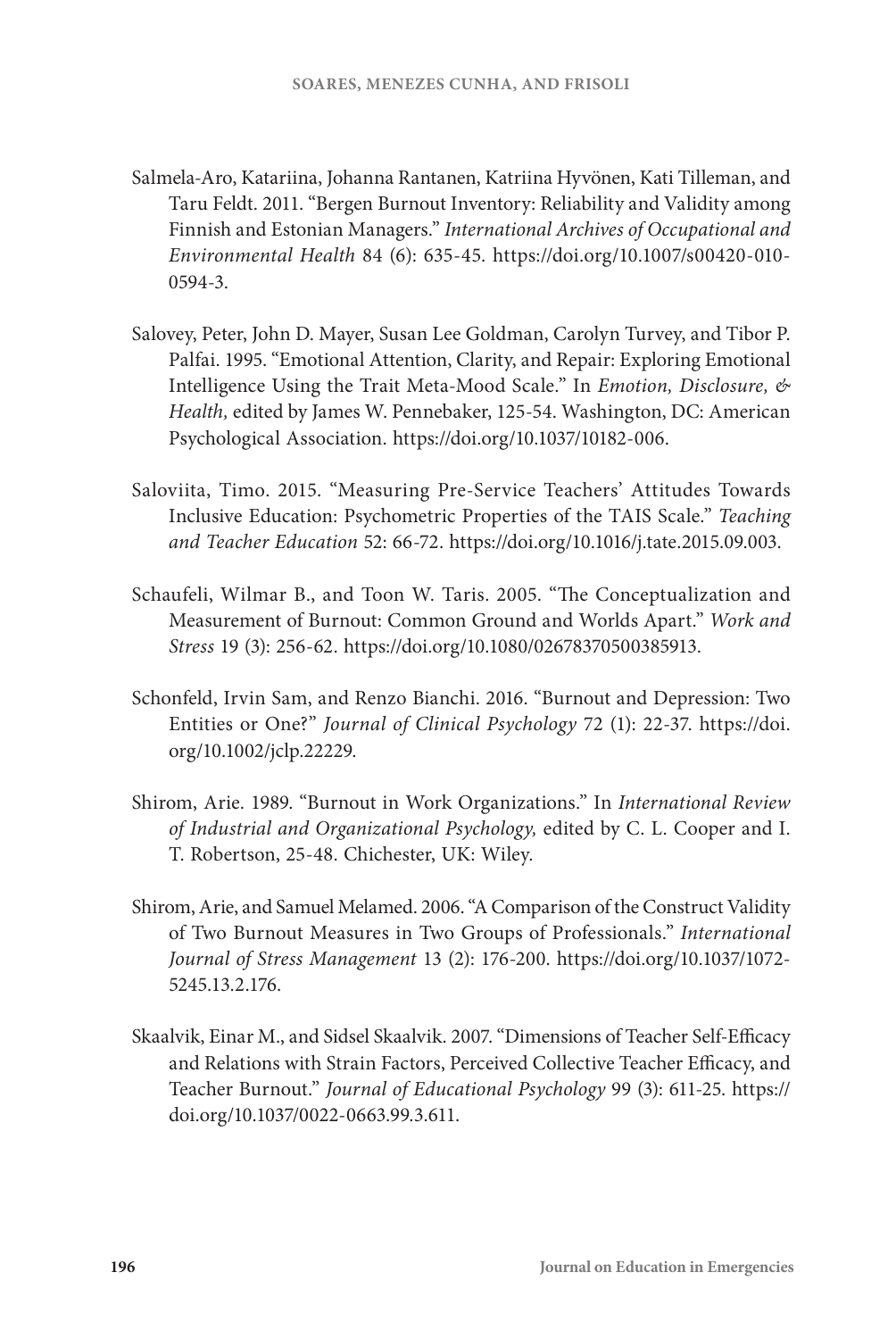- Salmela-Aro, Katariina, Johanna Rantanen, Katriina Hyvönen, Kati Tilleman, and Taru Feldt. 2011. "Bergen Burnout Inventory: Reliability and Validity among Finnish and Estonian Managers." *International Archives of Occupational and Environmental Health* 84 (6): 635-45. [https://doi.org/10.1007/s00420-010-](https://doi.org/10.1007/s00420-010-0594-3) [0594-3](https://doi.org/10.1007/s00420-010-0594-3).
- Salovey, Peter, John D. Mayer, Susan Lee Goldman, Carolyn Turvey, and Tibor P. Palfai. 1995. "Emotional Attention, Clarity, and Repair: Exploring Emotional Intelligence Using the Trait Meta-Mood Scale." In *Emotion, Disclosure, & Health,* edited by James W. Pennebaker, 125-54. Washington, DC: American Psychological Association. [https://doi.org/10.1037/10182-006.](https://doi.org/10.1037/10182-006)
- Saloviita, Timo. 2015. "Measuring Pre-Service Teachers' Attitudes Towards Inclusive Education: Psychometric Properties of the TAIS Scale." *Teaching and Teacher Education* 52: 66-72. [https://doi.org/10.1016/j.tate.2015.09.003.](https://doi.org/10.1016/j.tate.2015.09.003)
- Schaufeli, Wilmar B., and Toon W. Taris. 2005. "The Conceptualization and Measurement of Burnout: Common Ground and Worlds Apart." *Work and Stress* 19 (3): 256-62. [https://doi.org/10.1080/02678370500385913.](https://doi.org/10.1080/02678370500385913)
- Schonfeld, Irvin Sam, and Renzo Bianchi. 2016. "Burnout and Depression: Two Entities or One?" *Journal of Clinical Psychology* 72 (1): 22-37. [https://doi.](https://doi.org/10.1002/jclp.22229) [org/10.1002/jclp.22229](https://doi.org/10.1002/jclp.22229).
- Shirom, Arie. 1989. "Burnout in Work Organizations." In *International Review of Industrial and Organizational Psychology,* edited by C. L. Cooper and I. T. Robertson, 25-48. Chichester, UK: Wiley.
- Shirom, Arie, and Samuel Melamed. 2006. "A Comparison of the Construct Validity of Two Burnout Measures in Two Groups of Professionals." *International Journal of Stress Management* 13 (2): 176-200. [https://doi.org/10.1037/1072-](https://doi.org/10.1037/1072-5245.13.2.176) [5245.13.2.176.](https://doi.org/10.1037/1072-5245.13.2.176)
- Skaalvik, Einar M., and Sidsel Skaalvik. 2007. "Dimensions of Teacher Self-Efficacy and Relations with Strain Factors, Perceived Collective Teacher Efficacy, and Teacher Burnout." *Journal of Educational Psychology* 99 (3): 611-25. [https://](https://doi.org/10.1037/0022-0663.99.3.611) [doi.org/10.1037/0022-0663.99.3.611.](https://doi.org/10.1037/0022-0663.99.3.611)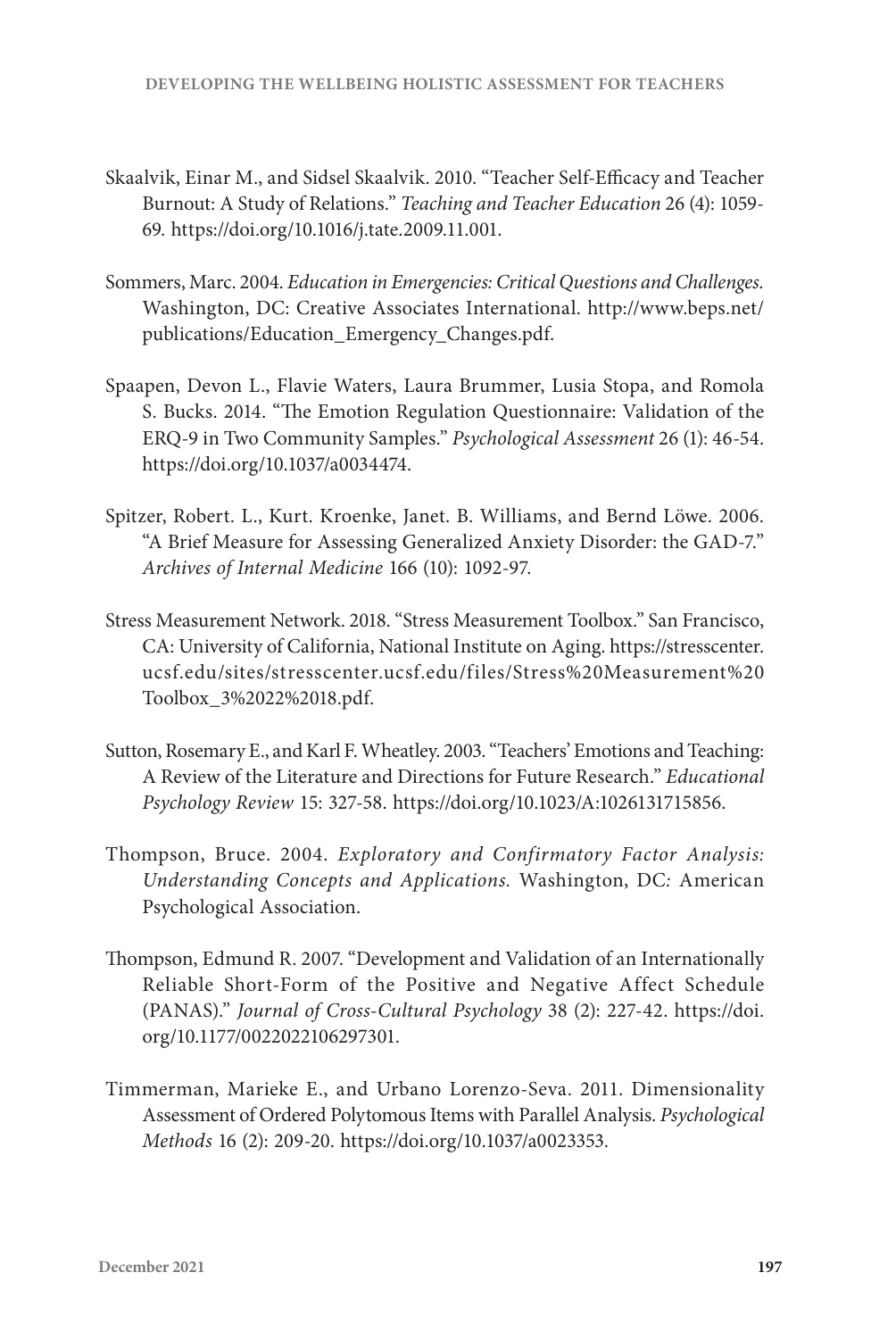- Skaalvik, Einar M., and Sidsel Skaalvik. 2010. "Teacher Self-Efficacy and Teacher Burnout: A Study of Relations." *Teaching and Teacher Education* 26 (4): 1059- 69. [https://doi.org/10.1016/j.tate.2009.11.001.](https://doi.org/10.1016/j.tate.2009.11.001)
- Sommers, Marc. 2004. *Education in Emergencies: Critical Questions and Challenges.* Washington, DC: Creative Associates International. [http://www.beps.net/](http://www.beps.net/publications/Education_Emergency_Changes.pdf) [publications/Education\\_Emergency\\_Changes.pdf.](http://www.beps.net/publications/Education_Emergency_Changes.pdf)
- Spaapen, Devon L., Flavie Waters, Laura Brummer, Lusia Stopa, and Romola S. Bucks. 2014. "The Emotion Regulation Questionnaire: Validation of the ERQ-9 in Two Community Samples." *Psychological Assessment* 26 (1): 46-54. [https://doi.org/10.1037/a0034474](https://doi.org/10.1037/a003447).
- Spitzer, Robert. L., Kurt. Kroenke, Janet. B. Williams, and Bernd Löwe. 2006. "A Brief Measure for Assessing Generalized Anxiety Disorder: the GAD-7." *Archives of Internal Medicine* 166 (10): 1092-97.
- Stress Measurement Network. 2018. "Stress Measurement Toolbox." San Francisco, CA: University of California, National Institute on Aging. [https://stresscenter.](https://stresscenter.ucsf.edu/sites/stresscenter.ucsf.edu/files/Stress%20Measurement%20Toolbox_3%2022%2018.pdf) [ucsf.edu/sites/stresscenter.ucsf.edu/files/Stress%20Measurement%20](https://stresscenter.ucsf.edu/sites/stresscenter.ucsf.edu/files/Stress%20Measurement%20Toolbox_3%2022%2018.pdf) [Toolbox\\_3%2022%2018.pdf.](https://stresscenter.ucsf.edu/sites/stresscenter.ucsf.edu/files/Stress%20Measurement%20Toolbox_3%2022%2018.pdf)
- Sutton, Rosemary E., and Karl F. Wheatley. 2003. "Teachers' Emotions and Teaching: A Review of the Literature and Directions for Future Research." *Educational Psychology Review* 15: 327-58. <https://doi.org/10.1023/A:1026131715856>.
- Thompson, Bruce. 2004. *Exploratory and Confirmatory Factor Analysis: Understanding Concepts and Applications.* Washington, DC*:* American Psychological Association.
- Thompson, Edmund R. 2007. "Development and Validation of an Internationally Reliable Short-Form of the Positive and Negative Affect Schedule (PANAS)." *Journal of Cross-Cultural Psychology* 38 (2): 227-42. [https://doi.](https://doi.org/10.1177/0022022106297301) [org/10.1177/0022022106297301.](https://doi.org/10.1177/0022022106297301)
- Timmerman, Marieke E., and Urbano Lorenzo-Seva. 2011. Dimensionality Assessment of Ordered Polytomous Items with Parallel Analysis. *Psychological Methods* 16 (2): 209-20. [https://doi.org/10.1037/a0023353.](https://doi.org/10.1037/a0023353)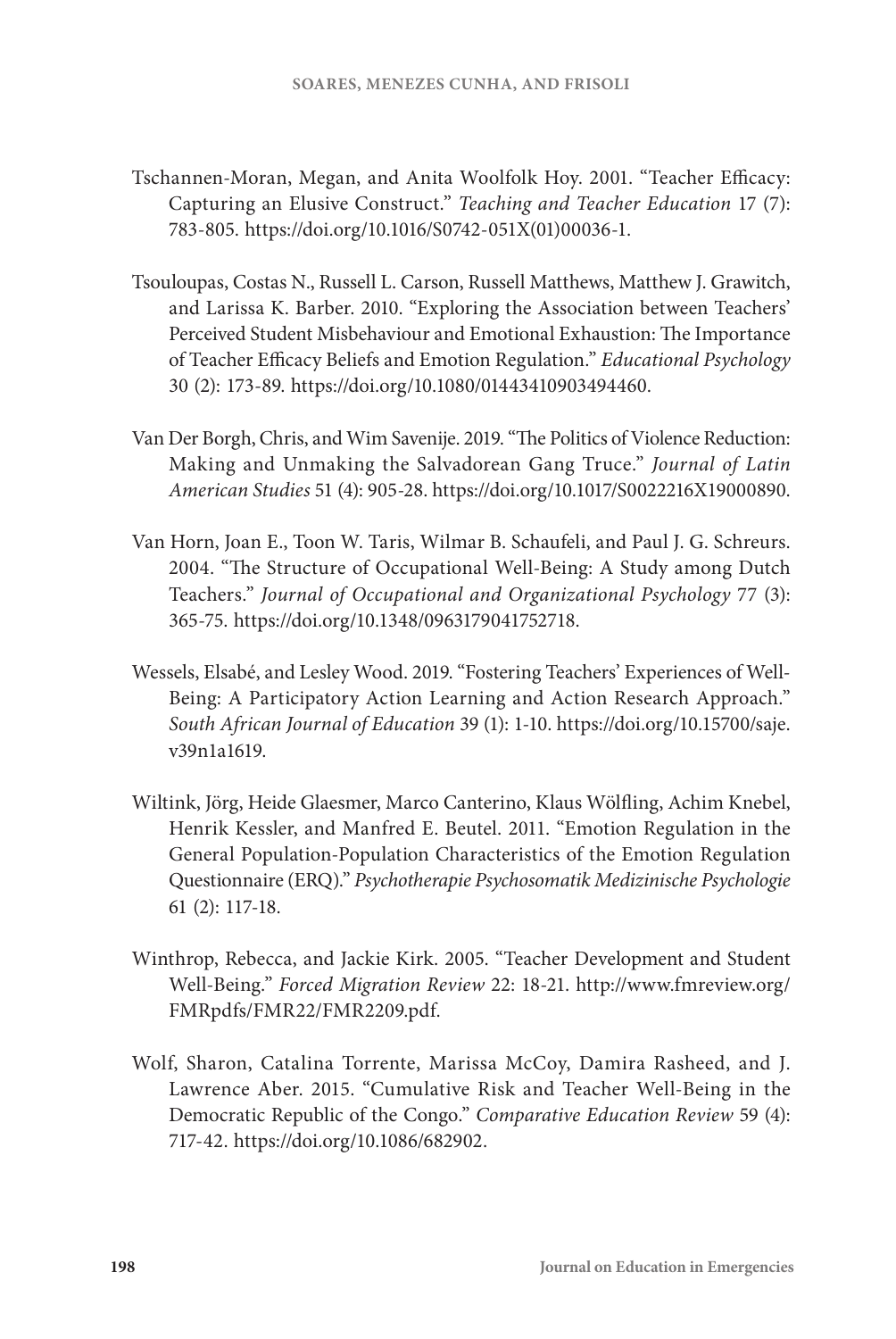- Tschannen-Moran, Megan, and Anita Woolfolk Hoy. 2001. "Teacher Efficacy: Capturing an Elusive Construct." *Teaching and Teacher Education* 17 (7): 783-805. [https://doi.org/10.1016/S0742-051X\(01\)00036-1.](https://doi.org/10.1016/S0742-051X(01)00036-1)
- Tsouloupas, Costas N., Russell L. Carson, Russell Matthews, Matthew J. Grawitch, and Larissa K. Barber. 2010. "Exploring the Association between Teachers' Perceived Student Misbehaviour and Emotional Exhaustion: The Importance of Teacher Efficacy Beliefs and Emotion Regulation." *Educational Psychology*  30 (2): 173-89. [https://doi.org/10.1080/01443410903494460.](https://doi.org/10.1080/01443410903494460)
- Van Der Borgh, Chris, and Wim Savenije. 2019. "The Politics of Violence Reduction: Making and Unmaking the Salvadorean Gang Truce." *Journal of Latin American Studies* 51 (4): 905-28. [https://doi.org/10.1017/S0022216X19000890.](https://doi.org/10.1017/S0022216X19000890)
- Van Horn, Joan E., Toon W. Taris, Wilmar B. Schaufeli, and Paul J. G. Schreurs. 2004. "The Structure of Occupational Well-Being: A Study among Dutch Teachers." *Journal of Occupational and Organizational Psychology* 77 (3): 365-75. <https://doi.org/10.1348/0963179041752718>.
- Wessels, Elsabé, and Lesley Wood. 2019. "Fostering Teachers' Experiences of Well-Being: A Participatory Action Learning and Action Research Approach." *South African Journal of Education* 39 (1): 1-10. [https://doi.org/10.15700/saje.](https://doi.org/10.15700/saje.v39n1a1619) [v39n1a1619.](https://doi.org/10.15700/saje.v39n1a1619)
- Wiltink, Jörg, Heide Glaesmer, Marco Canterino, Klaus Wölfling, Achim Knebel, Henrik Kessler, and Manfred E. Beutel. 2011. "Emotion Regulation in the General Population-Population Characteristics of the Emotion Regulation Questionnaire (ERQ)." *Psychotherapie Psychosomatik Medizinische Psychologie* 61 (2): 117-18.
- Winthrop, Rebecca, and Jackie Kirk. 2005. "Teacher Development and Student Well-Being." *Forced Migration Review* 22: 18-21. [http://www.fmreview.org/](http://www.fmreview.org/FMRpdfs/FMR22/FMR2209.pdf) [FMRpdfs/FMR22/FMR2209.pdf.](http://www.fmreview.org/FMRpdfs/FMR22/FMR2209.pdf)
- Wolf, Sharon, Catalina Torrente, Marissa McCoy, Damira Rasheed, and J. Lawrence Aber. 2015. "Cumulative Risk and Teacher Well-Being in the Democratic Republic of the Congo." *Comparative Education Review* 59 (4): 717-42. [https://doi.org/10.1086/682902.](https://doi.org/10.1086/682902)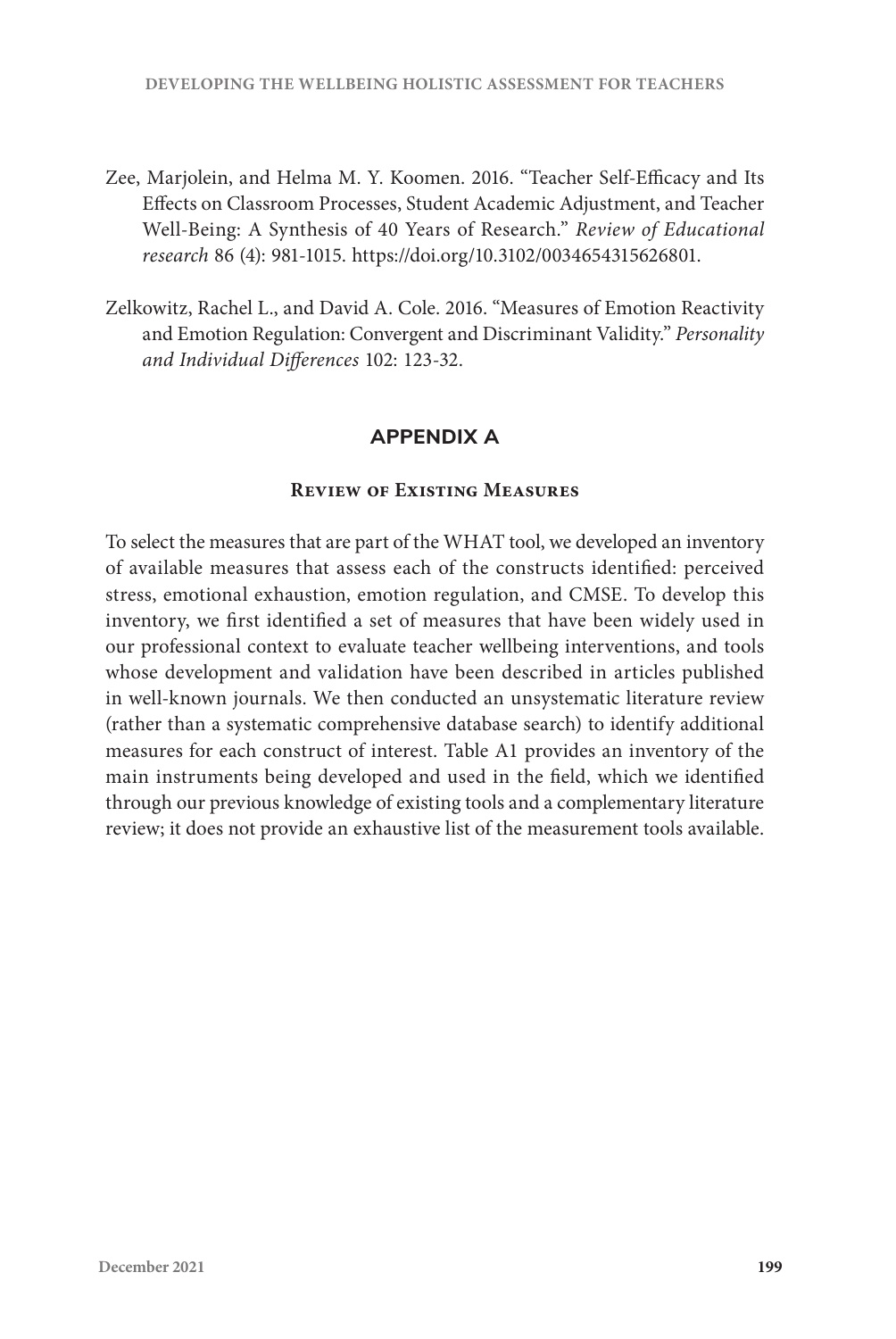- Zee, Marjolein, and Helma M. Y. Koomen. 2016. "Teacher Self-Efficacy and Its Effects on Classroom Processes, Student Academic Adjustment, and Teacher Well-Being: A Synthesis of 40 Years of Research." *Review of Educational research* 86 (4): 981-1015. [https://doi.org/10.3102/0034654315626801.](https://doi.org/10.3102/0034654315626801)
- Zelkowitz, Rachel L., and David A. Cole. 2016. "Measures of Emotion Reactivity and Emotion Regulation: Convergent and Discriminant Validity." *Personality and Individual Differences* 102: 123-32.

## **APPENDIX A**

## **Review of Existing Measures**

To select the measures that are part of the WHAT tool, we developed an inventory of available measures that assess each of the constructs identified: perceived stress, emotional exhaustion, emotion regulation, and CMSE. To develop this inventory, we first identified a set of measures that have been widely used in our professional context to evaluate teacher wellbeing interventions, and tools whose development and validation have been described in articles published in well-known journals. We then conducted an unsystematic literature review (rather than a systematic comprehensive database search) to identify additional measures for each construct of interest. Table A1 provides an inventory of the main instruments being developed and used in the field, which we identified through our previous knowledge of existing tools and a complementary literature review; it does not provide an exhaustive list of the measurement tools available.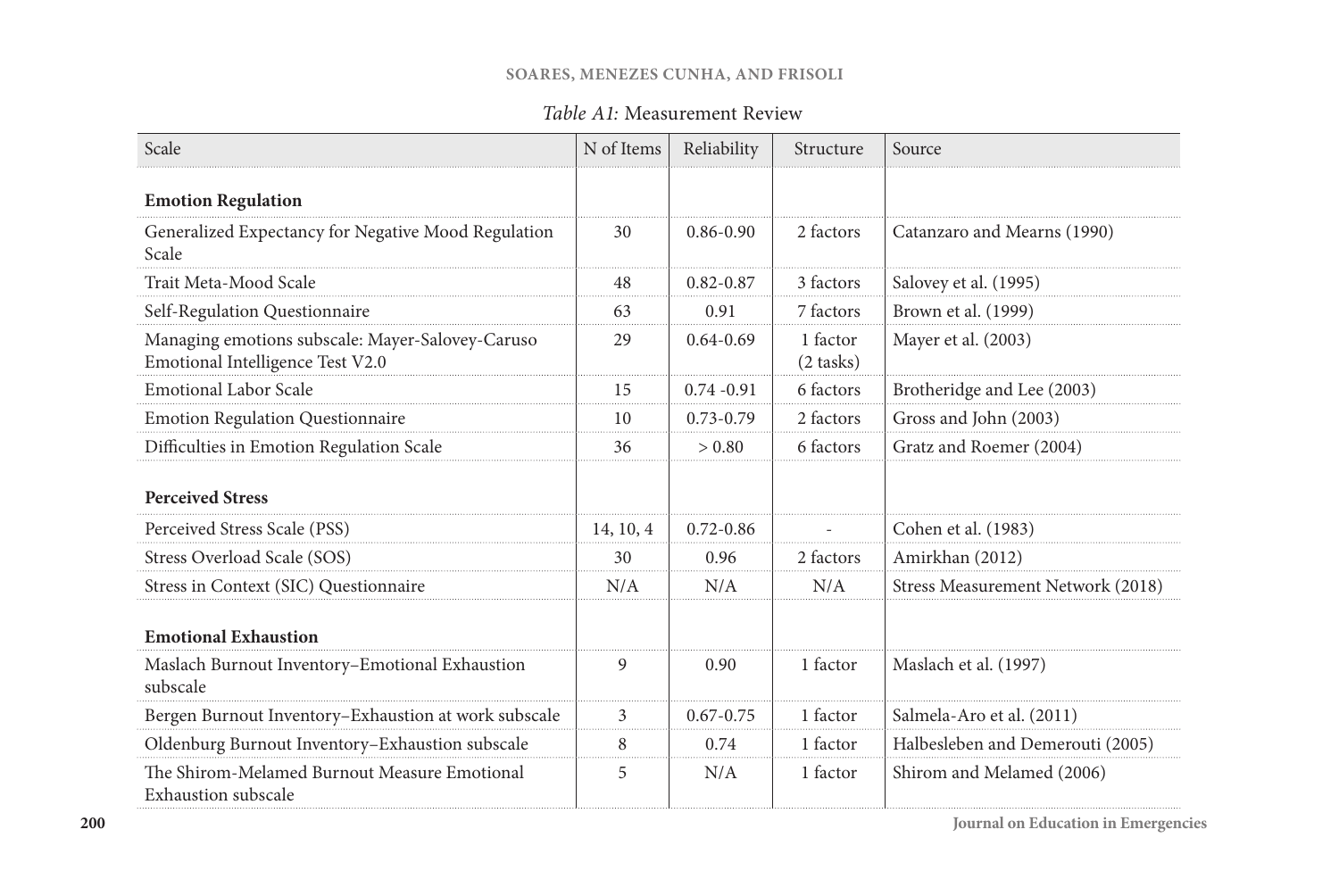#### **SOARES, MENEZES CUNHA, AND FRISOLI**

# *Table A1:* Measurement Review

| Scale                                                                                | N of Items | Reliability   | Structure             | Source                            |
|--------------------------------------------------------------------------------------|------------|---------------|-----------------------|-----------------------------------|
| <b>Emotion Regulation</b>                                                            |            |               |                       |                                   |
| Generalized Expectancy for Negative Mood Regulation<br>Scale                         | 30         | $0.86 - 0.90$ | 2 factors             | Catanzaro and Mearns (1990)       |
| Trait Meta-Mood Scale                                                                | 48         | $0.82 - 0.87$ | 3 factors             | Salovey et al. (1995)             |
| Self-Regulation Questionnaire                                                        | 63         | 0.91          | 7 factors             | Brown et al. (1999)               |
| Managing emotions subscale: Mayer-Salovey-Caruso<br>Emotional Intelligence Test V2.0 | 29         | $0.64 - 0.69$ | 1 factor<br>(2 tasks) | Mayer et al. (2003)               |
| <b>Emotional Labor Scale</b>                                                         | 15         | $0.74 - 0.91$ | 6 factors             | Brotheridge and Lee (2003)        |
| Emotion Regulation Questionnaire                                                     | 10         | $0.73 - 0.79$ | 2 factors             | Gross and John (2003)             |
| Difficulties in Emotion Regulation Scale                                             | 36         | > 0.80        | 6 factors             | Gratz and Roemer (2004)           |
| <b>Perceived Stress</b>                                                              |            |               |                       |                                   |
| Perceived Stress Scale (PSS)                                                         | 14, 10, 4  | $0.72 - 0.86$ |                       | Cohen et al. (1983)               |
| Stress Overload Scale (SOS)                                                          | 30         | 0.96          | 2 factors             | Amirkhan (2012)                   |
| Stress in Context (SIC) Questionnaire                                                | N/A        | N/A           | N/A                   | Stress Measurement Network (2018) |
| <b>Emotional Exhaustion</b>                                                          |            |               |                       |                                   |
| Maslach Burnout Inventory-Emotional Exhaustion<br>subscale                           | 9          | 0.90          | 1 factor              | Maslach et al. (1997)             |
| Bergen Burnout Inventory-Exhaustion at work subscale                                 | 3          | $0.67 - 0.75$ | 1 factor              | Salmela-Aro et al. (2011)         |
| Oldenburg Burnout Inventory-Exhaustion subscale                                      | 8          | 0.74          | 1 factor              | Halbesleben and Demerouti (2005)  |
| The Shirom-Melamed Burnout Measure Emotional<br><b>Exhaustion subscale</b>           | 5          | N/A           | 1 factor              | Shirom and Melamed (2006)         |

**Journal on Education in Emergencies**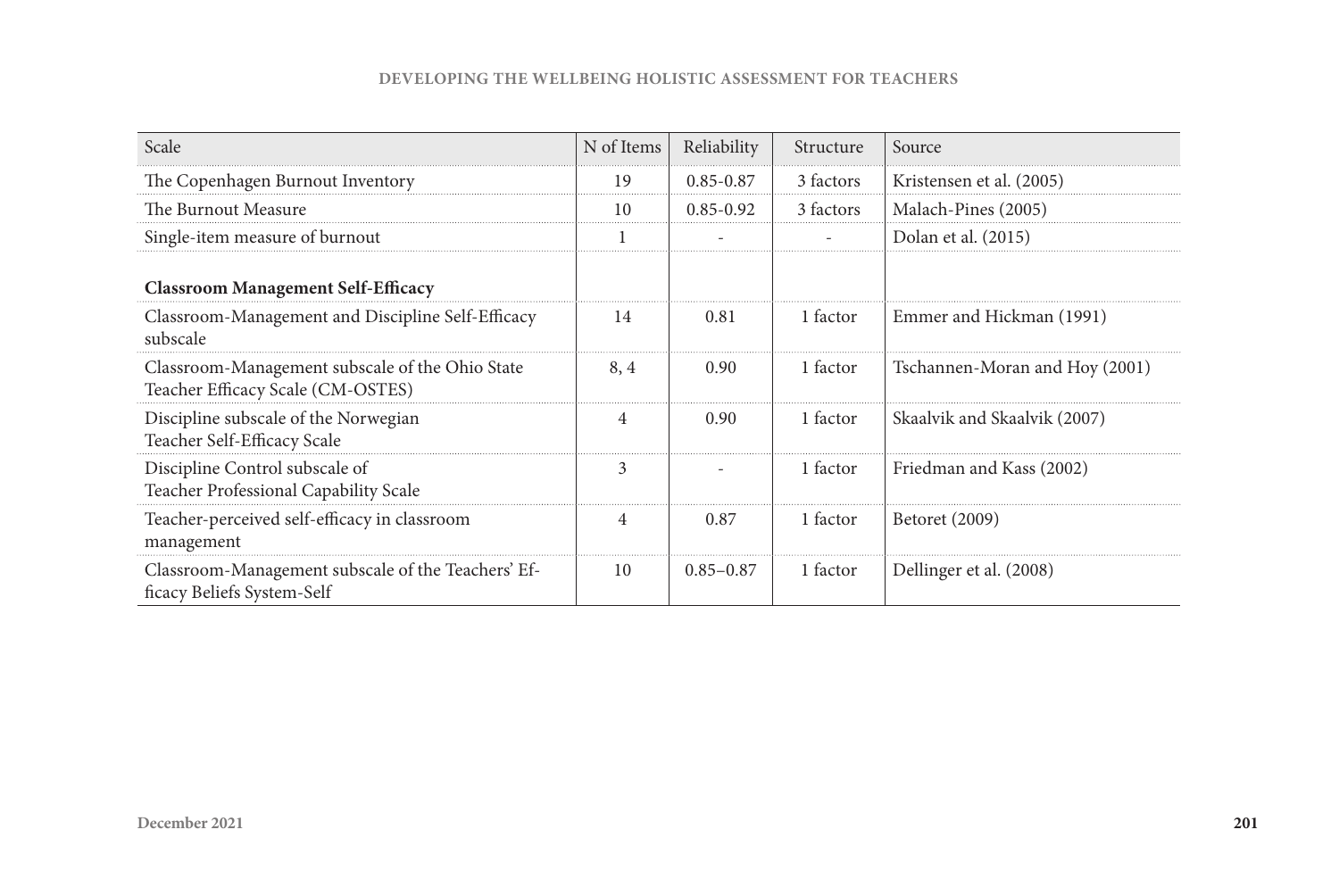#### **DEVELOPING THE WELLBEING HOLISTIC ASSESSMENT FOR TEACHERS**

| Scale                                                                                | N of Items | Reliability   | Structure | Source                         |
|--------------------------------------------------------------------------------------|------------|---------------|-----------|--------------------------------|
| The Copenhagen Burnout Inventory                                                     | 19         | $0.85 - 0.87$ | 3 factors | Kristensen et al. (2005)       |
| The Burnout Measure                                                                  | 10         | $0.85 - 0.92$ | 3 factors | Malach-Pines (2005)            |
| Single-item measure of burnout                                                       |            |               |           | Dolan et al. (2015)            |
| <b>Classroom Management Self-Efficacy</b>                                            |            |               |           |                                |
| Classroom-Management and Discipline Self-Efficacy<br>subscale                        | 14         | 0.81          | 1 factor  | Emmer and Hickman (1991)       |
| Classroom-Management subscale of the Ohio State<br>Teacher Efficacy Scale (CM-OSTES) | 8.4        | 0.90          | 1 factor  | Tschannen-Moran and Hoy (2001) |
| Discipline subscale of the Norwegian<br>Teacher Self-Efficacy Scale                  | 4          | 0.90          | 1 factor  | Skaalvik and Skaalvik (2007)   |
| Discipline Control subscale of<br>Teacher Professional Capability Scale              | 3          |               | 1 factor  | Friedman and Kass (2002)       |
| Teacher-perceived self-efficacy in classroom<br>management                           | 4          | 0.87          | 1 factor  | Betoret (2009)                 |
| Classroom-Management subscale of the Teachers' Ef-<br>ficacy Beliefs System-Self     | 10         | $0.85 - 0.87$ | 1 factor  | Dellinger et al. (2008)        |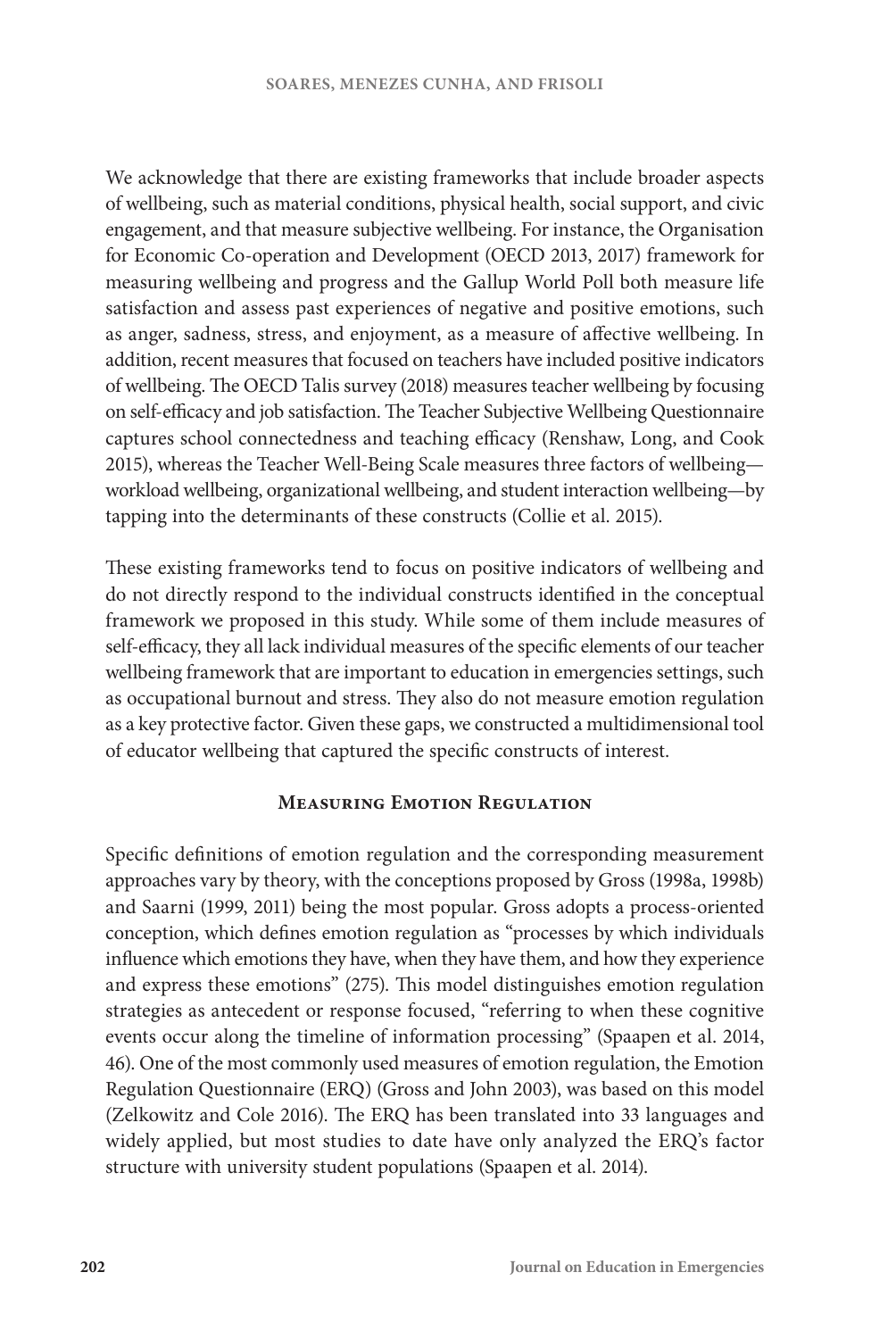We acknowledge that there are existing frameworks that include broader aspects of wellbeing, such as material conditions, physical health, social support, and civic engagement, and that measure subjective wellbeing. For instance, the Organisation for Economic Co-operation and Development (OECD 2013, 2017) framework for measuring wellbeing and progress and the Gallup World Poll both measure life satisfaction and assess past experiences of negative and positive emotions, such as anger, sadness, stress, and enjoyment, as a measure of affective wellbeing. In addition, recent measures that focused on teachers have included positive indicators of wellbeing. The OECD Talis survey (2018) measures teacher wellbeing by focusing on self-efficacy and job satisfaction. The Teacher Subjective Wellbeing Questionnaire captures school connectedness and teaching efficacy (Renshaw, Long, and Cook 2015), whereas the Teacher Well-Being Scale measures three factors of wellbeing workload wellbeing, organizational wellbeing, and student interaction wellbeing—by tapping into the determinants of these constructs (Collie et al. 2015).

These existing frameworks tend to focus on positive indicators of wellbeing and do not directly respond to the individual constructs identified in the conceptual framework we proposed in this study. While some of them include measures of self-efficacy, they all lack individual measures of the specific elements of our teacher wellbeing framework that are important to education in emergencies settings, such as occupational burnout and stress. They also do not measure emotion regulation as a key protective factor. Given these gaps, we constructed a multidimensional tool of educator wellbeing that captured the specific constructs of interest.

## **Measuring Emotion Regulation**

Specific definitions of emotion regulation and the corresponding measurement approaches vary by theory, with the conceptions proposed by Gross (1998a, 1998b) and Saarni (1999, 2011) being the most popular. Gross adopts a process-oriented conception, which defines emotion regulation as "processes by which individuals influence which emotions they have, when they have them, and how they experience and express these emotions" (275). This model distinguishes emotion regulation strategies as antecedent or response focused, "referring to when these cognitive events occur along the timeline of information processing" (Spaapen et al. 2014, 46). One of the most commonly used measures of emotion regulation, the Emotion Regulation Questionnaire (ERQ) (Gross and John 2003), was based on this model (Zelkowitz and Cole 2016). The ERQ has been translated into 33 languages and widely applied, but most studies to date have only analyzed the ERQ's factor structure with university student populations (Spaapen et al. 2014).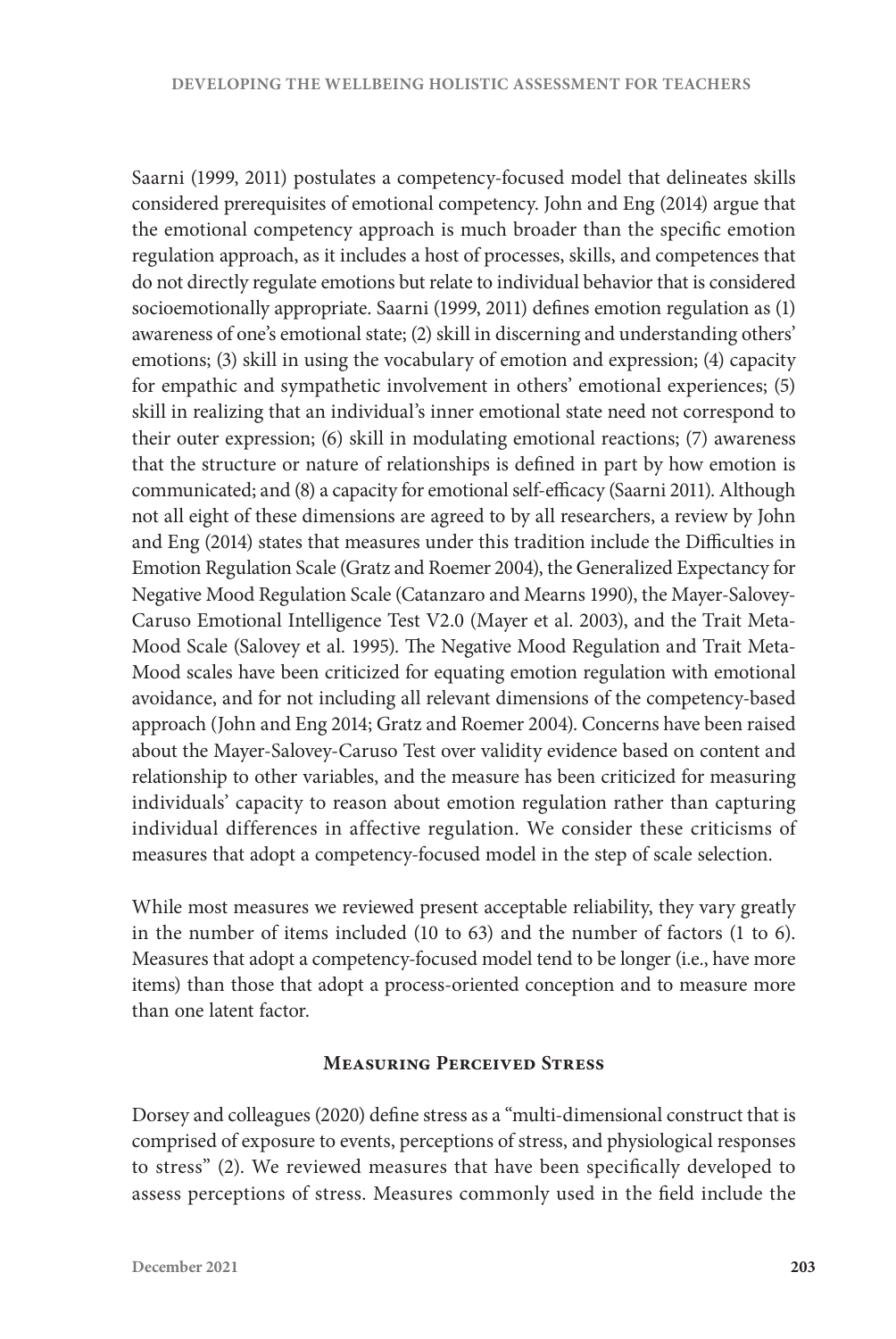Saarni (1999, 2011) postulates a competency-focused model that delineates skills considered prerequisites of emotional competency. John and Eng (2014) argue that the emotional competency approach is much broader than the specific emotion regulation approach, as it includes a host of processes, skills, and competences that do not directly regulate emotions but relate to individual behavior that is considered socioemotionally appropriate. Saarni (1999, 2011) defines emotion regulation as (1) awareness of one's emotional state; (2) skill in discerning and understanding others' emotions; (3) skill in using the vocabulary of emotion and expression; (4) capacity for empathic and sympathetic involvement in others' emotional experiences; (5) skill in realizing that an individual's inner emotional state need not correspond to their outer expression; (6) skill in modulating emotional reactions; (7) awareness that the structure or nature of relationships is defined in part by how emotion is communicated; and (8) a capacity for emotional self-efficacy (Saarni 2011). Although not all eight of these dimensions are agreed to by all researchers, a review by John and Eng (2014) states that measures under this tradition include the Difficulties in Emotion Regulation Scale (Gratz and Roemer 2004), the Generalized Expectancy for Negative Mood Regulation Scale (Catanzaro and Mearns 1990), the Mayer-Salovey-Caruso Emotional Intelligence Test V2.0 (Mayer et al. 2003), and the Trait Meta-Mood Scale (Salovey et al. 1995). The Negative Mood Regulation and Trait Meta-Mood scales have been criticized for equating emotion regulation with emotional avoidance, and for not including all relevant dimensions of the competency-based approach (John and Eng 2014; Gratz and Roemer 2004). Concerns have been raised about the Mayer-Salovey-Caruso Test over validity evidence based on content and relationship to other variables, and the measure has been criticized for measuring individuals' capacity to reason about emotion regulation rather than capturing individual differences in affective regulation. We consider these criticisms of measures that adopt a competency-focused model in the step of scale selection.

While most measures we reviewed present acceptable reliability, they vary greatly in the number of items included (10 to 63) and the number of factors (1 to 6). Measures that adopt a competency-focused model tend to be longer (i.e., have more items) than those that adopt a process-oriented conception and to measure more than one latent factor.

## **Measuring Perceived Stress**

Dorsey and colleagues (2020) define stress as a "multi-dimensional construct that is comprised of exposure to events, perceptions of stress, and physiological responses to stress" (2). We reviewed measures that have been specifically developed to assess perceptions of stress. Measures commonly used in the field include the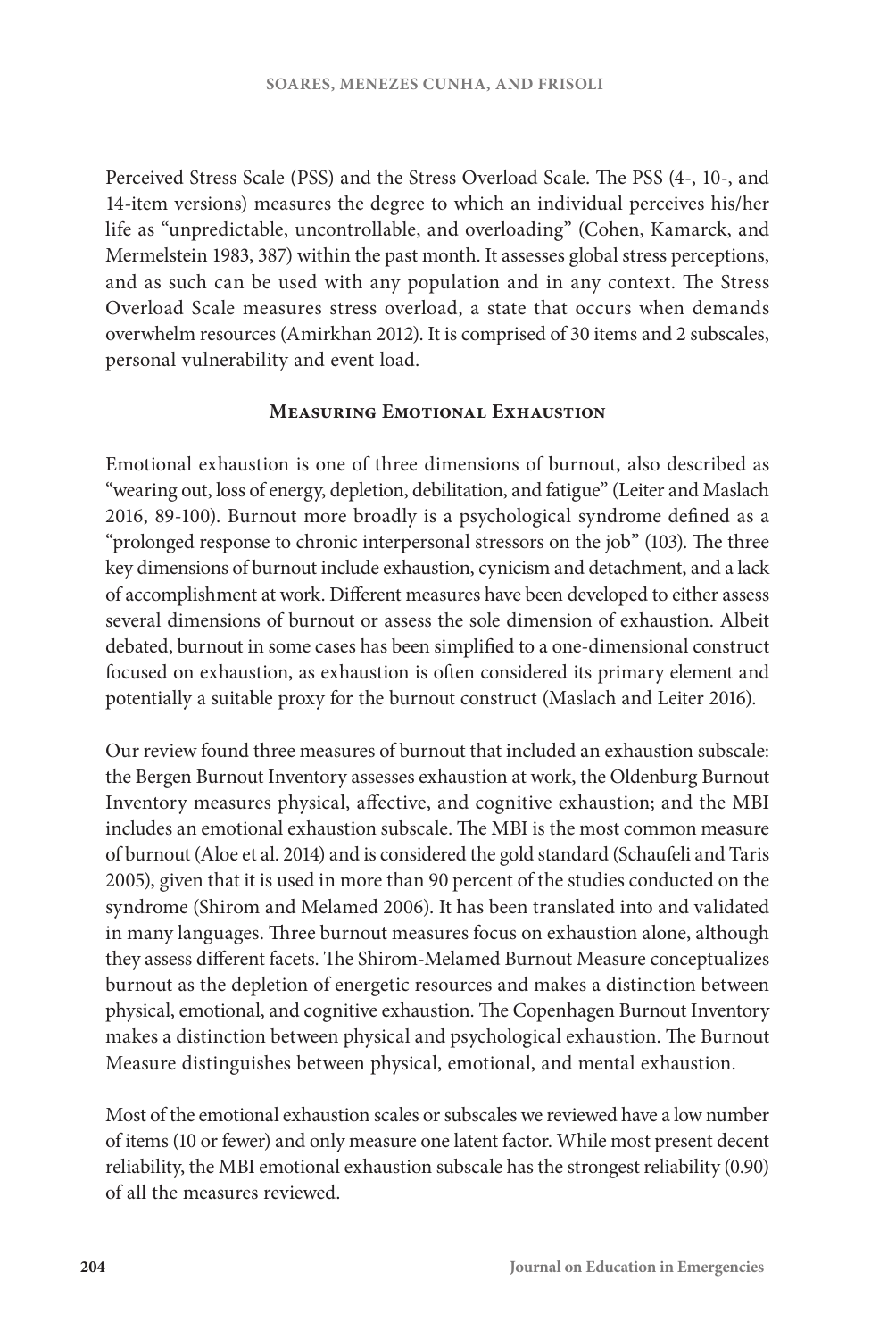Perceived Stress Scale (PSS) and the Stress Overload Scale. The PSS (4-, 10-, and 14-item versions) measures the degree to which an individual perceives his/her life as "unpredictable, uncontrollable, and overloading" (Cohen, Kamarck, and Mermelstein 1983, 387) within the past month. It assesses global stress perceptions, and as such can be used with any population and in any context. The Stress Overload Scale measures stress overload, a state that occurs when demands overwhelm resources (Amirkhan 2012). It is comprised of 30 items and 2 subscales, personal vulnerability and event load.

#### **Measuring Emotional Exhaustion**

Emotional exhaustion is one of three dimensions of burnout, also described as "wearing out, loss of energy, depletion, debilitation, and fatigue" (Leiter and Maslach 2016, 89-100). Burnout more broadly is a psychological syndrome defined as a "prolonged response to chronic interpersonal stressors on the job" (103). The three key dimensions of burnout include exhaustion, cynicism and detachment, and a lack of accomplishment at work. Different measures have been developed to either assess several dimensions of burnout or assess the sole dimension of exhaustion. Albeit debated, burnout in some cases has been simplified to a one-dimensional construct focused on exhaustion, as exhaustion is often considered its primary element and potentially a suitable proxy for the burnout construct (Maslach and Leiter 2016).

Our review found three measures of burnout that included an exhaustion subscale: the Bergen Burnout Inventory assesses exhaustion at work, the Oldenburg Burnout Inventory measures physical, affective, and cognitive exhaustion; and the MBI includes an emotional exhaustion subscale. The MBI is the most common measure of burnout (Aloe et al. 2014) and is considered the gold standard (Schaufeli and Taris 2005), given that it is used in more than 90 percent of the studies conducted on the syndrome (Shirom and Melamed 2006). It has been translated into and validated in many languages. Three burnout measures focus on exhaustion alone, although they assess different facets. The Shirom-Melamed Burnout Measure conceptualizes burnout as the depletion of energetic resources and makes a distinction between physical, emotional, and cognitive exhaustion. The Copenhagen Burnout Inventory makes a distinction between physical and psychological exhaustion. The Burnout Measure distinguishes between physical, emotional, and mental exhaustion.

Most of the emotional exhaustion scales or subscales we reviewed have a low number of items (10 or fewer) and only measure one latent factor. While most present decent reliability, the MBI emotional exhaustion subscale has the strongest reliability (0.90) of all the measures reviewed.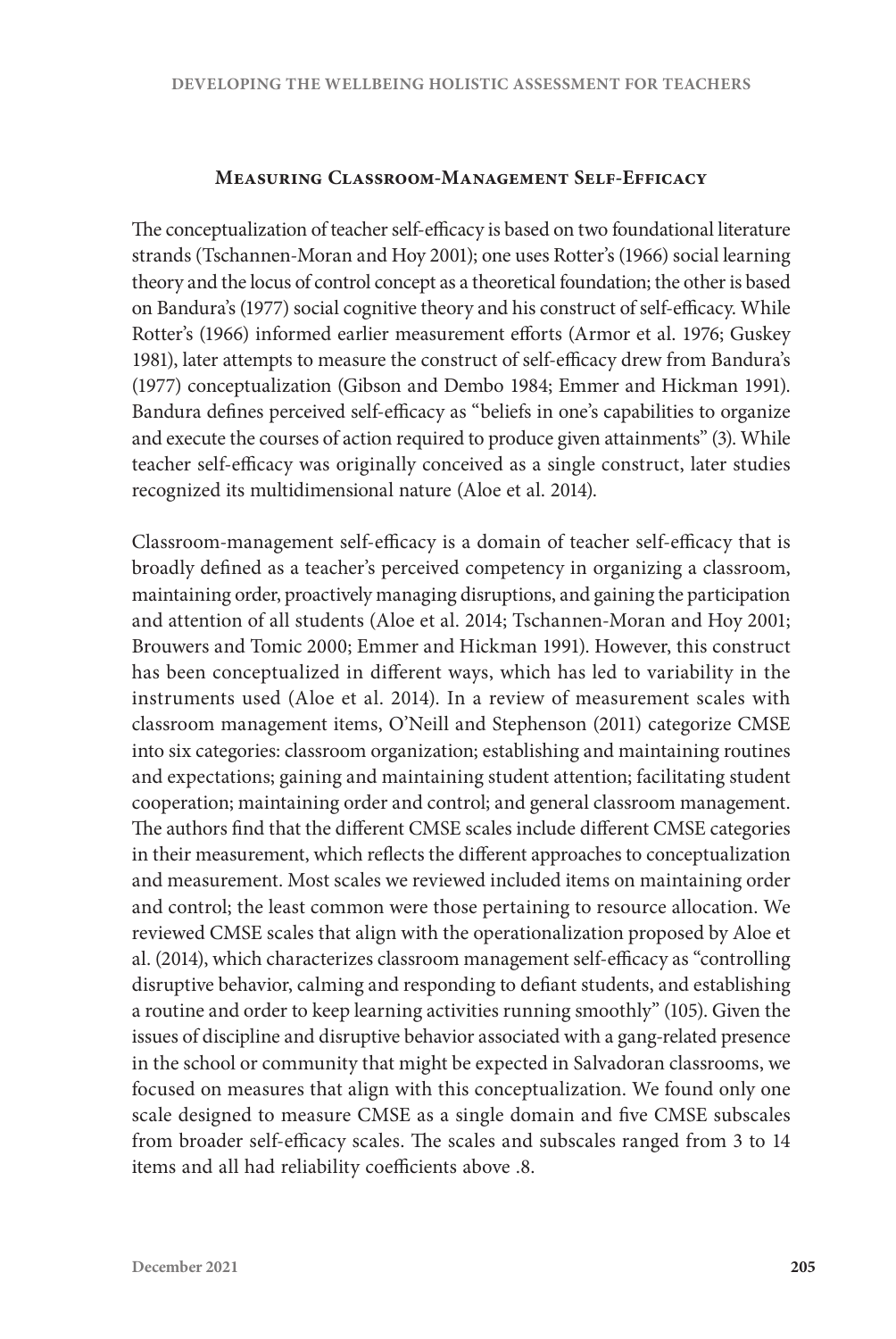## **Measuring Classroom-Management Self-Efficacy**

The conceptualization of teacher self-efficacy is based on two foundational literature strands (Tschannen-Moran and Hoy 2001); one uses Rotter's (1966) social learning theory and the locus of control concept as a theoretical foundation; the other is based on Bandura's (1977) social cognitive theory and his construct of self-efficacy. While Rotter's (1966) informed earlier measurement efforts (Armor et al. 1976; Guskey 1981), later attempts to measure the construct of self-efficacy drew from Bandura's (1977) conceptualization (Gibson and Dembo 1984; Emmer and Hickman 1991). Bandura defines perceived self-efficacy as "beliefs in one's capabilities to organize and execute the courses of action required to produce given attainments" (3). While teacher self-efficacy was originally conceived as a single construct, later studies recognized its multidimensional nature (Aloe et al. 2014).

Classroom-management self-efficacy is a domain of teacher self-efficacy that is broadly defined as a teacher's perceived competency in organizing a classroom, maintaining order, proactively managing disruptions, and gaining the participation and attention of all students (Aloe et al. 2014; Tschannen-Moran and Hoy 2001; Brouwers and Tomic 2000; Emmer and Hickman 1991). However, this construct has been conceptualized in different ways, which has led to variability in the instruments used (Aloe et al. 2014). In a review of measurement scales with classroom management items, O'Neill and Stephenson (2011) categorize CMSE into six categories: classroom organization; establishing and maintaining routines and expectations; gaining and maintaining student attention; facilitating student cooperation; maintaining order and control; and general classroom management. The authors find that the different CMSE scales include different CMSE categories in their measurement, which reflects the different approaches to conceptualization and measurement. Most scales we reviewed included items on maintaining order and control; the least common were those pertaining to resource allocation. We reviewed CMSE scales that align with the operationalization proposed by Aloe et al. (2014), which characterizes classroom management self-efficacy as "controlling disruptive behavior, calming and responding to defiant students, and establishing a routine and order to keep learning activities running smoothly" (105). Given the issues of discipline and disruptive behavior associated with a gang-related presence in the school or community that might be expected in Salvadoran classrooms, we focused on measures that align with this conceptualization. We found only one scale designed to measure CMSE as a single domain and five CMSE subscales from broader self-efficacy scales. The scales and subscales ranged from 3 to 14 items and all had reliability coefficients above .8.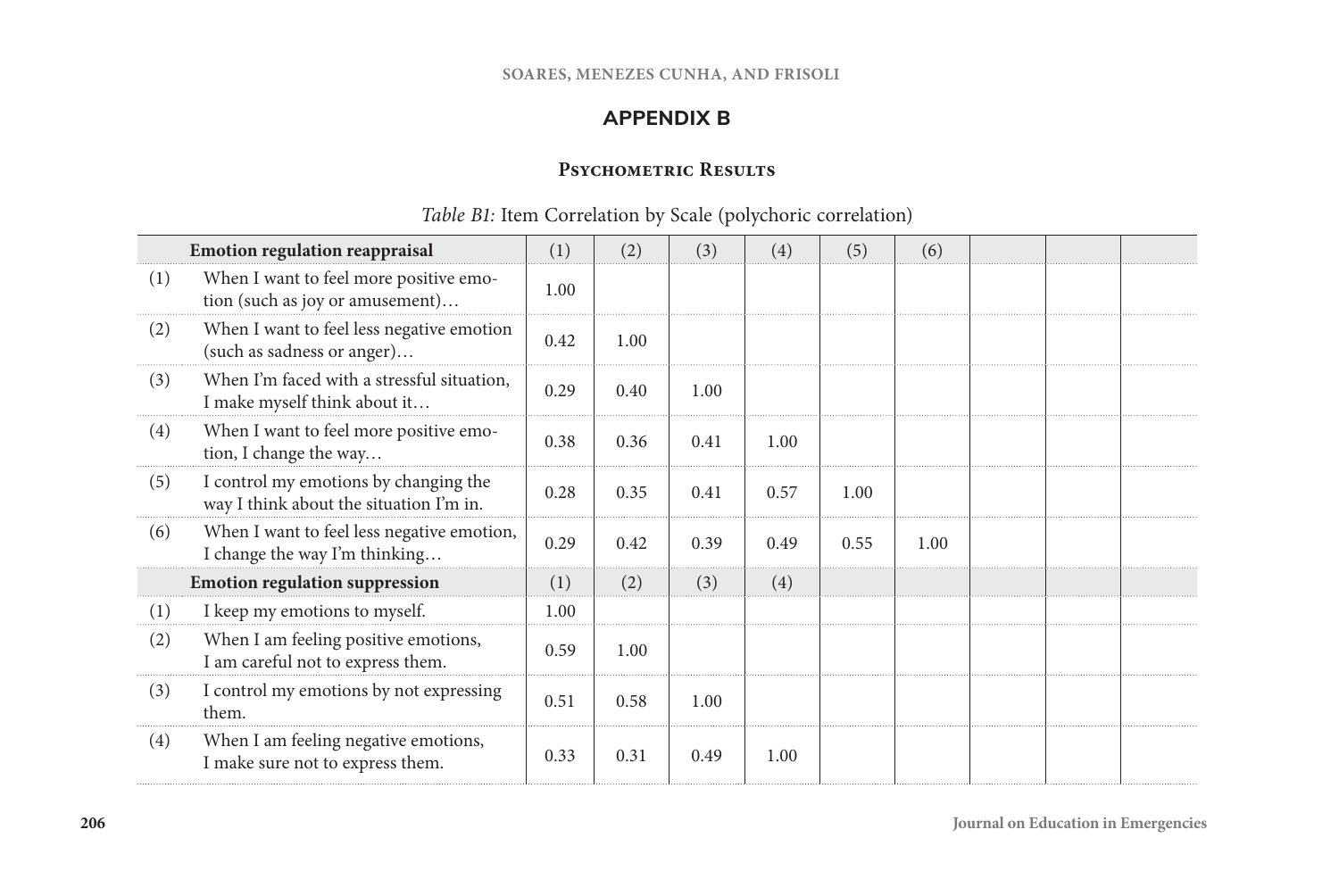# **APPENDIX B**

## **Psychometric Results**

# *Table B1:* Item Correlation by Scale (polychoric correlation)

|     | <b>Emotion regulation reappraisal</b>                                            | (1)  | (2)  | (3)  | (4)  | (5)  | (6)  |  |  |
|-----|----------------------------------------------------------------------------------|------|------|------|------|------|------|--|--|
| (1) | When I want to feel more positive emo-<br>tion (such as joy or amusement)        | 1.00 |      |      |      |      |      |  |  |
| (2) | When I want to feel less negative emotion<br>(such as sadness or anger)          | 0.42 | 1.00 |      |      |      |      |  |  |
| (3) | When I'm faced with a stressful situation,<br>I make myself think about it       | 0.29 | 0.40 | 1.00 |      |      |      |  |  |
| (4) | When I want to feel more positive emo-<br>tion, I change the way                 | 0.38 | 0.36 | 0.41 | 1.00 |      |      |  |  |
| (5) | I control my emotions by changing the<br>way I think about the situation I'm in. | 0.28 | 0.35 | 0.41 | 0.57 | 1.00 |      |  |  |
| (6) | When I want to feel less negative emotion,<br>I change the way I'm thinking      | 0.29 | 0.42 | 0.39 | 0.49 | 0.55 | 1.00 |  |  |
|     | <b>Emotion regulation suppression</b>                                            | (1)  | (2)  | (3)  | (4)  |      |      |  |  |
| (1) | I keep my emotions to myself.                                                    | 1.00 |      |      |      |      |      |  |  |
| (2) | When I am feeling positive emotions,<br>I am careful not to express them.        | 0.59 | 1.00 |      |      |      |      |  |  |
| (3) | I control my emotions by not expressing<br>them.                                 | 0.51 | 0.58 | 1.00 |      |      |      |  |  |
| (4) | When I am feeling negative emotions,<br>I make sure not to express them.         | 0.33 | 0.31 | 0.49 | 1.00 |      |      |  |  |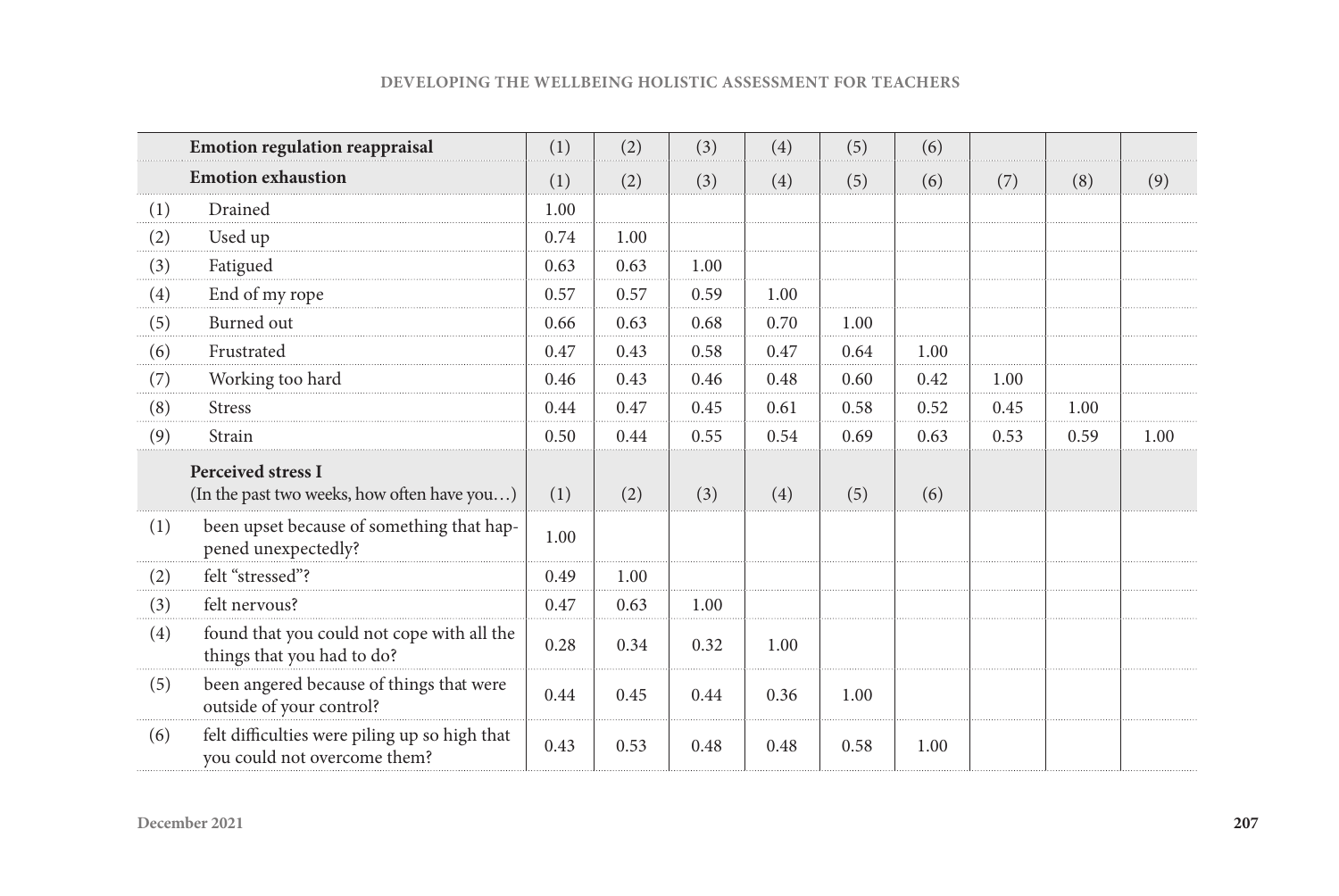|  | <b>DEVELOPING THE WELLBEING HOLISTIC ASSESSMENT FOR TEACHERS</b> |  |  |
|--|------------------------------------------------------------------|--|--|
|--|------------------------------------------------------------------|--|--|

|     | <b>Emotion regulation reappraisal</b>                                         | (1)  | (2)  | (3)  | (4)  | (5)  | (6)  |      |      |      |
|-----|-------------------------------------------------------------------------------|------|------|------|------|------|------|------|------|------|
|     | <b>Emotion exhaustion</b>                                                     | (1)  | (2)  | (3)  | (4)  | (5)  | (6)  | (7)  | (8)  | (9)  |
| (1) | Drained                                                                       | 1.00 |      |      |      |      |      |      |      |      |
| (2) | Used up                                                                       | 0.74 | 1.00 |      |      |      |      |      |      |      |
| (3) | Fatigued                                                                      | 0.63 | 0.63 | 1.00 |      |      |      |      |      |      |
| (4) | End of my rope                                                                | 0.57 | 0.57 | 0.59 | 1.00 |      |      |      |      |      |
| (5) | Burned out                                                                    | 0.66 | 0.63 | 0.68 | 0.70 | 1.00 |      |      |      |      |
| (6) | Frustrated                                                                    | 0.47 | 0.43 | 0.58 | 0.47 | 0.64 | 1.00 |      |      |      |
| (7) | Working too hard                                                              | 0.46 | 0.43 | 0.46 | 0.48 | 0.60 | 0.42 | 1.00 |      |      |
| (8) | <b>Stress</b>                                                                 | 0.44 | 0.47 | 0.45 | 0.61 | 0.58 | 0.52 | 0.45 | 1.00 |      |
| (9) | Strain                                                                        | 0.50 | 0.44 | 0.55 | 0.54 | 0.69 | 0.63 | 0.53 | 0.59 | 1.00 |
|     | <b>Perceived stress I</b><br>(In the past two weeks, how often have you)      | (1)  | (2)  | (3)  | (4)  | (5)  | (6)  |      |      |      |
| (1) | been upset because of something that hap-<br>pened unexpectedly?              | 1.00 |      |      |      |      |      |      |      |      |
| (2) | felt "stressed"?                                                              | 0.49 | 1.00 |      |      |      |      |      |      |      |
| (3) | felt nervous?                                                                 | 0.47 | 0.63 | 1.00 |      |      |      |      |      |      |
| (4) | found that you could not cope with all the<br>things that you had to do?      | 0.28 | 0.34 | 0.32 | 1.00 |      |      |      |      |      |
| (5) | been angered because of things that were<br>outside of your control?          | 0.44 | 0.45 | 0.44 | 0.36 | 1.00 |      |      |      |      |
| (6) | felt difficulties were piling up so high that<br>you could not overcome them? | 0.43 | 0.53 | 0.48 | 0.48 | 0.58 | 1.00 |      |      |      |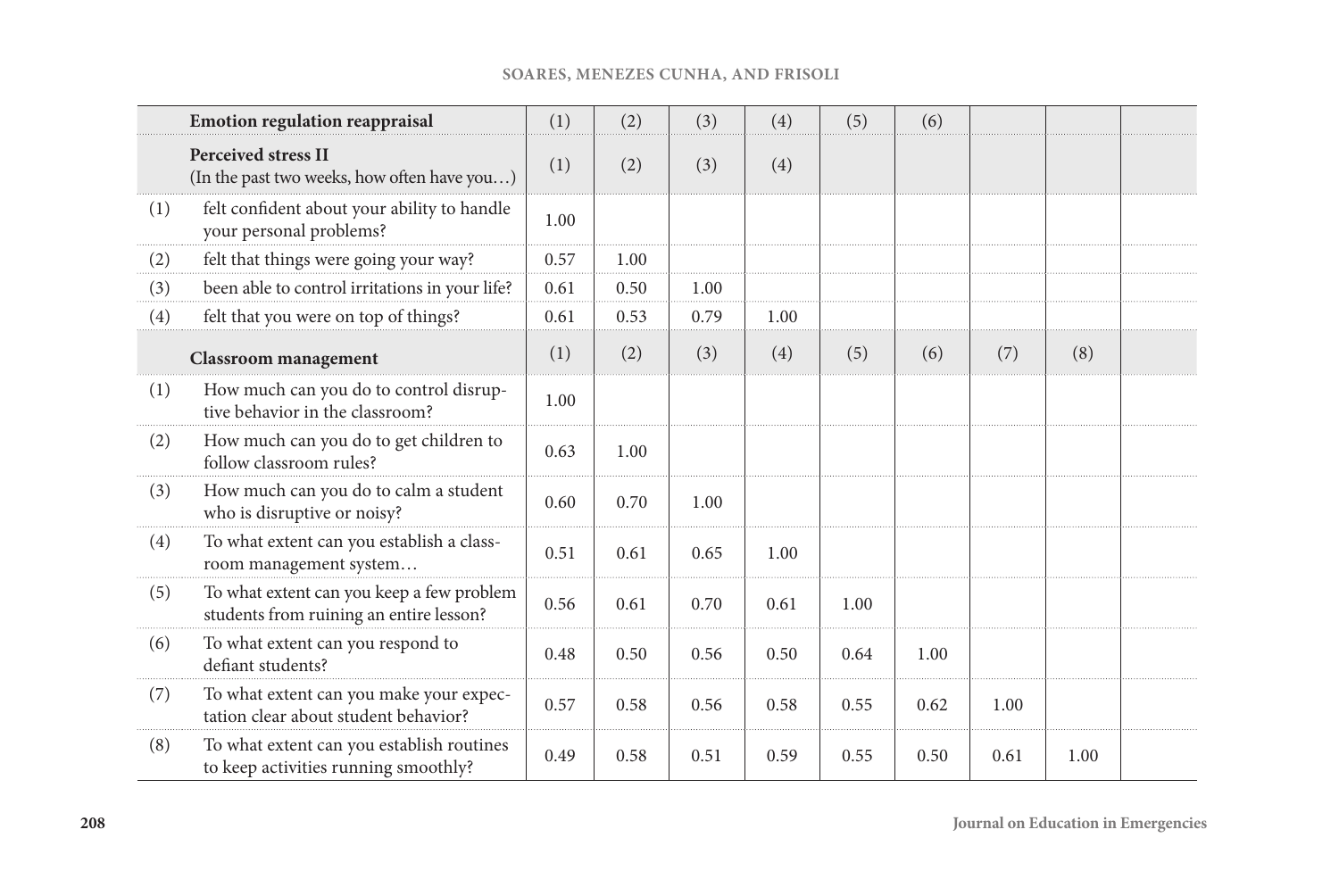| <b>SOARES, MENEZES CUNHA, AND FRISOLI</b> |  |  |  |  |
|-------------------------------------------|--|--|--|--|
|-------------------------------------------|--|--|--|--|

|          | <b>Emotion regulation reappraisal</b>                                                | (1)  | (2)  | (3)  | (4)  | (5)  | (6)  |      |      |  |
|----------|--------------------------------------------------------------------------------------|------|------|------|------|------|------|------|------|--|
|          | <b>Perceived stress II</b><br>(In the past two weeks, how often have you)            | (1)  | (2)  | (3)  | (4)  |      |      |      |      |  |
| (1)      | felt confident about your ability to handle<br>your personal problems?               | 1.00 |      |      |      |      |      |      |      |  |
| (2)<br>. | felt that things were going your way?                                                | 0.57 | 1.00 |      |      |      |      |      |      |  |
| (3)      | been able to control irritations in your life?                                       | 0.61 | 0.50 | 1.00 |      |      |      |      |      |  |
| (4)      | felt that you were on top of things?                                                 | 0.61 | 0.53 | 0.79 | 1.00 |      |      |      |      |  |
|          | <b>Classroom</b> management                                                          | (1)  | (2)  | (3)  | (4)  | (5)  | (6)  | (7)  | (8)  |  |
| (1)      | How much can you do to control disrup-<br>tive behavior in the classroom?            | 1.00 |      |      |      |      |      |      |      |  |
| (2)      | How much can you do to get children to<br>follow classroom rules?                    | 0.63 | 1.00 |      |      |      |      |      |      |  |
| (3)      | How much can you do to calm a student<br>who is disruptive or noisy?                 | 0.60 | 0.70 | 1.00 |      |      |      |      |      |  |
| (4)      | To what extent can you establish a class-<br>room management system                  | 0.51 | 0.61 | 0.65 | 1.00 |      |      |      |      |  |
| (5)      | To what extent can you keep a few problem<br>students from ruining an entire lesson? | 0.56 | 0.61 | 0.70 | 0.61 | 1.00 |      |      |      |  |
| (6)      | To what extent can you respond to<br>defiant students?                               | 0.48 | 0.50 | 0.56 | 0.50 | 0.64 | 1.00 |      |      |  |
| (7)      | To what extent can you make your expec-<br>tation clear about student behavior?      | 0.57 | 0.58 | 0.56 | 0.58 | 0.55 | 0.62 | 1.00 |      |  |
| (8)      | To what extent can you establish routines<br>to keep activities running smoothly?    | 0.49 | 0.58 | 0.51 | 0.59 | 0.55 | 0.50 | 0.61 | 1.00 |  |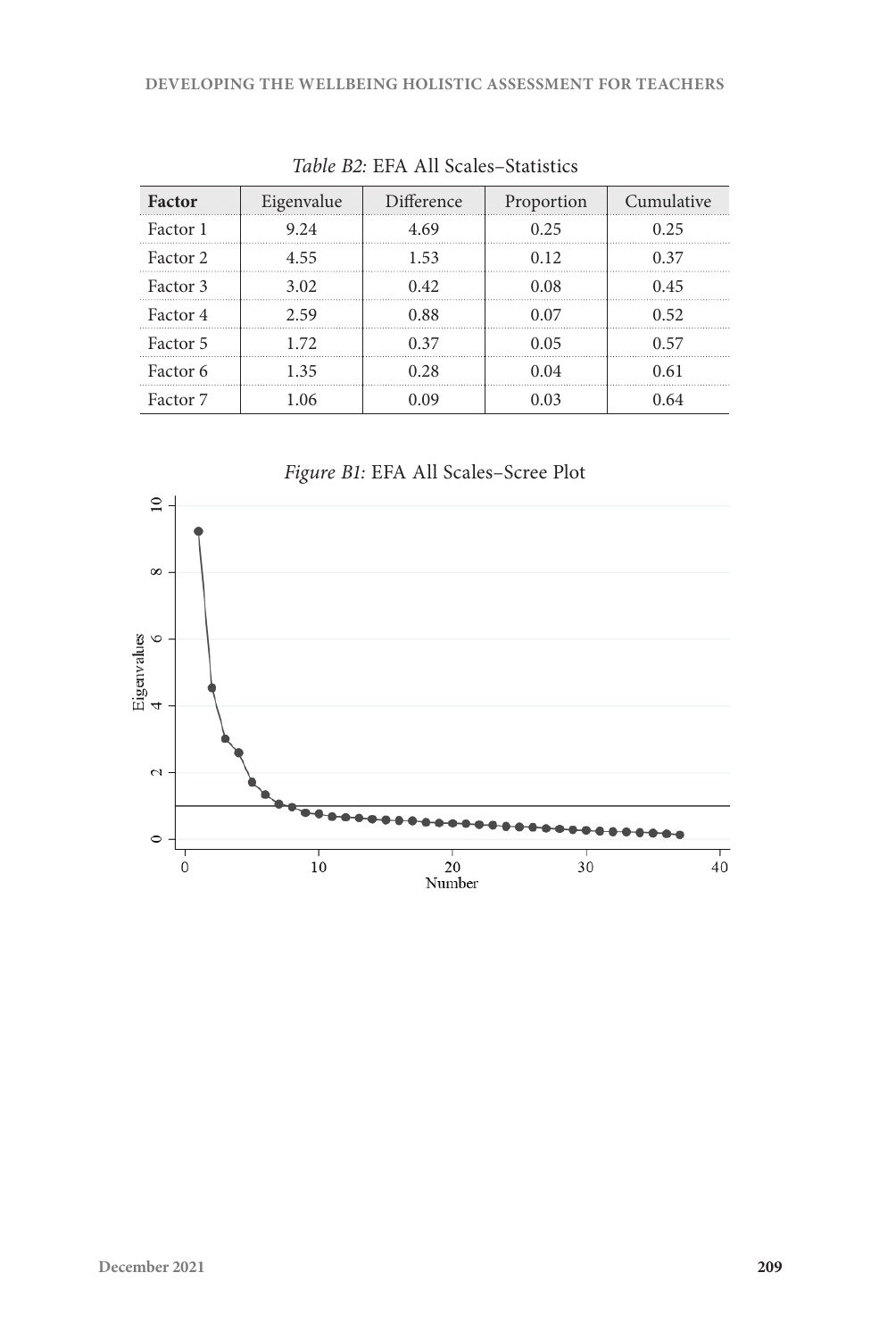| Factor   | Eigenvalue | Difference | Proportion | Cumulative |
|----------|------------|------------|------------|------------|
| Factor 1 | 9.24       | 4.69       | 0.25       | 0.25       |
| Factor 2 | 4.55       | 1.53       | 0.12       | 0.37       |
| Factor 3 | 3.02       | 0.42       | 0.08       | 045        |
| Factor 4 | 2.59       | 0.88       | 0.07       | 0.52       |
| Factor 5 | 172        | 0.37       | 0.05       | በ 57       |
| Factor 6 | 135        | 0.28       | 0.04       | 0.61       |
| Factor 7 | -06        |            | በ በ3       |            |

*Table B2:* EFA All Scales–Statistics



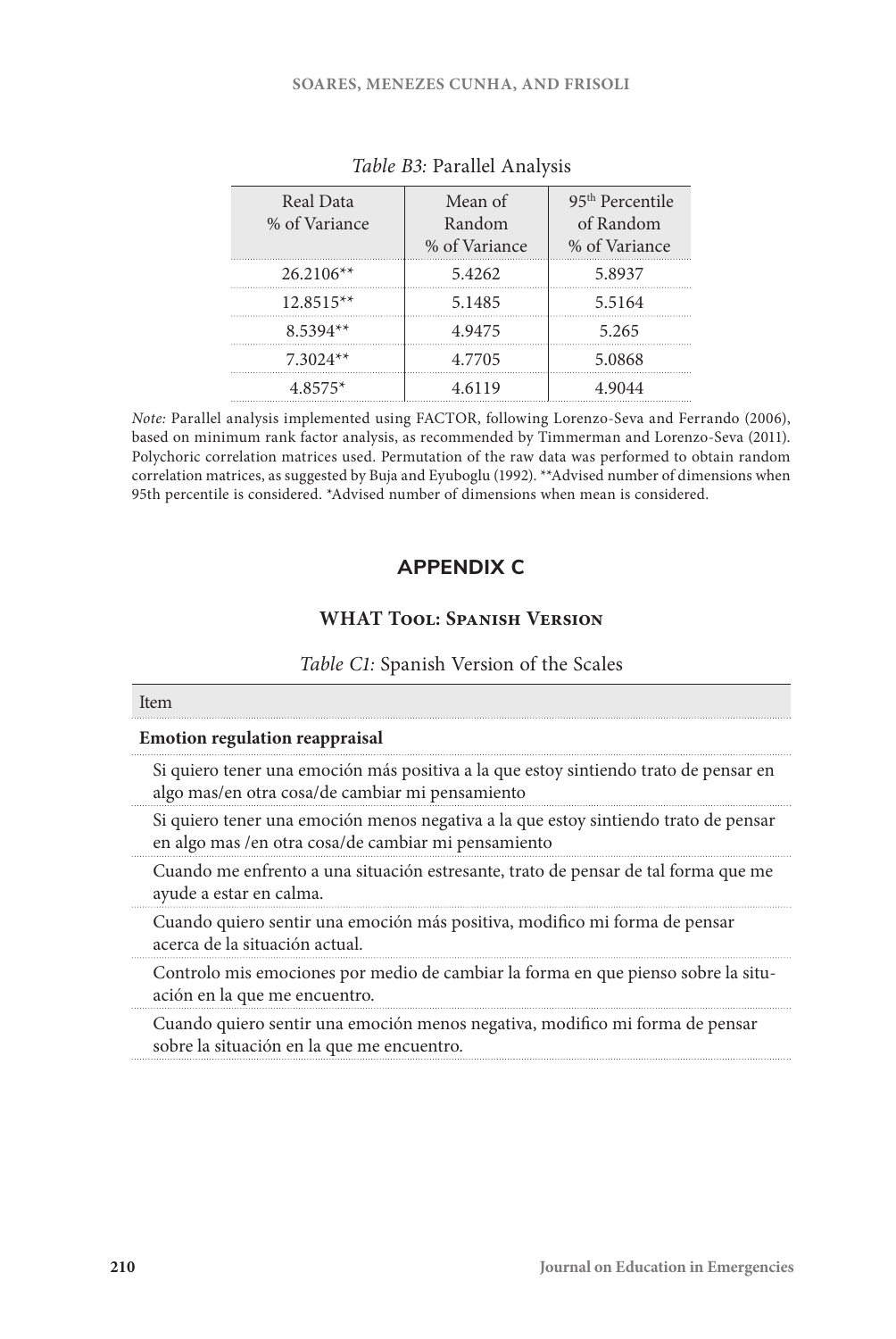| Real Data<br>% of Variance | Mean of<br>Random<br>% of Variance | 95 <sup>th</sup> Percentile<br>of Random<br>% of Variance |
|----------------------------|------------------------------------|-----------------------------------------------------------|
| $26.2106**$                | 5.4262                             | 5.8937                                                    |
| $12.8515**$                | 5.1485                             | 5.5164                                                    |
| $8.5394**$                 | 4.9475                             | 5.265                                                     |
| $7.3024**$                 | 4.7705                             | 5.0868                                                    |
| $4.8575*$                  | 4.6119                             | 4.9044                                                    |

| Table B3: Parallel Analysis |  |
|-----------------------------|--|
|-----------------------------|--|

*Note:* Parallel analysis implemented using FACTOR, following Lorenzo-Seva and Ferrando (2006), based on minimum rank factor analysis, as recommended by Timmerman and Lorenzo-Seva (2011). Polychoric correlation matrices used. Permutation of the raw data was performed to obtain random correlation matrices, as suggested by Buja and Eyuboglu (1992). \*\*Advised number of dimensions when 95th percentile is considered. \*Advised number of dimensions when mean is considered.

# **APPENDIX C**

## **WHAT Tool: Spanish Version**

#### *Table C1:* Spanish Version of the Scales

#### Item

#### **Emotion regulation reappraisal**

Si quiero tener una emoción más positiva a la que estoy sintiendo trato de pensar en algo mas/en otra cosa/de cambiar mi pensamiento

Si quiero tener una emoción menos negativa a la que estoy sintiendo trato de pensar en algo mas /en otra cosa/de cambiar mi pensamiento

Cuando me enfrento a una situación estresante, trato de pensar de tal forma que me ayude a estar en calma.

Cuando quiero sentir una emoción más positiva, modifico mi forma de pensar acerca de la situación actual.

Controlo mis emociones por medio de cambiar la forma en que pienso sobre la situación en la que me encuentro.

Cuando quiero sentir una emoción menos negativa, modifico mi forma de pensar sobre la situación en la que me encuentro.